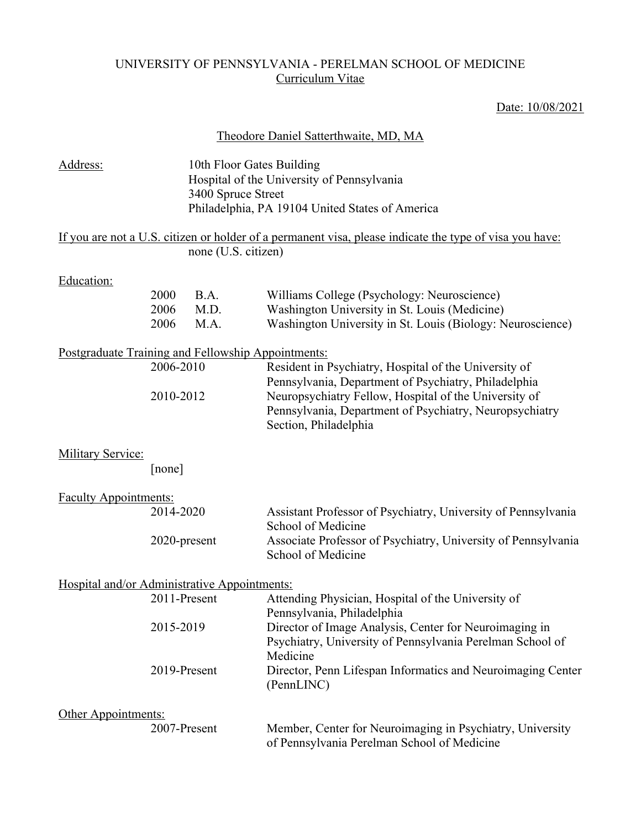## UNIVERSITY OF PENNSYLVANIA - PERELMAN SCHOOL OF MEDICINE Curriculum Vitae

## Date: 10/08/2021

|                                                    |                           |                                                 | Theodore Daniel Satterthwaite, MD, MA                                                                                                                                                                                                                      |
|----------------------------------------------------|---------------------------|-------------------------------------------------|------------------------------------------------------------------------------------------------------------------------------------------------------------------------------------------------------------------------------------------------------------|
| Address:                                           |                           | 10th Floor Gates Building<br>3400 Spruce Street | Hospital of the University of Pennsylvania<br>Philadelphia, PA 19104 United States of America                                                                                                                                                              |
|                                                    |                           | none (U.S. citizen)                             | If you are not a U.S. citizen or holder of a permanent visa, please indicate the type of visa you have:                                                                                                                                                    |
| Education:                                         | 2000<br>2006<br>2006      | B.A.<br>M.D.<br>M.A.                            | Williams College (Psychology: Neuroscience)<br>Washington University in St. Louis (Medicine)<br>Washington University in St. Louis (Biology: Neuroscience)                                                                                                 |
| Postgraduate Training and Fellowship Appointments: | 2006-2010<br>2010-2012    |                                                 | Resident in Psychiatry, Hospital of the University of<br>Pennsylvania, Department of Psychiatry, Philadelphia<br>Neuropsychiatry Fellow, Hospital of the University of<br>Pennsylvania, Department of Psychiatry, Neuropsychiatry<br>Section, Philadelphia |
| <b>Military Service:</b>                           | [none]                    |                                                 |                                                                                                                                                                                                                                                            |
| <b>Faculty Appointments:</b>                       |                           |                                                 |                                                                                                                                                                                                                                                            |
|                                                    | 2014-2020                 |                                                 | Assistant Professor of Psychiatry, University of Pennsylvania<br>School of Medicine                                                                                                                                                                        |
|                                                    | 2020-present              |                                                 | Associate Professor of Psychiatry, University of Pennsylvania<br>School of Medicine                                                                                                                                                                        |
| Hospital and/or Administrative Appointments:       |                           |                                                 |                                                                                                                                                                                                                                                            |
|                                                    |                           |                                                 | 2011-Present Attending Physician, Hospital of the University of<br>Pennsylvania, Philadelphia                                                                                                                                                              |
|                                                    | 2015-2019<br>2019-Present |                                                 | Director of Image Analysis, Center for Neuroimaging in<br>Psychiatry, University of Pennsylvania Perelman School of<br>Medicine<br>Director, Penn Lifespan Informatics and Neuroimaging Center                                                             |
| Other Appointments:                                | 2007-Present              |                                                 | (PennLINC)<br>Member, Center for Neuroimaging in Psychiatry, University<br>of Pennsylvania Perelman School of Medicine                                                                                                                                     |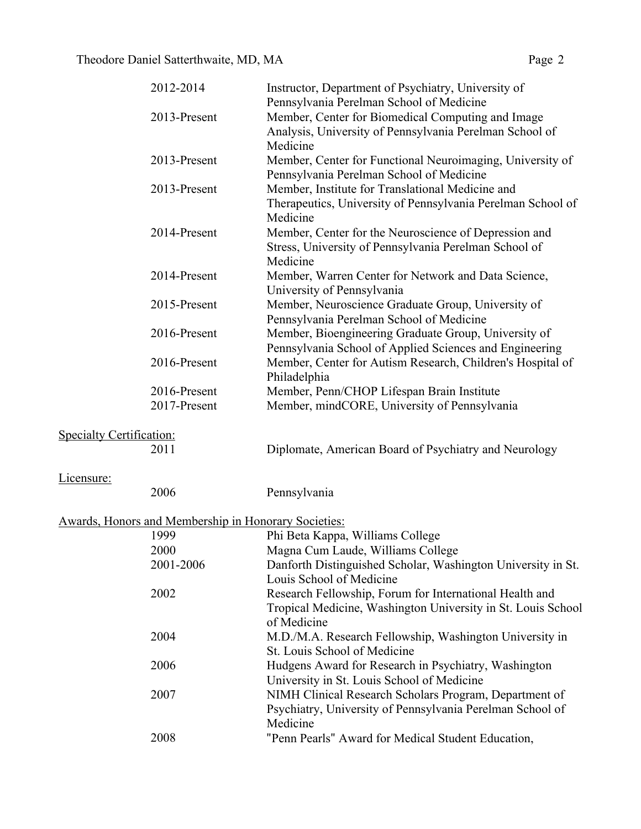| 2012-2014             | Instructor, Department of Psychiatry, University of         |
|-----------------------|-------------------------------------------------------------|
|                       | Pennsylvania Perelman School of Medicine                    |
| 2013-Present          | Member, Center for Biomedical Computing and Image           |
|                       | Analysis, University of Pennsylvania Perelman School of     |
|                       | Medicine                                                    |
| 2013-Present          | Member, Center for Functional Neuroimaging, University of   |
|                       | Pennsylvania Perelman School of Medicine                    |
| 2013-Present          | Member, Institute for Translational Medicine and            |
|                       | Therapeutics, University of Pennsylvania Perelman School of |
|                       | Medicine                                                    |
| 2014-Present          | Member, Center for the Neuroscience of Depression and       |
|                       | Stress, University of Pennsylvania Perelman School of       |
|                       | Medicine                                                    |
| 2014-Present          | Member, Warren Center for Network and Data Science,         |
|                       | University of Pennsylvania                                  |
| 2015-Present          | Member, Neuroscience Graduate Group, University of          |
|                       | Pennsylvania Perelman School of Medicine                    |
| 2016-Present          | Member, Bioengineering Graduate Group, University of        |
|                       | Pennsylvania School of Applied Sciences and Engineering     |
| 2016-Present          | Member, Center for Autism Research, Children's Hospital of  |
|                       | Philadelphia                                                |
| 2016-Present          | Member, Penn/CHOP Lifespan Brain Institute                  |
| 2017-Present          | Member, mindCORE, University of Pennsylvania                |
|                       |                                                             |
| $\mathcal{L}$ and and |                                                             |

# Specialty Certification:<br>2011

Licensure:

| 006 |  |
|-----|--|
|     |  |

2006 Pennsylvania

# Awards, Honors and Membership in Honorary Societies:

| 1999      | Phi Beta Kappa, Williams College                             |
|-----------|--------------------------------------------------------------|
| 2000      | Magna Cum Laude, Williams College                            |
| 2001-2006 | Danforth Distinguished Scholar, Washington University in St. |
|           | Louis School of Medicine                                     |
| 2002      | Research Fellowship, Forum for International Health and      |
|           | Tropical Medicine, Washington University in St. Louis School |
|           | of Medicine                                                  |
| 2004      | M.D./M.A. Research Fellowship, Washington University in      |
|           | St. Louis School of Medicine                                 |
| 2006      | Hudgens Award for Research in Psychiatry, Washington         |
|           | University in St. Louis School of Medicine                   |
| 2007      | NIMH Clinical Research Scholars Program, Department of       |
|           | Psychiatry, University of Pennsylvania Perelman School of    |
|           | Medicine                                                     |
| 2008      | "Penn Pearls" Award for Medical Student Education,           |
|           |                                                              |

Diplomate, American Board of Psychiatry and Neurology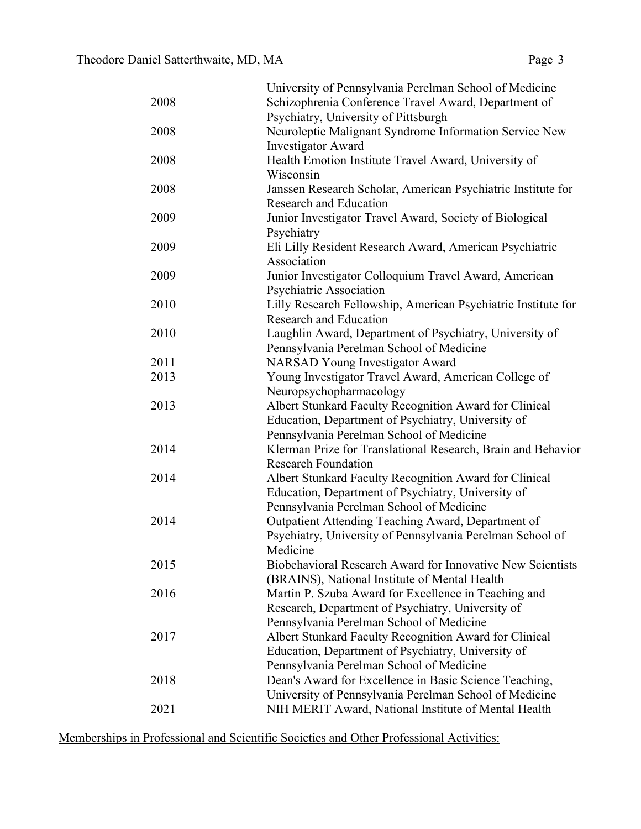|      | University of Pennsylvania Perelman School of Medicine        |
|------|---------------------------------------------------------------|
| 2008 | Schizophrenia Conference Travel Award, Department of          |
|      | Psychiatry, University of Pittsburgh                          |
| 2008 | Neuroleptic Malignant Syndrome Information Service New        |
|      | <b>Investigator Award</b>                                     |
| 2008 | Health Emotion Institute Travel Award, University of          |
|      | Wisconsin                                                     |
| 2008 | Janssen Research Scholar, American Psychiatric Institute for  |
|      | <b>Research and Education</b>                                 |
| 2009 | Junior Investigator Travel Award, Society of Biological       |
|      | Psychiatry                                                    |
| 2009 | Eli Lilly Resident Research Award, American Psychiatric       |
|      | Association                                                   |
| 2009 | Junior Investigator Colloquium Travel Award, American         |
|      | Psychiatric Association                                       |
| 2010 | Lilly Research Fellowship, American Psychiatric Institute for |
|      | <b>Research and Education</b>                                 |
| 2010 | Laughlin Award, Department of Psychiatry, University of       |
|      | Pennsylvania Perelman School of Medicine                      |
| 2011 | <b>NARSAD Young Investigator Award</b>                        |
| 2013 | Young Investigator Travel Award, American College of          |
|      | Neuropsychopharmacology                                       |
| 2013 | Albert Stunkard Faculty Recognition Award for Clinical        |
|      | Education, Department of Psychiatry, University of            |
|      | Pennsylvania Perelman School of Medicine                      |
| 2014 | Klerman Prize for Translational Research, Brain and Behavior  |
|      | <b>Research Foundation</b>                                    |
| 2014 | Albert Stunkard Faculty Recognition Award for Clinical        |
|      | Education, Department of Psychiatry, University of            |
|      | Pennsylvania Perelman School of Medicine                      |
| 2014 | Outpatient Attending Teaching Award, Department of            |
|      | Psychiatry, University of Pennsylvania Perelman School of     |
|      | Medicine                                                      |
| 2015 | Biobehavioral Research Award for Innovative New Scientists    |
|      | (BRAINS), National Institute of Mental Health                 |
| 2016 | Martin P. Szuba Award for Excellence in Teaching and          |
|      | Research, Department of Psychiatry, University of             |
|      | Pennsylvania Perelman School of Medicine                      |
| 2017 | Albert Stunkard Faculty Recognition Award for Clinical        |
|      | Education, Department of Psychiatry, University of            |
|      | Pennsylvania Perelman School of Medicine                      |
| 2018 | Dean's Award for Excellence in Basic Science Teaching,        |
|      | University of Pennsylvania Perelman School of Medicine        |
| 2021 | NIH MERIT Award, National Institute of Mental Health          |

Memberships in Professional and Scientific Societies and Other Professional Activities: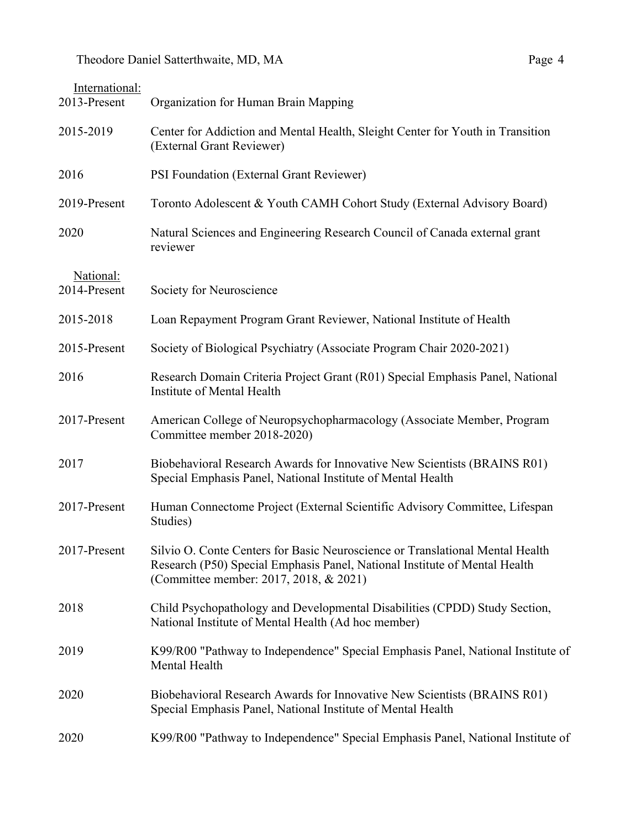| International:<br>2013-Present | Organization for Human Brain Mapping                                                                                                                                                                  |
|--------------------------------|-------------------------------------------------------------------------------------------------------------------------------------------------------------------------------------------------------|
| 2015-2019                      | Center for Addiction and Mental Health, Sleight Center for Youth in Transition<br>(External Grant Reviewer)                                                                                           |
| 2016                           | PSI Foundation (External Grant Reviewer)                                                                                                                                                              |
| 2019-Present                   | Toronto Adolescent & Youth CAMH Cohort Study (External Advisory Board)                                                                                                                                |
| 2020                           | Natural Sciences and Engineering Research Council of Canada external grant<br>reviewer                                                                                                                |
| National:<br>2014-Present      | Society for Neuroscience                                                                                                                                                                              |
| 2015-2018                      | Loan Repayment Program Grant Reviewer, National Institute of Health                                                                                                                                   |
| 2015-Present                   | Society of Biological Psychiatry (Associate Program Chair 2020-2021)                                                                                                                                  |
| 2016                           | Research Domain Criteria Project Grant (R01) Special Emphasis Panel, National<br>Institute of Mental Health                                                                                           |
| 2017-Present                   | American College of Neuropsychopharmacology (Associate Member, Program<br>Committee member 2018-2020)                                                                                                 |
| 2017                           | Biobehavioral Research Awards for Innovative New Scientists (BRAINS R01)<br>Special Emphasis Panel, National Institute of Mental Health                                                               |
| 2017-Present                   | Human Connectome Project (External Scientific Advisory Committee, Lifespan<br>Studies)                                                                                                                |
| 2017-Present                   | Silvio O. Conte Centers for Basic Neuroscience or Translational Mental Health<br>Research (P50) Special Emphasis Panel, National Institute of Mental Health<br>(Committee member: 2017, 2018, & 2021) |
| 2018                           | Child Psychopathology and Developmental Disabilities (CPDD) Study Section,<br>National Institute of Mental Health (Ad hoc member)                                                                     |
| 2019                           | K99/R00 "Pathway to Independence" Special Emphasis Panel, National Institute of<br>Mental Health                                                                                                      |
| 2020                           | Biobehavioral Research Awards for Innovative New Scientists (BRAINS R01)<br>Special Emphasis Panel, National Institute of Mental Health                                                               |
| 2020                           | K99/R00 "Pathway to Independence" Special Emphasis Panel, National Institute of                                                                                                                       |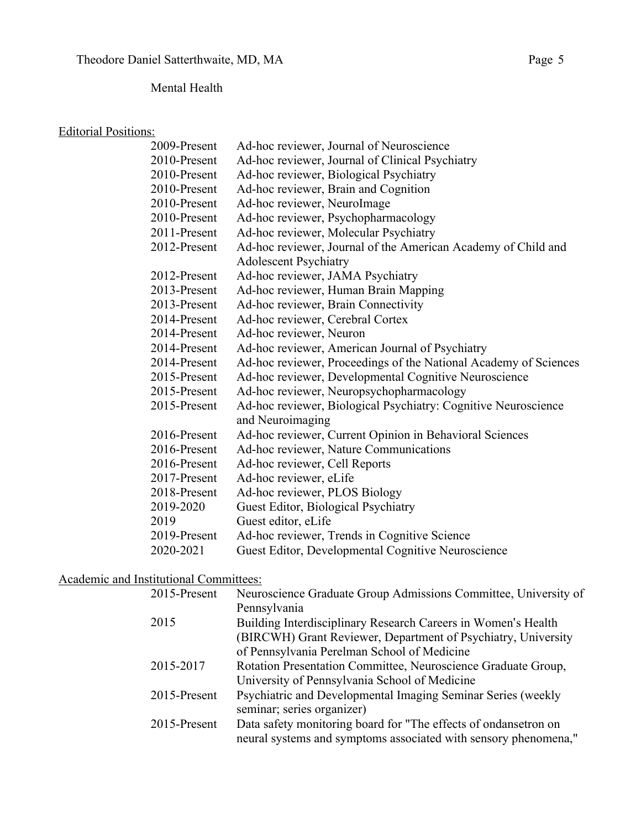# Mental Health

## Editorial Positions:

| 2009-Present | Ad-hoc reviewer, Journal of Neuroscience                         |
|--------------|------------------------------------------------------------------|
| 2010-Present | Ad-hoc reviewer, Journal of Clinical Psychiatry                  |
| 2010-Present | Ad-hoc reviewer, Biological Psychiatry                           |
| 2010-Present | Ad-hoc reviewer, Brain and Cognition                             |
| 2010-Present | Ad-hoc reviewer, NeuroImage                                      |
| 2010-Present | Ad-hoc reviewer, Psychopharmacology                              |
| 2011-Present | Ad-hoc reviewer, Molecular Psychiatry                            |
| 2012-Present | Ad-hoc reviewer, Journal of the American Academy of Child and    |
|              | <b>Adolescent Psychiatry</b>                                     |
| 2012-Present | Ad-hoc reviewer, JAMA Psychiatry                                 |
| 2013-Present | Ad-hoc reviewer, Human Brain Mapping                             |
| 2013-Present | Ad-hoc reviewer, Brain Connectivity                              |
| 2014-Present | Ad-hoc reviewer, Cerebral Cortex                                 |
| 2014-Present | Ad-hoc reviewer, Neuron                                          |
| 2014-Present | Ad-hoc reviewer, American Journal of Psychiatry                  |
| 2014-Present | Ad-hoc reviewer, Proceedings of the National Academy of Sciences |
| 2015-Present | Ad-hoc reviewer, Developmental Cognitive Neuroscience            |
| 2015-Present | Ad-hoc reviewer, Neuropsychopharmacology                         |
| 2015-Present | Ad-hoc reviewer, Biological Psychiatry: Cognitive Neuroscience   |
|              | and Neuroimaging                                                 |
| 2016-Present | Ad-hoc reviewer, Current Opinion in Behavioral Sciences          |
| 2016-Present | Ad-hoc reviewer, Nature Communications                           |
| 2016-Present | Ad-hoc reviewer, Cell Reports                                    |
| 2017-Present | Ad-hoc reviewer, eLife                                           |
| 2018-Present | Ad-hoc reviewer, PLOS Biology                                    |
| 2019-2020    | Guest Editor, Biological Psychiatry                              |
| 2019         | Guest editor, eLife                                              |
| 2019-Present | Ad-hoc reviewer, Trends in Cognitive Science                     |
| 2020-2021    | Guest Editor, Developmental Cognitive Neuroscience               |
|              |                                                                  |

# Academic and Institutional Committees:

| Pennsylvania<br>2015<br>Building Interdisciplinary Research Careers in Women's Health<br>(BIRCWH) Grant Reviewer, Department of Psychiatry, University |
|--------------------------------------------------------------------------------------------------------------------------------------------------------|
|                                                                                                                                                        |
|                                                                                                                                                        |
|                                                                                                                                                        |
| of Pennsylvania Perelman School of Medicine                                                                                                            |
| Rotation Presentation Committee, Neuroscience Graduate Group,<br>2015-2017                                                                             |
| University of Pennsylvania School of Medicine                                                                                                          |
| Psychiatric and Developmental Imaging Seminar Series (weekly<br>2015-Present                                                                           |
| seminar; series organizer)                                                                                                                             |
| Data safety monitoring board for "The effects of ondansetron on<br>2015-Present                                                                        |
| neural systems and symptoms associated with sensory phenomena,"                                                                                        |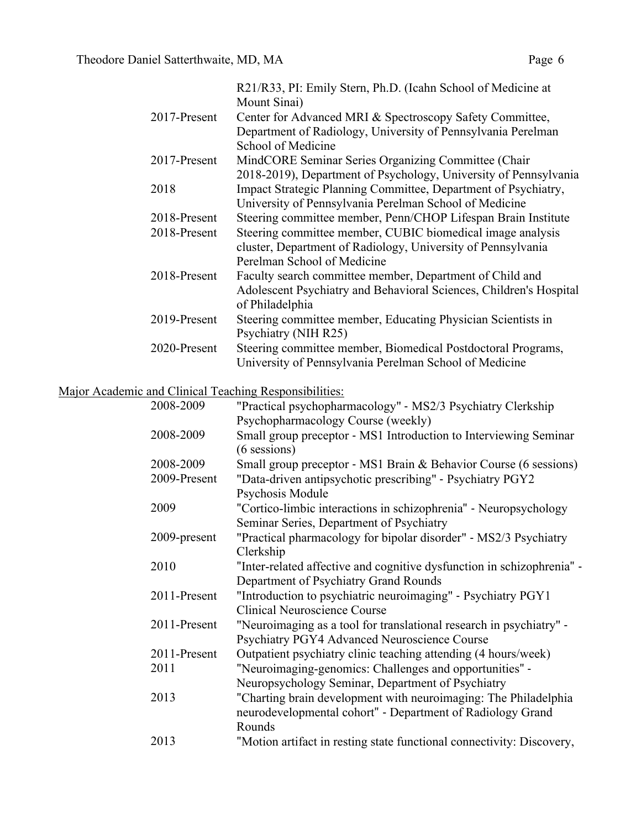|              | R21/R33, PI: Emily Stern, Ph.D. (Icahn School of Medicine at       |
|--------------|--------------------------------------------------------------------|
|              | Mount Sinai)                                                       |
| 2017-Present | Center for Advanced MRI & Spectroscopy Safety Committee,           |
|              | Department of Radiology, University of Pennsylvania Perelman       |
|              | School of Medicine                                                 |
| 2017-Present | MindCORE Seminar Series Organizing Committee (Chair                |
|              | 2018-2019), Department of Psychology, University of Pennsylvania   |
| 2018         | Impact Strategic Planning Committee, Department of Psychiatry,     |
|              | University of Pennsylvania Perelman School of Medicine             |
| 2018-Present | Steering committee member, Penn/CHOP Lifespan Brain Institute      |
| 2018-Present | Steering committee member, CUBIC biomedical image analysis         |
|              | cluster, Department of Radiology, University of Pennsylvania       |
|              | Perelman School of Medicine                                        |
| 2018-Present | Faculty search committee member, Department of Child and           |
|              | Adolescent Psychiatry and Behavioral Sciences, Children's Hospital |
|              | of Philadelphia                                                    |
| 2019-Present | Steering committee member, Educating Physician Scientists in       |
|              | Psychiatry (NIH R25)                                               |
| 2020-Present | Steering committee member, Biomedical Postdoctoral Programs,       |
|              | University of Pennsylvania Perelman School of Medicine             |

# Major Academic and Clinical Teaching Responsibilities:

| 2008-2009    | "Practical psychopharmacology" - MS2/3 Psychiatry Clerkship            |
|--------------|------------------------------------------------------------------------|
|              | Psychopharmacology Course (weekly)                                     |
| 2008-2009    | Small group preceptor - MS1 Introduction to Interviewing Seminar       |
|              | $(6$ sessions)                                                         |
| 2008-2009    | Small group preceptor - MS1 Brain & Behavior Course (6 sessions)       |
| 2009-Present | "Data-driven antipsychotic prescribing" - Psychiatry PGY2              |
|              | Psychosis Module                                                       |
| 2009         | "Cortico-limbic interactions in schizophrenia" - Neuropsychology       |
|              | Seminar Series, Department of Psychiatry                               |
| 2009-present | "Practical pharmacology for bipolar disorder" - MS2/3 Psychiatry       |
|              | Clerkship                                                              |
| 2010         | "Inter-related affective and cognitive dysfunction in schizophrenia" - |
|              | Department of Psychiatry Grand Rounds                                  |
| 2011-Present | "Introduction to psychiatric neuroimaging" - Psychiatry PGY1           |
|              | <b>Clinical Neuroscience Course</b>                                    |
| 2011-Present | "Neuroimaging as a tool for translational research in psychiatry" -    |
|              | Psychiatry PGY4 Advanced Neuroscience Course                           |
| 2011-Present | Outpatient psychiatry clinic teaching attending (4 hours/week)         |
| 2011         | "Neuroimaging-genomics: Challenges and opportunities" -                |
|              | Neuropsychology Seminar, Department of Psychiatry                      |
| 2013         | "Charting brain development with neuroimaging: The Philadelphia        |
|              | neurodevelopmental cohort" - Department of Radiology Grand             |
|              | Rounds                                                                 |
| 2013         | "Motion artifact in resting state functional connectivity: Discovery,  |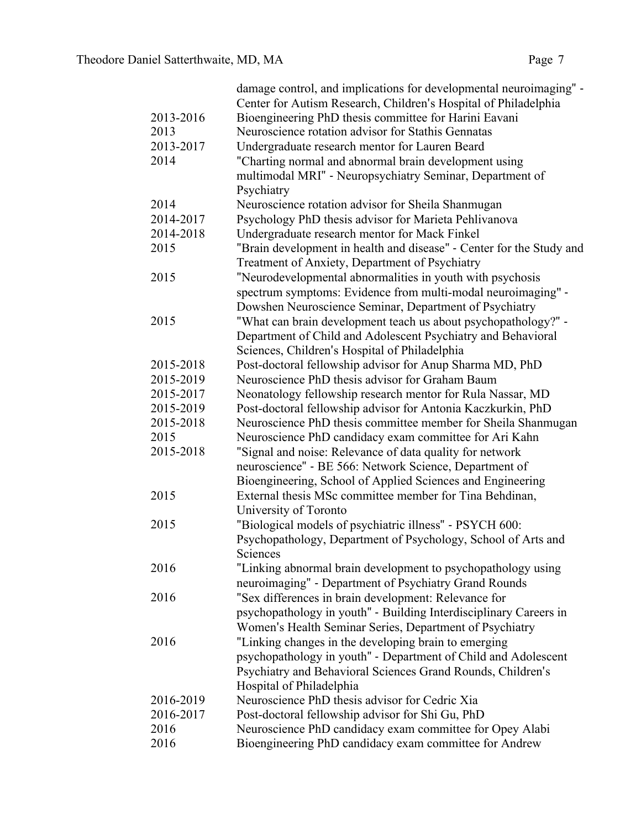|           | damage control, and implications for developmental neuroimaging" -   |
|-----------|----------------------------------------------------------------------|
|           | Center for Autism Research, Children's Hospital of Philadelphia      |
| 2013-2016 | Bioengineering PhD thesis committee for Harini Eavani                |
| 2013      | Neuroscience rotation advisor for Stathis Gennatas                   |
| 2013-2017 | Undergraduate research mentor for Lauren Beard                       |
| 2014      | "Charting normal and abnormal brain development using                |
|           | multimodal MRI" - Neuropsychiatry Seminar, Department of             |
|           | Psychiatry                                                           |
| 2014      | Neuroscience rotation advisor for Sheila Shanmugan                   |
| 2014-2017 | Psychology PhD thesis advisor for Marieta Pehlivanova                |
| 2014-2018 | Undergraduate research mentor for Mack Finkel                        |
| 2015      | "Brain development in health and disease" - Center for the Study and |
|           | Treatment of Anxiety, Department of Psychiatry                       |
| 2015      | "Neurodevelopmental abnormalities in youth with psychosis            |
|           | spectrum symptoms: Evidence from multi-modal neuroimaging" -         |
|           | Dowshen Neuroscience Seminar, Department of Psychiatry               |
| 2015      | "What can brain development teach us about psychopathology?" -       |
|           | Department of Child and Adolescent Psychiatry and Behavioral         |
|           | Sciences, Children's Hospital of Philadelphia                        |
| 2015-2018 | Post-doctoral fellowship advisor for Anup Sharma MD, PhD             |
| 2015-2019 | Neuroscience PhD thesis advisor for Graham Baum                      |
| 2015-2017 | Neonatology fellowship research mentor for Rula Nassar, MD           |
| 2015-2019 | Post-doctoral fellowship advisor for Antonia Kaczkurkin, PhD         |
| 2015-2018 | Neuroscience PhD thesis committee member for Sheila Shanmugan        |
| 2015      | Neuroscience PhD candidacy exam committee for Ari Kahn               |
| 2015-2018 | "Signal and noise: Relevance of data quality for network             |
|           | neuroscience" - BE 566: Network Science, Department of               |
|           | Bioengineering, School of Applied Sciences and Engineering           |
| 2015      | External thesis MSc committee member for Tina Behdinan,              |
|           | University of Toronto                                                |
| 2015      | "Biological models of psychiatric illness" - PSYCH 600:              |
|           | Psychopathology, Department of Psychology, School of Arts and        |
|           | Sciences                                                             |
| 2016      | "Linking abnormal brain development to psychopathology using         |
|           | neuroimaging" - Department of Psychiatry Grand Rounds                |
| 2016      | "Sex differences in brain development: Relevance for                 |
|           | psychopathology in youth" - Building Interdisciplinary Careers in    |
|           | Women's Health Seminar Series, Department of Psychiatry              |
| 2016      | "Linking changes in the developing brain to emerging                 |
|           | psychopathology in youth" - Department of Child and Adolescent       |
|           | Psychiatry and Behavioral Sciences Grand Rounds, Children's          |
|           | Hospital of Philadelphia                                             |
| 2016-2019 | Neuroscience PhD thesis advisor for Cedric Xia                       |
| 2016-2017 | Post-doctoral fellowship advisor for Shi Gu, PhD                     |
| 2016      | Neuroscience PhD candidacy exam committee for Opey Alabi             |
| 2016      | Bioengineering PhD candidacy exam committee for Andrew               |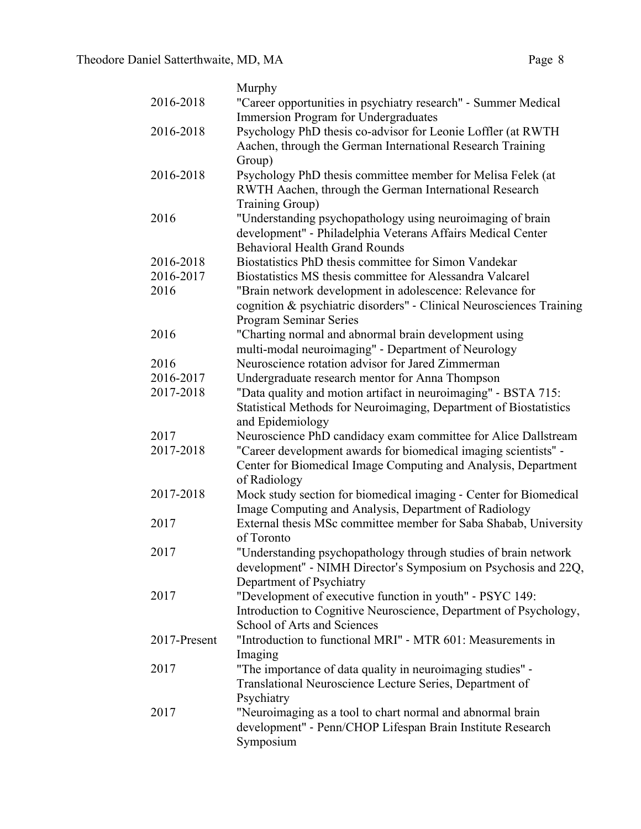|              | Murphy                                                               |
|--------------|----------------------------------------------------------------------|
| 2016-2018    | "Career opportunities in psychiatry research" - Summer Medical       |
|              | <b>Immersion Program for Undergraduates</b>                          |
| 2016-2018    | Psychology PhD thesis co-advisor for Leonie Loffler (at RWTH         |
|              | Aachen, through the German International Research Training           |
|              | Group)                                                               |
| 2016-2018    | Psychology PhD thesis committee member for Melisa Felek (at          |
|              | RWTH Aachen, through the German International Research               |
|              | Training Group)                                                      |
| 2016         | "Understanding psychopathology using neuroimaging of brain           |
|              | development" - Philadelphia Veterans Affairs Medical Center          |
|              | <b>Behavioral Health Grand Rounds</b>                                |
| 2016-2018    | Biostatistics PhD thesis committee for Simon Vandekar                |
| 2016-2017    | Biostatistics MS thesis committee for Alessandra Valcarel            |
| 2016         | "Brain network development in adolescence: Relevance for             |
|              | cognition & psychiatric disorders" - Clinical Neurosciences Training |
|              | <b>Program Seminar Series</b>                                        |
| 2016         | "Charting normal and abnormal brain development using                |
|              | multi-modal neuroimaging" - Department of Neurology                  |
| 2016         | Neuroscience rotation advisor for Jared Zimmerman                    |
| 2016-2017    | Undergraduate research mentor for Anna Thompson                      |
| 2017-2018    | "Data quality and motion artifact in neuroimaging" - BSTA 715:       |
|              | Statistical Methods for Neuroimaging, Department of Biostatistics    |
|              | and Epidemiology                                                     |
| 2017         | Neuroscience PhD candidacy exam committee for Alice Dallstream       |
| 2017-2018    | "Career development awards for biomedical imaging scientists" -      |
|              | Center for Biomedical Image Computing and Analysis, Department       |
|              | of Radiology                                                         |
| 2017-2018    | Mock study section for biomedical imaging - Center for Biomedical    |
|              | Image Computing and Analysis, Department of Radiology                |
| 2017         | External thesis MSc committee member for Saba Shabab, University     |
|              | of Toronto                                                           |
| 2017         | "Understanding psychopathology through studies of brain network      |
|              | development" - NIMH Director's Symposium on Psychosis and 22Q,       |
|              | Department of Psychiatry                                             |
| 2017         | "Development of executive function in youth" - PSYC 149:             |
|              | Introduction to Cognitive Neuroscience, Department of Psychology,    |
|              | School of Arts and Sciences                                          |
| 2017-Present | "Introduction to functional MRI" - MTR 601: Measurements in          |
|              | Imaging                                                              |
| 2017         | "The importance of data quality in neuroimaging studies" -           |
|              | Translational Neuroscience Lecture Series, Department of             |
|              | Psychiatry                                                           |
| 2017         | "Neuroimaging as a tool to chart normal and abnormal brain           |
|              | development" - Penn/CHOP Lifespan Brain Institute Research           |
|              | Symposium                                                            |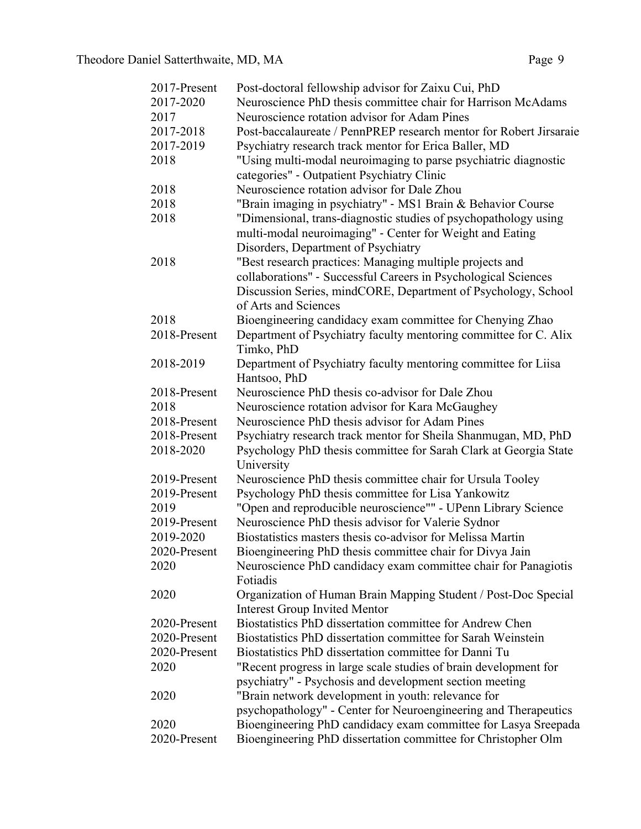| 2017-Present | Post-doctoral fellowship advisor for Zaixu Cui, PhD                |
|--------------|--------------------------------------------------------------------|
| 2017-2020    | Neuroscience PhD thesis committee chair for Harrison McAdams       |
| 2017         | Neuroscience rotation advisor for Adam Pines                       |
| 2017-2018    | Post-baccalaureate / PennPREP research mentor for Robert Jirsaraie |
| 2017-2019    | Psychiatry research track mentor for Erica Baller, MD              |
| 2018         | "Using multi-modal neuroimaging to parse psychiatric diagnostic    |
|              | categories" - Outpatient Psychiatry Clinic                         |
| 2018         | Neuroscience rotation advisor for Dale Zhou                        |
| 2018         | "Brain imaging in psychiatry" - MS1 Brain & Behavior Course        |
| 2018         | "Dimensional, trans-diagnostic studies of psychopathology using    |
|              | multi-modal neuroimaging" - Center for Weight and Eating           |
|              | Disorders, Department of Psychiatry                                |
| 2018         | "Best research practices: Managing multiple projects and           |
|              | collaborations" - Successful Careers in Psychological Sciences     |
|              | Discussion Series, mindCORE, Department of Psychology, School      |
|              | of Arts and Sciences                                               |
| 2018         | Bioengineering candidacy exam committee for Chenying Zhao          |
| 2018-Present | Department of Psychiatry faculty mentoring committee for C. Alix   |
|              | Timko, PhD                                                         |
| 2018-2019    | Department of Psychiatry faculty mentoring committee for Liisa     |
|              | Hantsoo, PhD                                                       |
| 2018-Present | Neuroscience PhD thesis co-advisor for Dale Zhou                   |
| 2018         | Neuroscience rotation advisor for Kara McGaughey                   |
| 2018-Present | Neuroscience PhD thesis advisor for Adam Pines                     |
| 2018-Present | Psychiatry research track mentor for Sheila Shanmugan, MD, PhD     |
| 2018-2020    | Psychology PhD thesis committee for Sarah Clark at Georgia State   |
|              | University                                                         |
| 2019-Present | Neuroscience PhD thesis committee chair for Ursula Tooley          |
| 2019-Present | Psychology PhD thesis committee for Lisa Yankowitz                 |
| 2019         | "Open and reproducible neuroscience"" - UPenn Library Science      |
| 2019-Present | Neuroscience PhD thesis advisor for Valerie Sydnor                 |
| 2019-2020    | Biostatistics masters thesis co-advisor for Melissa Martin         |
| 2020-Present | Bioengineering PhD thesis committee chair for Divya Jain           |
| 2020         | Neuroscience PhD candidacy exam committee chair for Panagiotis     |
|              | Fotiadis                                                           |
| 2020         | Organization of Human Brain Mapping Student / Post-Doc Special     |
|              | <b>Interest Group Invited Mentor</b>                               |
| 2020-Present | Biostatistics PhD dissertation committee for Andrew Chen           |
| 2020-Present | Biostatistics PhD dissertation committee for Sarah Weinstein       |
| 2020-Present | Biostatistics PhD dissertation committee for Danni Tu              |
| 2020         | "Recent progress in large scale studies of brain development for   |
|              | psychiatry" - Psychosis and development section meeting            |
| 2020         | "Brain network development in youth: relevance for                 |
|              | psychopathology" - Center for Neuroengineering and Therapeutics    |
| 2020         | Bioengineering PhD candidacy exam committee for Lasya Sreepada     |
| 2020-Present | Bioengineering PhD dissertation committee for Christopher Olm      |
|              |                                                                    |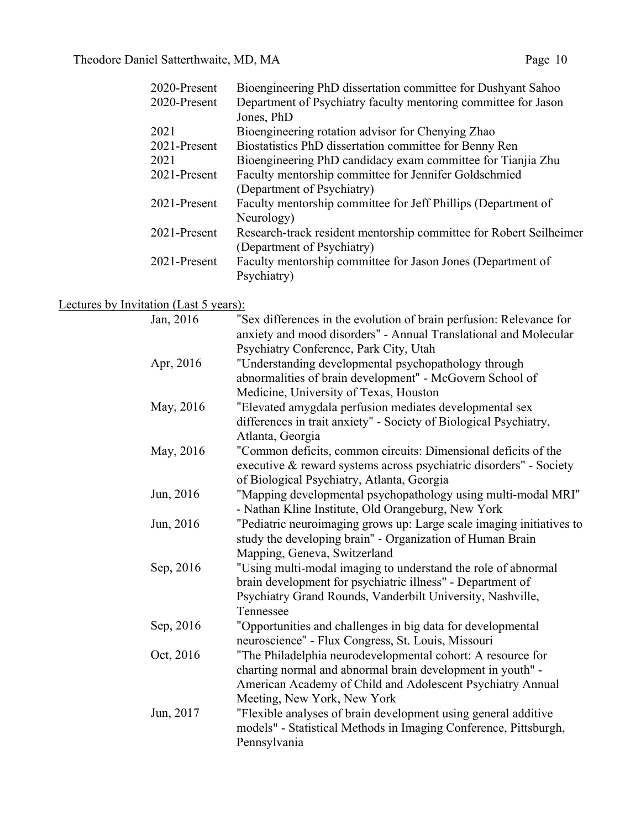| 2020-Present | Bioengineering PhD dissertation committee for Dushyant Sahoo       |
|--------------|--------------------------------------------------------------------|
| 2020-Present | Department of Psychiatry faculty mentoring committee for Jason     |
|              | Jones, PhD                                                         |
| 2021         | Bioengineering rotation advisor for Chenying Zhao                  |
| 2021-Present | Biostatistics PhD dissertation committee for Benny Ren             |
| 2021         | Bioengineering PhD candidacy exam committee for Tianjia Zhu        |
| 2021-Present | Faculty mentorship committee for Jennifer Goldschmied              |
|              | (Department of Psychiatry)                                         |
| 2021-Present | Faculty mentorship committee for Jeff Phillips (Department of      |
|              | Neurology)                                                         |
| 2021-Present | Research-track resident mentorship committee for Robert Seilheimer |
|              | (Department of Psychiatry)                                         |
| 2021-Present | Faculty mentorship committee for Jason Jones (Department of        |
|              | Psychiatry)                                                        |
|              |                                                                    |

# Lectures by Invitation (Last 5 years):

| Jan, 2016 | "Sex differences in the evolution of brain perfusion: Relevance for<br>anxiety and mood disorders" - Annual Translational and Molecular |
|-----------|-----------------------------------------------------------------------------------------------------------------------------------------|
|           | Psychiatry Conference, Park City, Utah                                                                                                  |
| Apr, 2016 | "Understanding developmental psychopathology through                                                                                    |
|           | abnormalities of brain development" - McGovern School of                                                                                |
|           | Medicine, University of Texas, Houston                                                                                                  |
| May, 2016 | "Elevated amygdala perfusion mediates developmental sex                                                                                 |
|           | differences in trait anxiety" - Society of Biological Psychiatry,<br>Atlanta, Georgia                                                   |
| May, 2016 | "Common deficits, common circuits: Dimensional deficits of the                                                                          |
|           | executive & reward systems across psychiatric disorders" - Society                                                                      |
|           | of Biological Psychiatry, Atlanta, Georgia                                                                                              |
| Jun, 2016 | "Mapping developmental psychopathology using multi-modal MRI"<br>- Nathan Kline Institute, Old Orangeburg, New York                     |
| Jun, 2016 | "Pediatric neuroimaging grows up: Large scale imaging initiatives to                                                                    |
|           | study the developing brain" - Organization of Human Brain                                                                               |
|           | Mapping, Geneva, Switzerland                                                                                                            |
| Sep, 2016 | "Using multi-modal imaging to understand the role of abnormal                                                                           |
|           | brain development for psychiatric illness" - Department of                                                                              |
|           | Psychiatry Grand Rounds, Vanderbilt University, Nashville,<br>Tennessee                                                                 |
| Sep, 2016 |                                                                                                                                         |
|           | "Opportunities and challenges in big data for developmental<br>neuroscience" - Flux Congress, St. Louis, Missouri                       |
| Oct, 2016 | "The Philadelphia neurodevelopmental cohort: A resource for                                                                             |
|           | charting normal and abnormal brain development in youth" -                                                                              |
|           | American Academy of Child and Adolescent Psychiatry Annual                                                                              |
|           | Meeting, New York, New York                                                                                                             |
| Jun, 2017 | "Flexible analyses of brain development using general additive                                                                          |
|           | models" - Statistical Methods in Imaging Conference, Pittsburgh,                                                                        |
|           | Pennsylvania                                                                                                                            |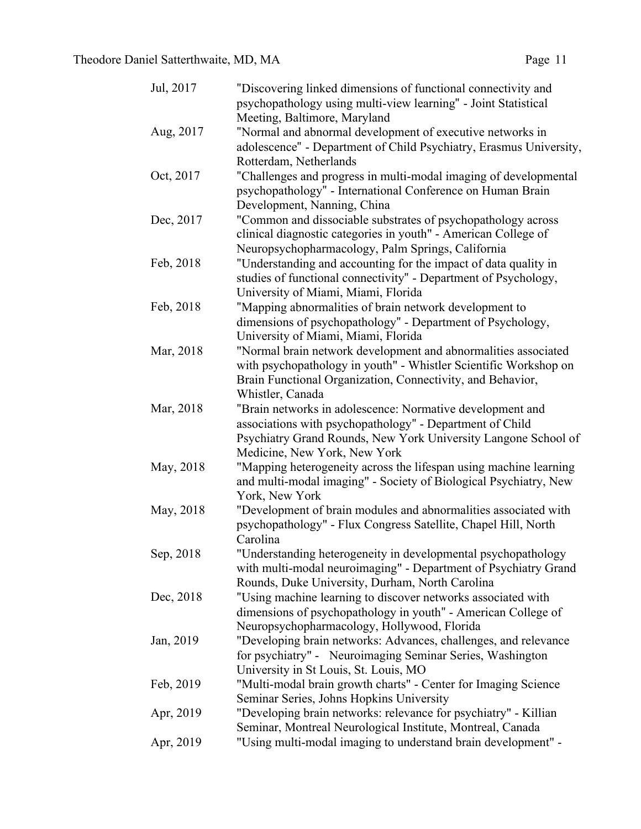| Jul, 2017 | "Discovering linked dimensions of functional connectivity and<br>psychopathology using multi-view learning" - Joint Statistical |
|-----------|---------------------------------------------------------------------------------------------------------------------------------|
|           | Meeting, Baltimore, Maryland                                                                                                    |
| Aug, 2017 | "Normal and abnormal development of executive networks in                                                                       |
|           | adolescence" - Department of Child Psychiatry, Erasmus University,                                                              |
|           | Rotterdam, Netherlands                                                                                                          |
| Oct, 2017 | "Challenges and progress in multi-modal imaging of developmental                                                                |
|           | psychopathology" - International Conference on Human Brain                                                                      |
|           | Development, Nanning, China                                                                                                     |
| Dec, 2017 | "Common and dissociable substrates of psychopathology across                                                                    |
|           | clinical diagnostic categories in youth" - American College of                                                                  |
|           | Neuropsychopharmacology, Palm Springs, California                                                                               |
| Feb, 2018 | "Understanding and accounting for the impact of data quality in                                                                 |
|           | studies of functional connectivity" - Department of Psychology,                                                                 |
|           | University of Miami, Miami, Florida                                                                                             |
| Feb, 2018 | "Mapping abnormalities of brain network development to                                                                          |
|           | dimensions of psychopathology" - Department of Psychology,                                                                      |
|           | University of Miami, Miami, Florida                                                                                             |
| Mar, 2018 | "Normal brain network development and abnormalities associated                                                                  |
|           | with psychopathology in youth" - Whistler Scientific Workshop on                                                                |
|           | Brain Functional Organization, Connectivity, and Behavior,                                                                      |
|           | Whistler, Canada                                                                                                                |
| Mar, 2018 | "Brain networks in adolescence: Normative development and                                                                       |
|           | associations with psychopathology" - Department of Child                                                                        |
|           | Psychiatry Grand Rounds, New York University Langone School of                                                                  |
|           | Medicine, New York, New York                                                                                                    |
| May, 2018 | "Mapping heterogeneity across the lifespan using machine learning                                                               |
|           | and multi-modal imaging" - Society of Biological Psychiatry, New                                                                |
|           | York, New York                                                                                                                  |
| May, 2018 | "Development of brain modules and abnormalities associated with                                                                 |
|           | psychopathology" - Flux Congress Satellite, Chapel Hill, North                                                                  |
|           | Carolina                                                                                                                        |
| Sep, 2018 | "Understanding heterogeneity in developmental psychopathology                                                                   |
|           | with multi-modal neuroimaging" - Department of Psychiatry Grand                                                                 |
|           | Rounds, Duke University, Durham, North Carolina                                                                                 |
| Dec, 2018 | "Using machine learning to discover networks associated with                                                                    |
|           | dimensions of psychopathology in youth" - American College of                                                                   |
|           | Neuropsychopharmacology, Hollywood, Florida                                                                                     |
| Jan, 2019 | "Developing brain networks: Advances, challenges, and relevance                                                                 |
|           | for psychiatry" - Neuroimaging Seminar Series, Washington                                                                       |
|           | University in St Louis, St. Louis, MO                                                                                           |
| Feb, 2019 | "Multi-modal brain growth charts" - Center for Imaging Science                                                                  |
|           | Seminar Series, Johns Hopkins University                                                                                        |
| Apr, 2019 | "Developing brain networks: relevance for psychiatry" - Killian                                                                 |
|           | Seminar, Montreal Neurological Institute, Montreal, Canada                                                                      |
| Apr, 2019 | "Using multi-modal imaging to understand brain development" -                                                                   |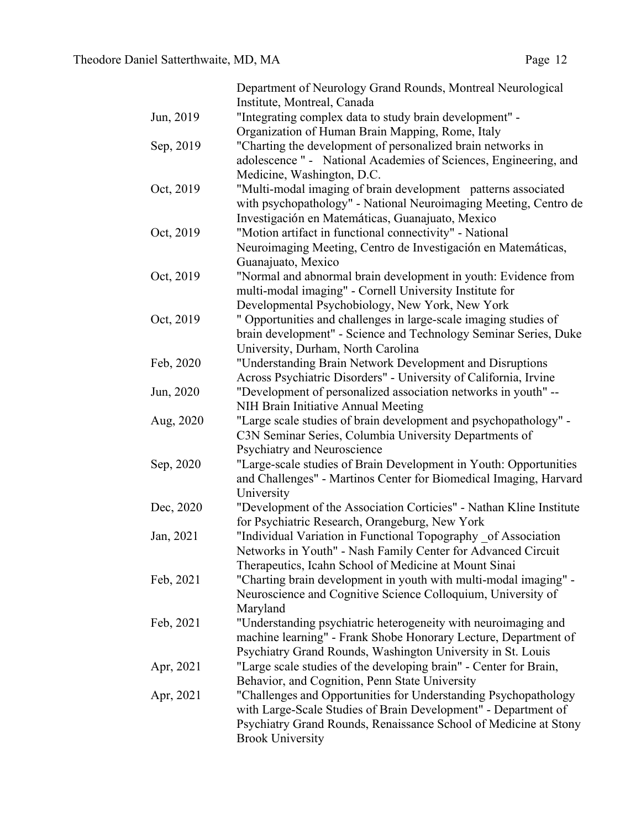|           | Department of Neurology Grand Rounds, Montreal Neurological         |
|-----------|---------------------------------------------------------------------|
|           | Institute, Montreal, Canada                                         |
| Jun, 2019 | "Integrating complex data to study brain development" -             |
|           | Organization of Human Brain Mapping, Rome, Italy                    |
| Sep, 2019 | "Charting the development of personalized brain networks in         |
|           | adolescence " - National Academies of Sciences, Engineering, and    |
|           | Medicine, Washington, D.C.                                          |
| Oct, 2019 | "Multi-modal imaging of brain development patterns associated       |
|           | with psychopathology" - National Neuroimaging Meeting, Centro de    |
|           | Investigación en Matemáticas, Guanajuato, Mexico                    |
| Oct, 2019 | "Motion artifact in functional connectivity" - National             |
|           | Neuroimaging Meeting, Centro de Investigación en Matemáticas,       |
|           | Guanajuato, Mexico                                                  |
| Oct, 2019 | "Normal and abnormal brain development in youth: Evidence from      |
|           | multi-modal imaging" - Cornell University Institute for             |
|           | Developmental Psychobiology, New York, New York                     |
| Oct, 2019 | " Opportunities and challenges in large-scale imaging studies of    |
|           | brain development" - Science and Technology Seminar Series, Duke    |
|           | University, Durham, North Carolina                                  |
| Feb, 2020 | "Understanding Brain Network Development and Disruptions            |
|           | Across Psychiatric Disorders" - University of California, Irvine    |
| Jun, 2020 | "Development of personalized association networks in youth" --      |
|           | NIH Brain Initiative Annual Meeting                                 |
| Aug, 2020 | "Large scale studies of brain development and psychopathology" -    |
|           | C3N Seminar Series, Columbia University Departments of              |
|           | Psychiatry and Neuroscience                                         |
| Sep, 2020 | "Large-scale studies of Brain Development in Youth: Opportunities   |
|           | and Challenges" - Martinos Center for Biomedical Imaging, Harvard   |
|           | University                                                          |
| Dec, 2020 | "Development of the Association Corticies" - Nathan Kline Institute |
|           | for Psychiatric Research, Orangeburg, New York                      |
| Jan, 2021 | "Individual Variation in Functional Topography _of Association      |
|           | Networks in Youth" - Nash Family Center for Advanced Circuit        |
|           | Therapeutics, Icahn School of Medicine at Mount Sinai               |
| Feb, 2021 | "Charting brain development in youth with multi-modal imaging" -    |
|           | Neuroscience and Cognitive Science Colloquium, University of        |
|           | Maryland                                                            |
| Feb, 2021 | "Understanding psychiatric heterogeneity with neuroimaging and      |
|           | machine learning" - Frank Shobe Honorary Lecture, Department of     |
|           | Psychiatry Grand Rounds, Washington University in St. Louis         |
| Apr, 2021 | "Large scale studies of the developing brain" - Center for Brain,   |
|           | Behavior, and Cognition, Penn State University                      |
| Apr, 2021 | "Challenges and Opportunities for Understanding Psychopathology     |
|           | with Large-Scale Studies of Brain Development" - Department of      |
|           | Psychiatry Grand Rounds, Renaissance School of Medicine at Stony    |
|           | <b>Brook University</b>                                             |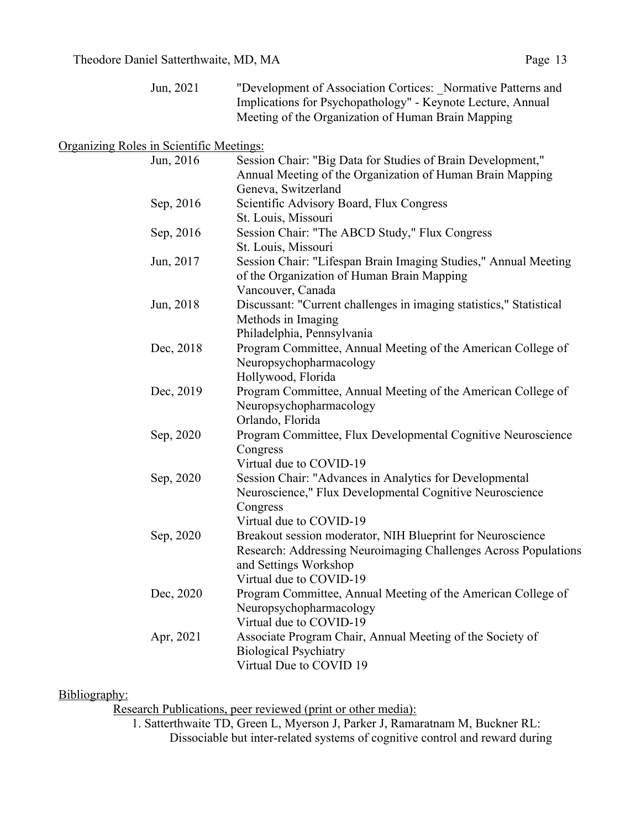| Jun, 2021 | "Development of Association Cortices: Normative Patterns and |
|-----------|--------------------------------------------------------------|
|           | Implications for Psychopathology" - Keynote Lecture, Annual  |
|           | Meeting of the Organization of Human Brain Mapping           |

## Organizing Roles in Scientific Meetings:

| Jun, 2016 | Session Chair: "Big Data for Studies of Brain Development,"         |
|-----------|---------------------------------------------------------------------|
|           | Annual Meeting of the Organization of Human Brain Mapping           |
|           | Geneva, Switzerland                                                 |
| Sep, 2016 | Scientific Advisory Board, Flux Congress                            |
|           | St. Louis, Missouri                                                 |
| Sep, 2016 | Session Chair: "The ABCD Study," Flux Congress                      |
|           | St. Louis, Missouri                                                 |
| Jun, 2017 | Session Chair: "Lifespan Brain Imaging Studies," Annual Meeting     |
|           | of the Organization of Human Brain Mapping                          |
|           | Vancouver, Canada                                                   |
| Jun, 2018 | Discussant: "Current challenges in imaging statistics," Statistical |
|           | Methods in Imaging                                                  |
|           | Philadelphia, Pennsylvania                                          |
| Dec, 2018 | Program Committee, Annual Meeting of the American College of        |
|           | Neuropsychopharmacology                                             |
|           | Hollywood, Florida                                                  |
| Dec, 2019 | Program Committee, Annual Meeting of the American College of        |
|           | Neuropsychopharmacology                                             |
|           | Orlando, Florida                                                    |
| Sep, 2020 | Program Committee, Flux Developmental Cognitive Neuroscience        |
|           | Congress                                                            |
|           | Virtual due to COVID-19                                             |
| Sep, 2020 | Session Chair: "Advances in Analytics for Developmental             |
|           | Neuroscience," Flux Developmental Cognitive Neuroscience            |
|           | Congress                                                            |
|           | Virtual due to COVID-19                                             |
| Sep, 2020 | Breakout session moderator, NIH Blueprint for Neuroscience          |
|           | Research: Addressing Neuroimaging Challenges Across Populations     |
|           | and Settings Workshop                                               |
|           | Virtual due to COVID-19                                             |
| Dec, 2020 | Program Committee, Annual Meeting of the American College of        |
|           | Neuropsychopharmacology<br>Virtual due to COVID-19                  |
|           |                                                                     |
| Apr, 2021 | Associate Program Chair, Annual Meeting of the Society of           |
|           | <b>Biological Psychiatry</b><br>Virtual Due to COVID 19             |
|           |                                                                     |

### Bibliography:

Research Publications, peer reviewed (print or other media):

1. Satterthwaite TD, Green L, Myerson J, Parker J, Ramaratnam M, Buckner RL: Dissociable but inter-related systems of cognitive control and reward during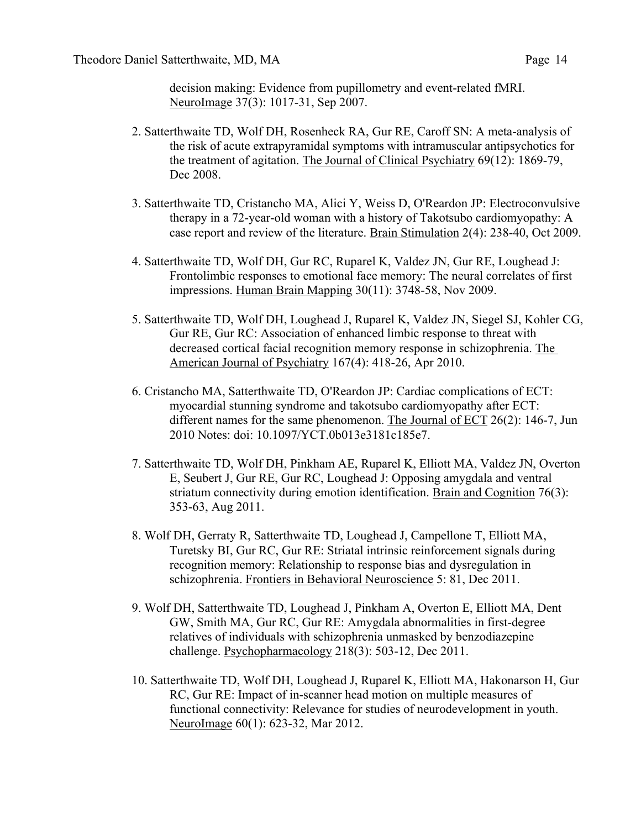decision making: Evidence from pupillometry and event-related fMRI. NeuroImage 37(3): 1017-31, Sep 2007.

- 2. Satterthwaite TD, Wolf DH, Rosenheck RA, Gur RE, Caroff SN: A meta-analysis of the risk of acute extrapyramidal symptoms with intramuscular antipsychotics for the treatment of agitation. The Journal of Clinical Psychiatry 69(12): 1869-79, Dec 2008.
- 3. Satterthwaite TD, Cristancho MA, Alici Y, Weiss D, O'Reardon JP: Electroconvulsive therapy in a 72-year-old woman with a history of Takotsubo cardiomyopathy: A case report and review of the literature. Brain Stimulation 2(4): 238-40, Oct 2009.
- 4. Satterthwaite TD, Wolf DH, Gur RC, Ruparel K, Valdez JN, Gur RE, Loughead J: Frontolimbic responses to emotional face memory: The neural correlates of first impressions. Human Brain Mapping 30(11): 3748-58, Nov 2009.
- 5. Satterthwaite TD, Wolf DH, Loughead J, Ruparel K, Valdez JN, Siegel SJ, Kohler CG, Gur RE, Gur RC: Association of enhanced limbic response to threat with decreased cortical facial recognition memory response in schizophrenia. The American Journal of Psychiatry 167(4): 418-26, Apr 2010.
- 6. Cristancho MA, Satterthwaite TD, O'Reardon JP: Cardiac complications of ECT: myocardial stunning syndrome and takotsubo cardiomyopathy after ECT: different names for the same phenomenon. The Journal of ECT 26(2): 146-7, Jun 2010 Notes: doi: 10.1097/YCT.0b013e3181c185e7.
- 7. Satterthwaite TD, Wolf DH, Pinkham AE, Ruparel K, Elliott MA, Valdez JN, Overton E, Seubert J, Gur RE, Gur RC, Loughead J: Opposing amygdala and ventral striatum connectivity during emotion identification. Brain and Cognition 76(3): 353-63, Aug 2011.
- 8. Wolf DH, Gerraty R, Satterthwaite TD, Loughead J, Campellone T, Elliott MA, Turetsky BI, Gur RC, Gur RE: Striatal intrinsic reinforcement signals during recognition memory: Relationship to response bias and dysregulation in schizophrenia. Frontiers in Behavioral Neuroscience 5: 81, Dec 2011.
- 9. Wolf DH, Satterthwaite TD, Loughead J, Pinkham A, Overton E, Elliott MA, Dent GW, Smith MA, Gur RC, Gur RE: Amygdala abnormalities in first-degree relatives of individuals with schizophrenia unmasked by benzodiazepine challenge. Psychopharmacology 218(3): 503-12, Dec 2011.
- 10. Satterthwaite TD, Wolf DH, Loughead J, Ruparel K, Elliott MA, Hakonarson H, Gur RC, Gur RE: Impact of in-scanner head motion on multiple measures of functional connectivity: Relevance for studies of neurodevelopment in youth. NeuroImage 60(1): 623-32, Mar 2012.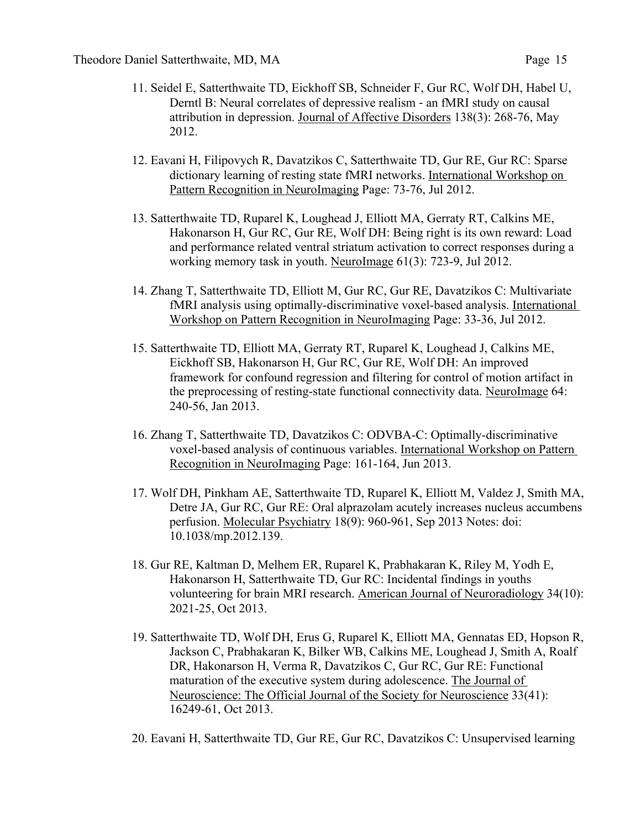- 11. Seidel E, Satterthwaite TD, Eickhoff SB, Schneider F, Gur RC, Wolf DH, Habel U, Derntl B: Neural correlates of depressive realism - an fMRI study on causal attribution in depression. Journal of Affective Disorders 138(3): 268-76, May 2012.
- 12. Eavani H, Filipovych R, Davatzikos C, Satterthwaite TD, Gur RE, Gur RC: Sparse dictionary learning of resting state fMRI networks. International Workshop on Pattern Recognition in NeuroImaging Page: 73-76, Jul 2012.
- 13. Satterthwaite TD, Ruparel K, Loughead J, Elliott MA, Gerraty RT, Calkins ME, Hakonarson H, Gur RC, Gur RE, Wolf DH: Being right is its own reward: Load and performance related ventral striatum activation to correct responses during a working memory task in youth. NeuroImage 61(3): 723-9, Jul 2012.
- 14. Zhang T, Satterthwaite TD, Elliott M, Gur RC, Gur RE, Davatzikos C: Multivariate fMRI analysis using optimally-discriminative voxel-based analysis. International Workshop on Pattern Recognition in NeuroImaging Page: 33-36, Jul 2012.
- 15. Satterthwaite TD, Elliott MA, Gerraty RT, Ruparel K, Loughead J, Calkins ME, Eickhoff SB, Hakonarson H, Gur RC, Gur RE, Wolf DH: An improved framework for confound regression and filtering for control of motion artifact in the preprocessing of resting-state functional connectivity data. NeuroImage 64: 240-56, Jan 2013.
- 16. Zhang T, Satterthwaite TD, Davatzikos C: ODVBA-C: Optimally-discriminative voxel-based analysis of continuous variables. International Workshop on Pattern Recognition in NeuroImaging Page: 161-164, Jun 2013.
- 17. Wolf DH, Pinkham AE, Satterthwaite TD, Ruparel K, Elliott M, Valdez J, Smith MA, Detre JA, Gur RC, Gur RE: Oral alprazolam acutely increases nucleus accumbens perfusion. Molecular Psychiatry 18(9): 960-961, Sep 2013 Notes: doi: 10.1038/mp.2012.139.
- 18. Gur RE, Kaltman D, Melhem ER, Ruparel K, Prabhakaran K, Riley M, Yodh E, Hakonarson H, Satterthwaite TD, Gur RC: Incidental findings in youths volunteering for brain MRI research. American Journal of Neuroradiology 34(10): 2021-25, Oct 2013.
- 19. Satterthwaite TD, Wolf DH, Erus G, Ruparel K, Elliott MA, Gennatas ED, Hopson R, Jackson C, Prabhakaran K, Bilker WB, Calkins ME, Loughead J, Smith A, Roalf DR, Hakonarson H, Verma R, Davatzikos C, Gur RC, Gur RE: Functional maturation of the executive system during adolescence. The Journal of Neuroscience: The Official Journal of the Society for Neuroscience 33(41): 16249-61, Oct 2013.
- 20. Eavani H, Satterthwaite TD, Gur RE, Gur RC, Davatzikos C: Unsupervised learning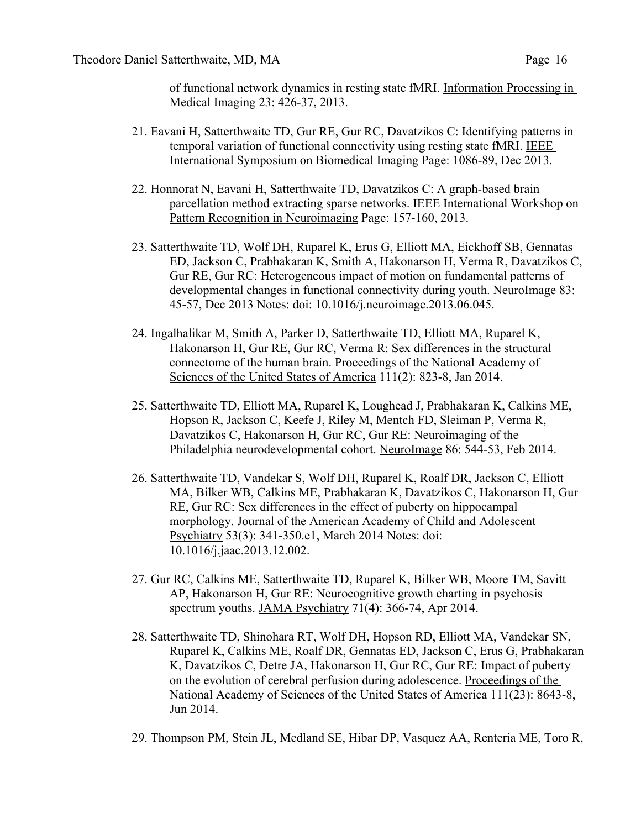of functional network dynamics in resting state fMRI. Information Processing in Medical Imaging 23: 426-37, 2013.

- 21. Eavani H, Satterthwaite TD, Gur RE, Gur RC, Davatzikos C: Identifying patterns in temporal variation of functional connectivity using resting state fMRI. IEEE International Symposium on Biomedical Imaging Page: 1086-89, Dec 2013.
- 22. Honnorat N, Eavani H, Satterthwaite TD, Davatzikos C: A graph-based brain parcellation method extracting sparse networks. IEEE International Workshop on Pattern Recognition in Neuroimaging Page: 157-160, 2013.
- 23. Satterthwaite TD, Wolf DH, Ruparel K, Erus G, Elliott MA, Eickhoff SB, Gennatas ED, Jackson C, Prabhakaran K, Smith A, Hakonarson H, Verma R, Davatzikos C, Gur RE, Gur RC: Heterogeneous impact of motion on fundamental patterns of developmental changes in functional connectivity during youth. NeuroImage 83: 45-57, Dec 2013 Notes: doi: 10.1016/j.neuroimage.2013.06.045.
- 24. Ingalhalikar M, Smith A, Parker D, Satterthwaite TD, Elliott MA, Ruparel K, Hakonarson H, Gur RE, Gur RC, Verma R: Sex differences in the structural connectome of the human brain. Proceedings of the National Academy of Sciences of the United States of America 111(2): 823-8, Jan 2014.
- 25. Satterthwaite TD, Elliott MA, Ruparel K, Loughead J, Prabhakaran K, Calkins ME, Hopson R, Jackson C, Keefe J, Riley M, Mentch FD, Sleiman P, Verma R, Davatzikos C, Hakonarson H, Gur RC, Gur RE: Neuroimaging of the Philadelphia neurodevelopmental cohort. NeuroImage 86: 544-53, Feb 2014.
- 26. Satterthwaite TD, Vandekar S, Wolf DH, Ruparel K, Roalf DR, Jackson C, Elliott MA, Bilker WB, Calkins ME, Prabhakaran K, Davatzikos C, Hakonarson H, Gur RE, Gur RC: Sex differences in the effect of puberty on hippocampal morphology. Journal of the American Academy of Child and Adolescent Psychiatry 53(3): 341-350.e1, March 2014 Notes: doi: 10.1016/j.jaac.2013.12.002.
- 27. Gur RC, Calkins ME, Satterthwaite TD, Ruparel K, Bilker WB, Moore TM, Savitt AP, Hakonarson H, Gur RE: Neurocognitive growth charting in psychosis spectrum youths. JAMA Psychiatry 71(4): 366-74, Apr 2014.
- 28. Satterthwaite TD, Shinohara RT, Wolf DH, Hopson RD, Elliott MA, Vandekar SN, Ruparel K, Calkins ME, Roalf DR, Gennatas ED, Jackson C, Erus G, Prabhakaran K, Davatzikos C, Detre JA, Hakonarson H, Gur RC, Gur RE: Impact of puberty on the evolution of cerebral perfusion during adolescence. Proceedings of the National Academy of Sciences of the United States of America 111(23): 8643-8, Jun 2014.
- 29. Thompson PM, Stein JL, Medland SE, Hibar DP, Vasquez AA, Renteria ME, Toro R,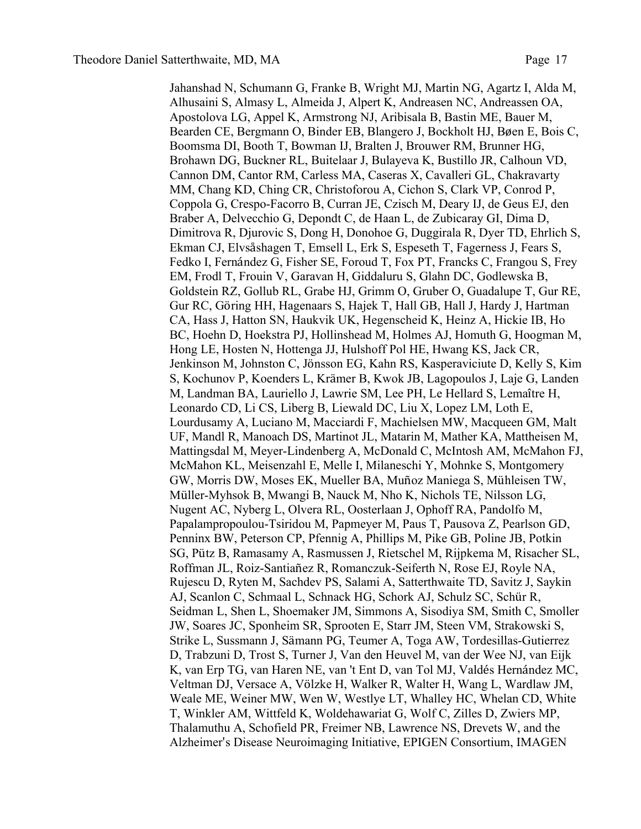Jahanshad N, Schumann G, Franke B, Wright MJ, Martin NG, Agartz I, Alda M, Alhusaini S, Almasy L, Almeida J, Alpert K, Andreasen NC, Andreassen OA, Apostolova LG, Appel K, Armstrong NJ, Aribisala B, Bastin ME, Bauer M, Bearden CE, Bergmann O, Binder EB, Blangero J, Bockholt HJ, Bøen E, Bois C, Boomsma DI, Booth T, Bowman IJ, Bralten J, Brouwer RM, Brunner HG, Brohawn DG, Buckner RL, Buitelaar J, Bulayeva K, Bustillo JR, Calhoun VD, Cannon DM, Cantor RM, Carless MA, Caseras X, Cavalleri GL, Chakravarty MM, Chang KD, Ching CR, Christoforou A, Cichon S, Clark VP, Conrod P, Coppola G, Crespo-Facorro B, Curran JE, Czisch M, Deary IJ, de Geus EJ, den Braber A, Delvecchio G, Depondt C, de Haan L, de Zubicaray GI, Dima D, Dimitrova R, Djurovic S, Dong H, Donohoe G, Duggirala R, Dyer TD, Ehrlich S, Ekman CJ, Elvsåshagen T, Emsell L, Erk S, Espeseth T, Fagerness J, Fears S, Fedko I, Fernández G, Fisher SE, Foroud T, Fox PT, Francks C, Frangou S, Frey EM, Frodl T, Frouin V, Garavan H, Giddaluru S, Glahn DC, Godlewska B, Goldstein RZ, Gollub RL, Grabe HJ, Grimm O, Gruber O, Guadalupe T, Gur RE, Gur RC, Göring HH, Hagenaars S, Hajek T, Hall GB, Hall J, Hardy J, Hartman CA, Hass J, Hatton SN, Haukvik UK, Hegenscheid K, Heinz A, Hickie IB, Ho BC, Hoehn D, Hoekstra PJ, Hollinshead M, Holmes AJ, Homuth G, Hoogman M, Hong LE, Hosten N, Hottenga JJ, Hulshoff Pol HE, Hwang KS, Jack CR, Jenkinson M, Johnston C, Jönsson EG, Kahn RS, Kasperaviciute D, Kelly S, Kim S, Kochunov P, Koenders L, Krämer B, Kwok JB, Lagopoulos J, Laje G, Landen M, Landman BA, Lauriello J, Lawrie SM, Lee PH, Le Hellard S, Lemaître H, Leonardo CD, Li CS, Liberg B, Liewald DC, Liu X, Lopez LM, Loth E, Lourdusamy A, Luciano M, Macciardi F, Machielsen MW, Macqueen GM, Malt UF, Mandl R, Manoach DS, Martinot JL, Matarin M, Mather KA, Mattheisen M, Mattingsdal M, Meyer-Lindenberg A, McDonald C, McIntosh AM, McMahon FJ, McMahon KL, Meisenzahl E, Melle I, Milaneschi Y, Mohnke S, Montgomery GW, Morris DW, Moses EK, Mueller BA, Muñoz Maniega S, Mühleisen TW, Müller-Myhsok B, Mwangi B, Nauck M, Nho K, Nichols TE, Nilsson LG, Nugent AC, Nyberg L, Olvera RL, Oosterlaan J, Ophoff RA, Pandolfo M, Papalampropoulou-Tsiridou M, Papmeyer M, Paus T, Pausova Z, Pearlson GD, Penninx BW, Peterson CP, Pfennig A, Phillips M, Pike GB, Poline JB, Potkin SG, Pütz B, Ramasamy A, Rasmussen J, Rietschel M, Rijpkema M, Risacher SL, Roffman JL, Roiz-Santiañez R, Romanczuk-Seiferth N, Rose EJ, Royle NA, Rujescu D, Ryten M, Sachdev PS, Salami A, Satterthwaite TD, Savitz J, Saykin AJ, Scanlon C, Schmaal L, Schnack HG, Schork AJ, Schulz SC, Schür R, Seidman L, Shen L, Shoemaker JM, Simmons A, Sisodiya SM, Smith C, Smoller JW, Soares JC, Sponheim SR, Sprooten E, Starr JM, Steen VM, Strakowski S, Strike L, Sussmann J, Sämann PG, Teumer A, Toga AW, Tordesillas-Gutierrez D, Trabzuni D, Trost S, Turner J, Van den Heuvel M, van der Wee NJ, van Eijk K, van Erp TG, van Haren NE, van 't Ent D, van Tol MJ, Valdés Hernández MC, Veltman DJ, Versace A, Völzke H, Walker R, Walter H, Wang L, Wardlaw JM, Weale ME, Weiner MW, Wen W, Westlye LT, Whalley HC, Whelan CD, White T, Winkler AM, Wittfeld K, Woldehawariat G, Wolf C, Zilles D, Zwiers MP, Thalamuthu A, Schofield PR, Freimer NB, Lawrence NS, Drevets W, and the Alzheimer's Disease Neuroimaging Initiative, EPIGEN Consortium, IMAGEN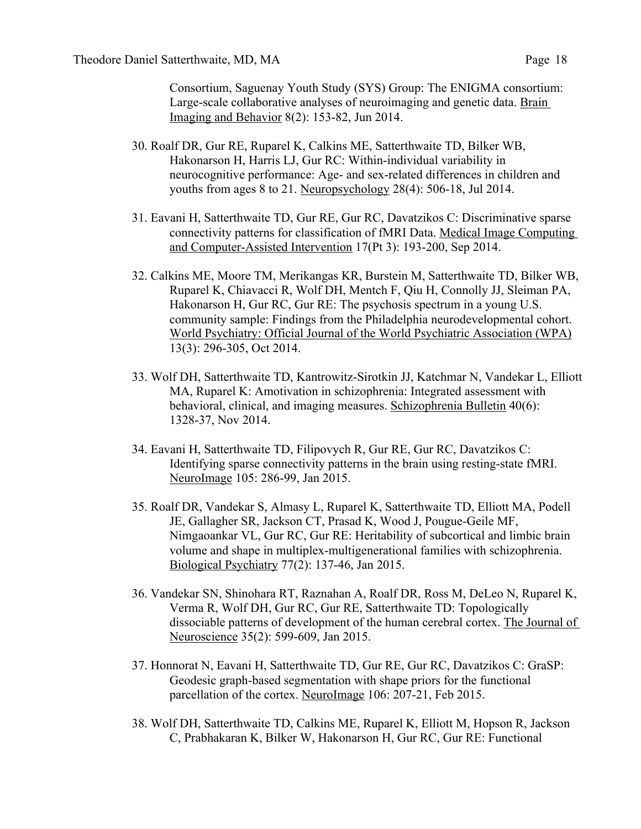Consortium, Saguenay Youth Study (SYS) Group: The ENIGMA consortium: Large-scale collaborative analyses of neuroimaging and genetic data. Brain Imaging and Behavior 8(2): 153-82, Jun 2014.

- 30. Roalf DR, Gur RE, Ruparel K, Calkins ME, Satterthwaite TD, Bilker WB, Hakonarson H, Harris LJ, Gur RC: Within-individual variability in neurocognitive performance: Age- and sex-related differences in children and youths from ages 8 to 21. Neuropsychology 28(4): 506-18, Jul 2014.
- 31. Eavani H, Satterthwaite TD, Gur RE, Gur RC, Davatzikos C: Discriminative sparse connectivity patterns for classification of fMRI Data. Medical Image Computing and Computer-Assisted Intervention 17(Pt 3): 193-200, Sep 2014.
- 32. Calkins ME, Moore TM, Merikangas KR, Burstein M, Satterthwaite TD, Bilker WB, Ruparel K, Chiavacci R, Wolf DH, Mentch F, Qiu H, Connolly JJ, Sleiman PA, Hakonarson H, Gur RC, Gur RE: The psychosis spectrum in a young U.S. community sample: Findings from the Philadelphia neurodevelopmental cohort. World Psychiatry: Official Journal of the World Psychiatric Association (WPA) 13(3): 296-305, Oct 2014.
- 33. Wolf DH, Satterthwaite TD, Kantrowitz-Sirotkin JJ, Katchmar N, Vandekar L, Elliott MA, Ruparel K: Amotivation in schizophrenia: Integrated assessment with behavioral, clinical, and imaging measures. Schizophrenia Bulletin 40(6): 1328-37, Nov 2014.
- 34. Eavani H, Satterthwaite TD, Filipovych R, Gur RE, Gur RC, Davatzikos C: Identifying sparse connectivity patterns in the brain using resting-state fMRI. NeuroImage 105: 286-99, Jan 2015.
- 35. Roalf DR, Vandekar S, Almasy L, Ruparel K, Satterthwaite TD, Elliott MA, Podell JE, Gallagher SR, Jackson CT, Prasad K, Wood J, Pougue-Geile MF, Nimgaoankar VL, Gur RC, Gur RE: Heritability of subcortical and limbic brain volume and shape in multiplex-multigenerational families with schizophrenia. Biological Psychiatry 77(2): 137-46, Jan 2015.
- 36. Vandekar SN, Shinohara RT, Raznahan A, Roalf DR, Ross M, DeLeo N, Ruparel K, Verma R, Wolf DH, Gur RC, Gur RE, Satterthwaite TD: Topologically dissociable patterns of development of the human cerebral cortex. The Journal of Neuroscience 35(2): 599-609, Jan 2015.
- 37. Honnorat N, Eavani H, Satterthwaite TD, Gur RE, Gur RC, Davatzikos C: GraSP: Geodesic graph-based segmentation with shape priors for the functional parcellation of the cortex. NeuroImage 106: 207-21, Feb 2015.
- 38. Wolf DH, Satterthwaite TD, Calkins ME, Ruparel K, Elliott M, Hopson R, Jackson C, Prabhakaran K, Bilker W, Hakonarson H, Gur RC, Gur RE: Functional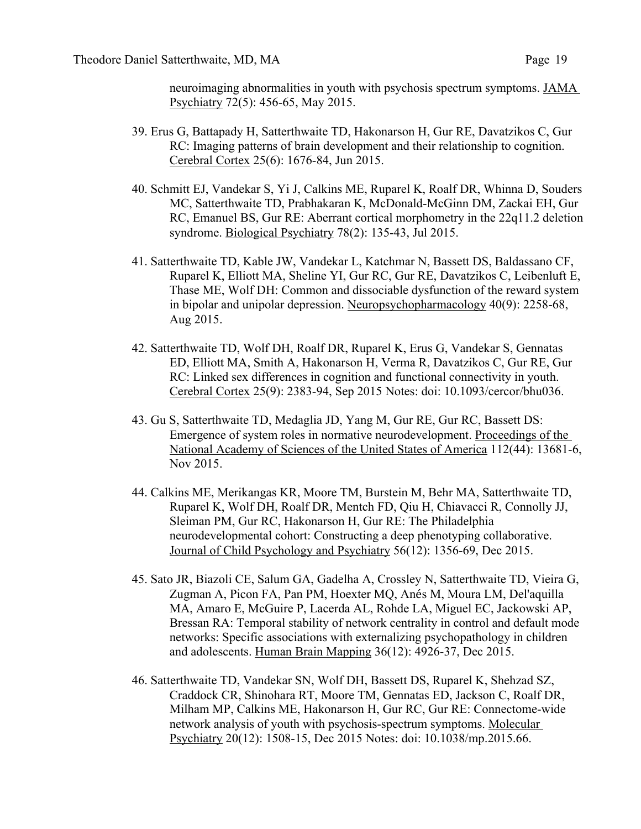neuroimaging abnormalities in youth with psychosis spectrum symptoms. JAMA Psychiatry 72(5): 456-65, May 2015.

- 39. Erus G, Battapady H, Satterthwaite TD, Hakonarson H, Gur RE, Davatzikos C, Gur RC: Imaging patterns of brain development and their relationship to cognition. Cerebral Cortex 25(6): 1676-84, Jun 2015.
- 40. Schmitt EJ, Vandekar S, Yi J, Calkins ME, Ruparel K, Roalf DR, Whinna D, Souders MC, Satterthwaite TD, Prabhakaran K, McDonald-McGinn DM, Zackai EH, Gur RC, Emanuel BS, Gur RE: Aberrant cortical morphometry in the 22q11.2 deletion syndrome. Biological Psychiatry 78(2): 135-43, Jul 2015.
- 41. Satterthwaite TD, Kable JW, Vandekar L, Katchmar N, Bassett DS, Baldassano CF, Ruparel K, Elliott MA, Sheline YI, Gur RC, Gur RE, Davatzikos C, Leibenluft E, Thase ME, Wolf DH: Common and dissociable dysfunction of the reward system in bipolar and unipolar depression. Neuropsychopharmacology 40(9): 2258-68, Aug 2015.
- 42. Satterthwaite TD, Wolf DH, Roalf DR, Ruparel K, Erus G, Vandekar S, Gennatas ED, Elliott MA, Smith A, Hakonarson H, Verma R, Davatzikos C, Gur RE, Gur RC: Linked sex differences in cognition and functional connectivity in youth. Cerebral Cortex 25(9): 2383-94, Sep 2015 Notes: doi: 10.1093/cercor/bhu036.
- 43. Gu S, Satterthwaite TD, Medaglia JD, Yang M, Gur RE, Gur RC, Bassett DS: Emergence of system roles in normative neurodevelopment. Proceedings of the National Academy of Sciences of the United States of America 112(44): 13681-6, Nov 2015.
- 44. Calkins ME, Merikangas KR, Moore TM, Burstein M, Behr MA, Satterthwaite TD, Ruparel K, Wolf DH, Roalf DR, Mentch FD, Qiu H, Chiavacci R, Connolly JJ, Sleiman PM, Gur RC, Hakonarson H, Gur RE: The Philadelphia neurodevelopmental cohort: Constructing a deep phenotyping collaborative. Journal of Child Psychology and Psychiatry 56(12): 1356-69, Dec 2015.
- 45. Sato JR, Biazoli CE, Salum GA, Gadelha A, Crossley N, Satterthwaite TD, Vieira G, Zugman A, Picon FA, Pan PM, Hoexter MQ, Anés M, Moura LM, Del'aquilla MA, Amaro E, McGuire P, Lacerda AL, Rohde LA, Miguel EC, Jackowski AP, Bressan RA: Temporal stability of network centrality in control and default mode networks: Specific associations with externalizing psychopathology in children and adolescents. Human Brain Mapping 36(12): 4926-37, Dec 2015.
- 46. Satterthwaite TD, Vandekar SN, Wolf DH, Bassett DS, Ruparel K, Shehzad SZ, Craddock CR, Shinohara RT, Moore TM, Gennatas ED, Jackson C, Roalf DR, Milham MP, Calkins ME, Hakonarson H, Gur RC, Gur RE: Connectome-wide network analysis of youth with psychosis-spectrum symptoms. Molecular Psychiatry 20(12): 1508-15, Dec 2015 Notes: doi: 10.1038/mp.2015.66.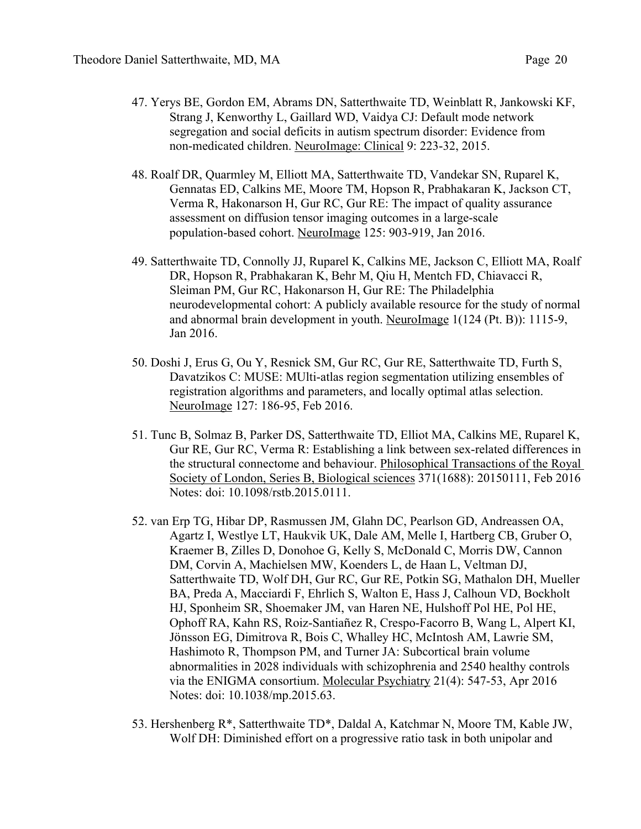- 47. Yerys BE, Gordon EM, Abrams DN, Satterthwaite TD, Weinblatt R, Jankowski KF, Strang J, Kenworthy L, Gaillard WD, Vaidya CJ: Default mode network segregation and social deficits in autism spectrum disorder: Evidence from non-medicated children. NeuroImage: Clinical 9: 223-32, 2015.
- 48. Roalf DR, Quarmley M, Elliott MA, Satterthwaite TD, Vandekar SN, Ruparel K, Gennatas ED, Calkins ME, Moore TM, Hopson R, Prabhakaran K, Jackson CT, Verma R, Hakonarson H, Gur RC, Gur RE: The impact of quality assurance assessment on diffusion tensor imaging outcomes in a large-scale population-based cohort. NeuroImage 125: 903-919, Jan 2016.
- 49. Satterthwaite TD, Connolly JJ, Ruparel K, Calkins ME, Jackson C, Elliott MA, Roalf DR, Hopson R, Prabhakaran K, Behr M, Qiu H, Mentch FD, Chiavacci R, Sleiman PM, Gur RC, Hakonarson H, Gur RE: The Philadelphia neurodevelopmental cohort: A publicly available resource for the study of normal and abnormal brain development in youth. NeuroImage 1(124 (Pt. B)): 1115-9, Jan 2016.
- 50. Doshi J, Erus G, Ou Y, Resnick SM, Gur RC, Gur RE, Satterthwaite TD, Furth S, Davatzikos C: MUSE: MUlti-atlas region segmentation utilizing ensembles of registration algorithms and parameters, and locally optimal atlas selection. NeuroImage 127: 186-95, Feb 2016.
- 51. Tunc B, Solmaz B, Parker DS, Satterthwaite TD, Elliot MA, Calkins ME, Ruparel K, Gur RE, Gur RC, Verma R: Establishing a link between sex-related differences in the structural connectome and behaviour. Philosophical Transactions of the Royal Society of London, Series B, Biological sciences 371(1688): 20150111, Feb 2016 Notes: doi: 10.1098/rstb.2015.0111.
- 52. van Erp TG, Hibar DP, Rasmussen JM, Glahn DC, Pearlson GD, Andreassen OA, Agartz I, Westlye LT, Haukvik UK, Dale AM, Melle I, Hartberg CB, Gruber O, Kraemer B, Zilles D, Donohoe G, Kelly S, McDonald C, Morris DW, Cannon DM, Corvin A, Machielsen MW, Koenders L, de Haan L, Veltman DJ, Satterthwaite TD, Wolf DH, Gur RC, Gur RE, Potkin SG, Mathalon DH, Mueller BA, Preda A, Macciardi F, Ehrlich S, Walton E, Hass J, Calhoun VD, Bockholt HJ, Sponheim SR, Shoemaker JM, van Haren NE, Hulshoff Pol HE, Pol HE, Ophoff RA, Kahn RS, Roiz-Santiañez R, Crespo-Facorro B, Wang L, Alpert KI, Jönsson EG, Dimitrova R, Bois C, Whalley HC, McIntosh AM, Lawrie SM, Hashimoto R, Thompson PM, and Turner JA: Subcortical brain volume abnormalities in 2028 individuals with schizophrenia and 2540 healthy controls via the ENIGMA consortium. Molecular Psychiatry 21(4): 547-53, Apr 2016 Notes: doi: 10.1038/mp.2015.63.
- 53. Hershenberg R\*, Satterthwaite TD\*, Daldal A, Katchmar N, Moore TM, Kable JW, Wolf DH: Diminished effort on a progressive ratio task in both unipolar and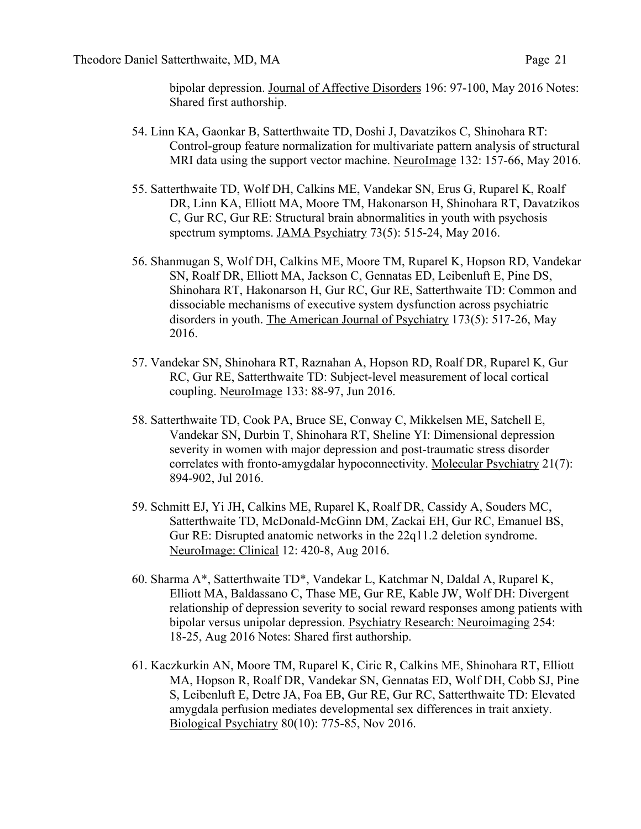bipolar depression. Journal of Affective Disorders 196: 97-100, May 2016 Notes: Shared first authorship.

- 54. Linn KA, Gaonkar B, Satterthwaite TD, Doshi J, Davatzikos C, Shinohara RT: Control-group feature normalization for multivariate pattern analysis of structural MRI data using the support vector machine. NeuroImage 132: 157-66, May 2016.
- 55. Satterthwaite TD, Wolf DH, Calkins ME, Vandekar SN, Erus G, Ruparel K, Roalf DR, Linn KA, Elliott MA, Moore TM, Hakonarson H, Shinohara RT, Davatzikos C, Gur RC, Gur RE: Structural brain abnormalities in youth with psychosis spectrum symptoms. JAMA Psychiatry 73(5): 515-24, May 2016.
- 56. Shanmugan S, Wolf DH, Calkins ME, Moore TM, Ruparel K, Hopson RD, Vandekar SN, Roalf DR, Elliott MA, Jackson C, Gennatas ED, Leibenluft E, Pine DS, Shinohara RT, Hakonarson H, Gur RC, Gur RE, Satterthwaite TD: Common and dissociable mechanisms of executive system dysfunction across psychiatric disorders in youth. The American Journal of Psychiatry 173(5): 517-26, May 2016.
- 57. Vandekar SN, Shinohara RT, Raznahan A, Hopson RD, Roalf DR, Ruparel K, Gur RC, Gur RE, Satterthwaite TD: Subject-level measurement of local cortical coupling. NeuroImage 133: 88-97, Jun 2016.
- 58. Satterthwaite TD, Cook PA, Bruce SE, Conway C, Mikkelsen ME, Satchell E, Vandekar SN, Durbin T, Shinohara RT, Sheline YI: Dimensional depression severity in women with major depression and post-traumatic stress disorder correlates with fronto-amygdalar hypoconnectivity. Molecular Psychiatry 21(7): 894-902, Jul 2016.
- 59. Schmitt EJ, Yi JH, Calkins ME, Ruparel K, Roalf DR, Cassidy A, Souders MC, Satterthwaite TD, McDonald-McGinn DM, Zackai EH, Gur RC, Emanuel BS, Gur RE: Disrupted anatomic networks in the 22q11.2 deletion syndrome. NeuroImage: Clinical 12: 420-8, Aug 2016.
- 60. Sharma A\*, Satterthwaite TD\*, Vandekar L, Katchmar N, Daldal A, Ruparel K, Elliott MA, Baldassano C, Thase ME, Gur RE, Kable JW, Wolf DH: Divergent relationship of depression severity to social reward responses among patients with bipolar versus unipolar depression. Psychiatry Research: Neuroimaging 254: 18-25, Aug 2016 Notes: Shared first authorship.
- 61. Kaczkurkin AN, Moore TM, Ruparel K, Ciric R, Calkins ME, Shinohara RT, Elliott MA, Hopson R, Roalf DR, Vandekar SN, Gennatas ED, Wolf DH, Cobb SJ, Pine S, Leibenluft E, Detre JA, Foa EB, Gur RE, Gur RC, Satterthwaite TD: Elevated amygdala perfusion mediates developmental sex differences in trait anxiety. Biological Psychiatry 80(10): 775-85, Nov 2016.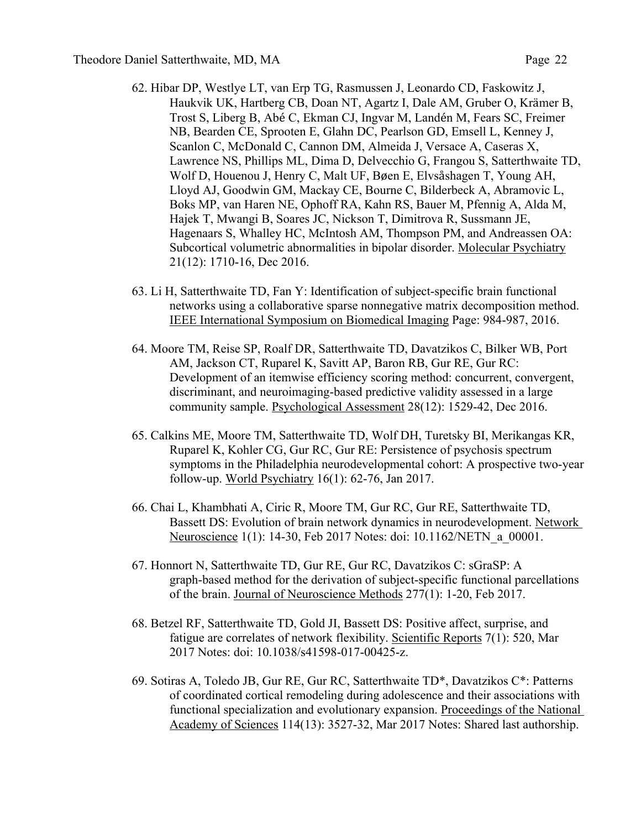- 62. Hibar DP, Westlye LT, van Erp TG, Rasmussen J, Leonardo CD, Faskowitz J, Haukvik UK, Hartberg CB, Doan NT, Agartz I, Dale AM, Gruber O, Krämer B, Trost S, Liberg B, Abé C, Ekman CJ, Ingvar M, Landén M, Fears SC, Freimer NB, Bearden CE, Sprooten E, Glahn DC, Pearlson GD, Emsell L, Kenney J, Scanlon C, McDonald C, Cannon DM, Almeida J, Versace A, Caseras X, Lawrence NS, Phillips ML, Dima D, Delvecchio G, Frangou S, Satterthwaite TD, Wolf D, Houenou J, Henry C, Malt UF, Bøen E, Elvsåshagen T, Young AH, Lloyd AJ, Goodwin GM, Mackay CE, Bourne C, Bilderbeck A, Abramovic L, Boks MP, van Haren NE, Ophoff RA, Kahn RS, Bauer M, Pfennig A, Alda M, Hajek T, Mwangi B, Soares JC, Nickson T, Dimitrova R, Sussmann JE, Hagenaars S, Whalley HC, McIntosh AM, Thompson PM, and Andreassen OA: Subcortical volumetric abnormalities in bipolar disorder. Molecular Psychiatry 21(12): 1710-16, Dec 2016.
- 63. Li H, Satterthwaite TD, Fan Y: Identification of subject-specific brain functional networks using a collaborative sparse nonnegative matrix decomposition method. IEEE International Symposium on Biomedical Imaging Page: 984-987, 2016.
- 64. Moore TM, Reise SP, Roalf DR, Satterthwaite TD, Davatzikos C, Bilker WB, Port AM, Jackson CT, Ruparel K, Savitt AP, Baron RB, Gur RE, Gur RC: Development of an itemwise efficiency scoring method: concurrent, convergent, discriminant, and neuroimaging-based predictive validity assessed in a large community sample. Psychological Assessment 28(12): 1529-42, Dec 2016.
- 65. Calkins ME, Moore TM, Satterthwaite TD, Wolf DH, Turetsky BI, Merikangas KR, Ruparel K, Kohler CG, Gur RC, Gur RE: Persistence of psychosis spectrum symptoms in the Philadelphia neurodevelopmental cohort: A prospective two-year follow-up. World Psychiatry 16(1): 62-76, Jan 2017.
- 66. Chai L, Khambhati A, Ciric R, Moore TM, Gur RC, Gur RE, Satterthwaite TD, Bassett DS: Evolution of brain network dynamics in neurodevelopment. Network Neuroscience 1(1): 14-30, Feb 2017 Notes: doi: 10.1162/NETN\_a\_00001.
- 67. Honnort N, Satterthwaite TD, Gur RE, Gur RC, Davatzikos C: sGraSP: A graph-based method for the derivation of subject-specific functional parcellations of the brain. Journal of Neuroscience Methods 277(1): 1-20, Feb 2017.
- 68. Betzel RF, Satterthwaite TD, Gold JI, Bassett DS: Positive affect, surprise, and fatigue are correlates of network flexibility. Scientific Reports 7(1): 520, Mar 2017 Notes: doi: 10.1038/s41598-017-00425-z.
- 69. Sotiras A, Toledo JB, Gur RE, Gur RC, Satterthwaite TD\*, Davatzikos C\*: Patterns of coordinated cortical remodeling during adolescence and their associations with functional specialization and evolutionary expansion. Proceedings of the National Academy of Sciences 114(13): 3527-32, Mar 2017 Notes: Shared last authorship.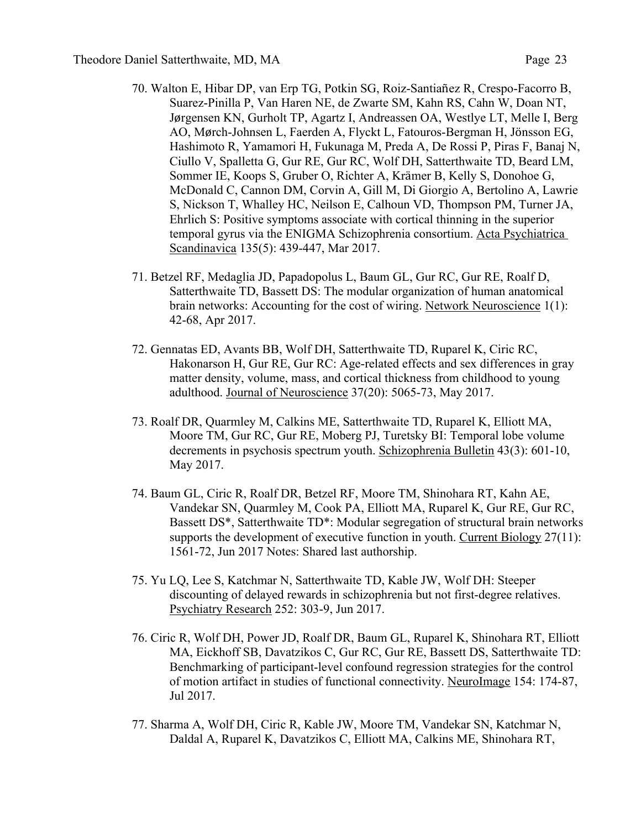- 70. Walton E, Hibar DP, van Erp TG, Potkin SG, Roiz-Santiañez R, Crespo-Facorro B, Suarez-Pinilla P, Van Haren NE, de Zwarte SM, Kahn RS, Cahn W, Doan NT, Jørgensen KN, Gurholt TP, Agartz I, Andreassen OA, Westlye LT, Melle I, Berg AO, Mørch-Johnsen L, Faerden A, Flyckt L, Fatouros-Bergman H, Jönsson EG, Hashimoto R, Yamamori H, Fukunaga M, Preda A, De Rossi P, Piras F, Banaj N, Ciullo V, Spalletta G, Gur RE, Gur RC, Wolf DH, Satterthwaite TD, Beard LM, Sommer IE, Koops S, Gruber O, Richter A, Krämer B, Kelly S, Donohoe G, McDonald C, Cannon DM, Corvin A, Gill M, Di Giorgio A, Bertolino A, Lawrie S, Nickson T, Whalley HC, Neilson E, Calhoun VD, Thompson PM, Turner JA, Ehrlich S: Positive symptoms associate with cortical thinning in the superior temporal gyrus via the ENIGMA Schizophrenia consortium. Acta Psychiatrica Scandinavica 135(5): 439-447, Mar 2017.
- 71. Betzel RF, Medaglia JD, Papadopolus L, Baum GL, Gur RC, Gur RE, Roalf D, Satterthwaite TD, Bassett DS: The modular organization of human anatomical brain networks: Accounting for the cost of wiring. Network Neuroscience 1(1): 42-68, Apr 2017.
- 72. Gennatas ED, Avants BB, Wolf DH, Satterthwaite TD, Ruparel K, Ciric RC, Hakonarson H, Gur RE, Gur RC: Age-related effects and sex differences in gray matter density, volume, mass, and cortical thickness from childhood to young adulthood. Journal of Neuroscience 37(20): 5065-73, May 2017.
- 73. Roalf DR, Quarmley M, Calkins ME, Satterthwaite TD, Ruparel K, Elliott MA, Moore TM, Gur RC, Gur RE, Moberg PJ, Turetsky BI: Temporal lobe volume decrements in psychosis spectrum youth. Schizophrenia Bulletin 43(3): 601-10, May 2017.
- 74. Baum GL, Ciric R, Roalf DR, Betzel RF, Moore TM, Shinohara RT, Kahn AE, Vandekar SN, Quarmley M, Cook PA, Elliott MA, Ruparel K, Gur RE, Gur RC, Bassett DS\*, Satterthwaite TD\*: Modular segregation of structural brain networks supports the development of executive function in youth. Current Biology 27(11): 1561-72, Jun 2017 Notes: Shared last authorship.
- 75. Yu LQ, Lee S, Katchmar N, Satterthwaite TD, Kable JW, Wolf DH: Steeper discounting of delayed rewards in schizophrenia but not first-degree relatives. Psychiatry Research 252: 303-9, Jun 2017.
- 76. Ciric R, Wolf DH, Power JD, Roalf DR, Baum GL, Ruparel K, Shinohara RT, Elliott MA, Eickhoff SB, Davatzikos C, Gur RC, Gur RE, Bassett DS, Satterthwaite TD: Benchmarking of participant-level confound regression strategies for the control of motion artifact in studies of functional connectivity. NeuroImage 154: 174-87, Jul 2017.
- 77. Sharma A, Wolf DH, Ciric R, Kable JW, Moore TM, Vandekar SN, Katchmar N, Daldal A, Ruparel K, Davatzikos C, Elliott MA, Calkins ME, Shinohara RT,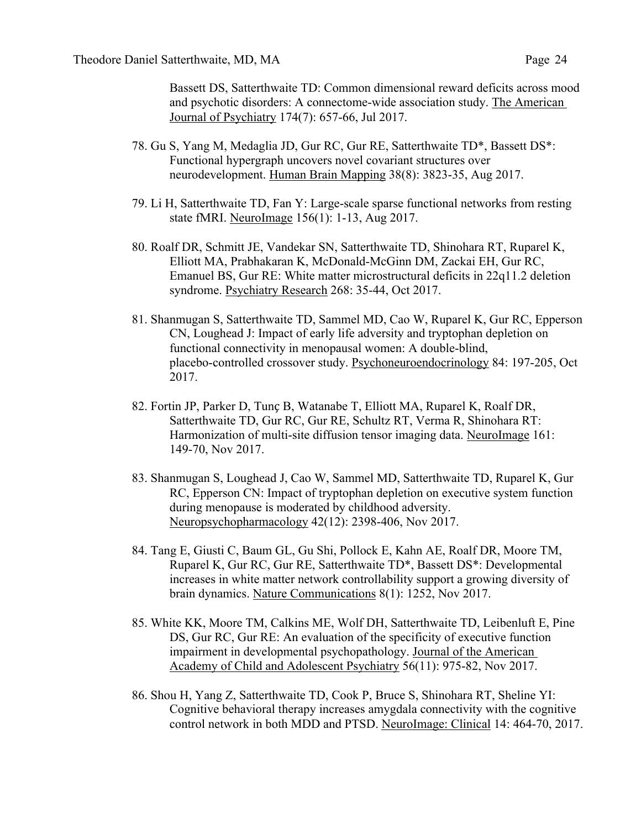Bassett DS, Satterthwaite TD: Common dimensional reward deficits across mood and psychotic disorders: A connectome-wide association study. The American Journal of Psychiatry 174(7): 657-66, Jul 2017.

- 78. Gu S, Yang M, Medaglia JD, Gur RC, Gur RE, Satterthwaite TD\*, Bassett DS\*: Functional hypergraph uncovers novel covariant structures over neurodevelopment. Human Brain Mapping 38(8): 3823-35, Aug 2017.
- 79. Li H, Satterthwaite TD, Fan Y: Large-scale sparse functional networks from resting state fMRI. NeuroImage 156(1): 1-13, Aug 2017.
- 80. Roalf DR, Schmitt JE, Vandekar SN, Satterthwaite TD, Shinohara RT, Ruparel K, Elliott MA, Prabhakaran K, McDonald-McGinn DM, Zackai EH, Gur RC, Emanuel BS, Gur RE: White matter microstructural deficits in 22q11.2 deletion syndrome. Psychiatry Research 268: 35-44, Oct 2017.
- 81. Shanmugan S, Satterthwaite TD, Sammel MD, Cao W, Ruparel K, Gur RC, Epperson CN, Loughead J: Impact of early life adversity and tryptophan depletion on functional connectivity in menopausal women: A double-blind, placebo-controlled crossover study. Psychoneuroendocrinology 84: 197-205, Oct 2017.
- 82. Fortin JP, Parker D, Tunç B, Watanabe T, Elliott MA, Ruparel K, Roalf DR, Satterthwaite TD, Gur RC, Gur RE, Schultz RT, Verma R, Shinohara RT: Harmonization of multi-site diffusion tensor imaging data. NeuroImage 161: 149-70, Nov 2017.
- 83. Shanmugan S, Loughead J, Cao W, Sammel MD, Satterthwaite TD, Ruparel K, Gur RC, Epperson CN: Impact of tryptophan depletion on executive system function during menopause is moderated by childhood adversity. Neuropsychopharmacology 42(12): 2398-406, Nov 2017.
- 84. Tang E, Giusti C, Baum GL, Gu Shi, Pollock E, Kahn AE, Roalf DR, Moore TM, Ruparel K, Gur RC, Gur RE, Satterthwaite TD\*, Bassett DS\*: Developmental increases in white matter network controllability support a growing diversity of brain dynamics. Nature Communications 8(1): 1252, Nov 2017.
- 85. White KK, Moore TM, Calkins ME, Wolf DH, Satterthwaite TD, Leibenluft E, Pine DS, Gur RC, Gur RE: An evaluation of the specificity of executive function impairment in developmental psychopathology. Journal of the American Academy of Child and Adolescent Psychiatry 56(11): 975-82, Nov 2017.
- 86. Shou H, Yang Z, Satterthwaite TD, Cook P, Bruce S, Shinohara RT, Sheline YI: Cognitive behavioral therapy increases amygdala connectivity with the cognitive control network in both MDD and PTSD. NeuroImage: Clinical 14: 464-70, 2017.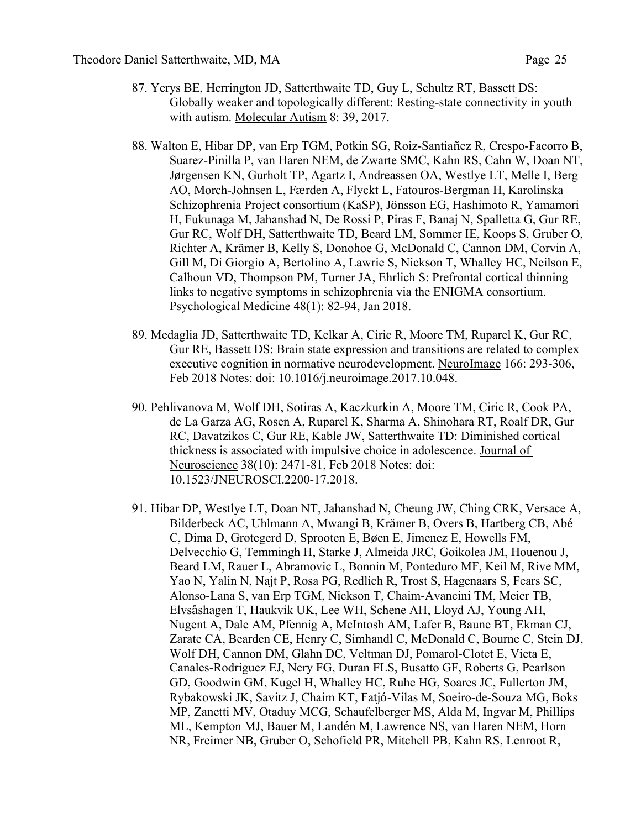- 87. Yerys BE, Herrington JD, Satterthwaite TD, Guy L, Schultz RT, Bassett DS: Globally weaker and topologically different: Resting-state connectivity in youth with autism. Molecular Autism 8: 39, 2017.
- 88. Walton E, Hibar DP, van Erp TGM, Potkin SG, Roiz-Santiañez R, Crespo-Facorro B, Suarez-Pinilla P, van Haren NEM, de Zwarte SMC, Kahn RS, Cahn W, Doan NT, Jørgensen KN, Gurholt TP, Agartz I, Andreassen OA, Westlye LT, Melle I, Berg AO, Morch-Johnsen L, Færden A, Flyckt L, Fatouros-Bergman H, Karolinska Schizophrenia Project consortium (KaSP), Jönsson EG, Hashimoto R, Yamamori H, Fukunaga M, Jahanshad N, De Rossi P, Piras F, Banaj N, Spalletta G, Gur RE, Gur RC, Wolf DH, Satterthwaite TD, Beard LM, Sommer IE, Koops S, Gruber O, Richter A, Krämer B, Kelly S, Donohoe G, McDonald C, Cannon DM, Corvin A, Gill M, Di Giorgio A, Bertolino A, Lawrie S, Nickson T, Whalley HC, Neilson E, Calhoun VD, Thompson PM, Turner JA, Ehrlich S: Prefrontal cortical thinning links to negative symptoms in schizophrenia via the ENIGMA consortium. Psychological Medicine 48(1): 82-94, Jan 2018.
- 89. Medaglia JD, Satterthwaite TD, Kelkar A, Ciric R, Moore TM, Ruparel K, Gur RC, Gur RE, Bassett DS: Brain state expression and transitions are related to complex executive cognition in normative neurodevelopment. NeuroImage 166: 293-306, Feb 2018 Notes: doi: 10.1016/j.neuroimage.2017.10.048.
- 90. Pehlivanova M, Wolf DH, Sotiras A, Kaczkurkin A, Moore TM, Ciric R, Cook PA, de La Garza AG, Rosen A, Ruparel K, Sharma A, Shinohara RT, Roalf DR, Gur RC, Davatzikos C, Gur RE, Kable JW, Satterthwaite TD: Diminished cortical thickness is associated with impulsive choice in adolescence. Journal of Neuroscience 38(10): 2471-81, Feb 2018 Notes: doi: 10.1523/JNEUROSCI.2200-17.2018.
- 91. Hibar DP, Westlye LT, Doan NT, Jahanshad N, Cheung JW, Ching CRK, Versace A, Bilderbeck AC, Uhlmann A, Mwangi B, Krämer B, Overs B, Hartberg CB, Abé C, Dima D, Grotegerd D, Sprooten E, Bøen E, Jimenez E, Howells FM, Delvecchio G, Temmingh H, Starke J, Almeida JRC, Goikolea JM, Houenou J, Beard LM, Rauer L, Abramovic L, Bonnin M, Ponteduro MF, Keil M, Rive MM, Yao N, Yalin N, Najt P, Rosa PG, Redlich R, Trost S, Hagenaars S, Fears SC, Alonso-Lana S, van Erp TGM, Nickson T, Chaim-Avancini TM, Meier TB, Elvsåshagen T, Haukvik UK, Lee WH, Schene AH, Lloyd AJ, Young AH, Nugent A, Dale AM, Pfennig A, McIntosh AM, Lafer B, Baune BT, Ekman CJ, Zarate CA, Bearden CE, Henry C, Simhandl C, McDonald C, Bourne C, Stein DJ, Wolf DH, Cannon DM, Glahn DC, Veltman DJ, Pomarol-Clotet E, Vieta E, Canales-Rodriguez EJ, Nery FG, Duran FLS, Busatto GF, Roberts G, Pearlson GD, Goodwin GM, Kugel H, Whalley HC, Ruhe HG, Soares JC, Fullerton JM, Rybakowski JK, Savitz J, Chaim KT, Fatjó-Vilas M, Soeiro-de-Souza MG, Boks MP, Zanetti MV, Otaduy MCG, Schaufelberger MS, Alda M, Ingvar M, Phillips ML, Kempton MJ, Bauer M, Landén M, Lawrence NS, van Haren NEM, Horn NR, Freimer NB, Gruber O, Schofield PR, Mitchell PB, Kahn RS, Lenroot R,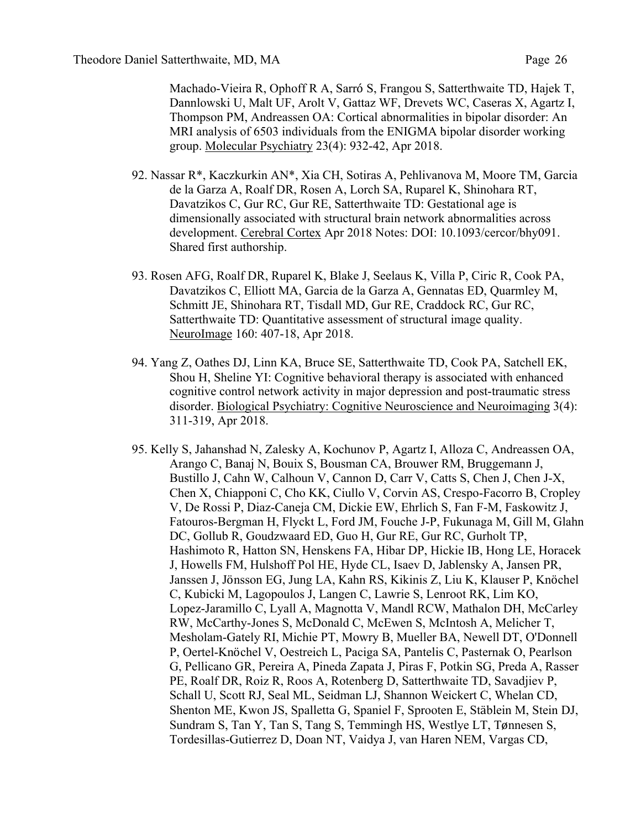Machado-Vieira R, Ophoff R A, Sarró S, Frangou S, Satterthwaite TD, Hajek T, Dannlowski U, Malt UF, Arolt V, Gattaz WF, Drevets WC, Caseras X, Agartz I, Thompson PM, Andreassen OA: Cortical abnormalities in bipolar disorder: An MRI analysis of 6503 individuals from the ENIGMA bipolar disorder working group. Molecular Psychiatry 23(4): 932-42, Apr 2018.

- 92. Nassar R\*, Kaczkurkin AN\*, Xia CH, Sotiras A, Pehlivanova M, Moore TM, Garcia de la Garza A, Roalf DR, Rosen A, Lorch SA, Ruparel K, Shinohara RT, Davatzikos C, Gur RC, Gur RE, Satterthwaite TD: Gestational age is dimensionally associated with structural brain network abnormalities across development. Cerebral Cortex Apr 2018 Notes: DOI: 10.1093/cercor/bhy091. Shared first authorship.
- 93. Rosen AFG, Roalf DR, Ruparel K, Blake J, Seelaus K, Villa P, Ciric R, Cook PA, Davatzikos C, Elliott MA, Garcia de la Garza A, Gennatas ED, Quarmley M, Schmitt JE, Shinohara RT, Tisdall MD, Gur RE, Craddock RC, Gur RC, Satterthwaite TD: Quantitative assessment of structural image quality. NeuroImage 160: 407-18, Apr 2018.
- 94. Yang Z, Oathes DJ, Linn KA, Bruce SE, Satterthwaite TD, Cook PA, Satchell EK, Shou H, Sheline YI: Cognitive behavioral therapy is associated with enhanced cognitive control network activity in major depression and post-traumatic stress disorder. Biological Psychiatry: Cognitive Neuroscience and Neuroimaging 3(4): 311-319, Apr 2018.
- 95. Kelly S, Jahanshad N, Zalesky A, Kochunov P, Agartz I, Alloza C, Andreassen OA, Arango C, Banaj N, Bouix S, Bousman CA, Brouwer RM, Bruggemann J, Bustillo J, Cahn W, Calhoun V, Cannon D, Carr V, Catts S, Chen J, Chen J-X, Chen X, Chiapponi C, Cho KK, Ciullo V, Corvin AS, Crespo-Facorro B, Cropley V, De Rossi P, Diaz-Caneja CM, Dickie EW, Ehrlich S, Fan F-M, Faskowitz J, Fatouros-Bergman H, Flyckt L, Ford JM, Fouche J-P, Fukunaga M, Gill M, Glahn DC, Gollub R, Goudzwaard ED, Guo H, Gur RE, Gur RC, Gurholt TP, Hashimoto R, Hatton SN, Henskens FA, Hibar DP, Hickie IB, Hong LE, Horacek J, Howells FM, Hulshoff Pol HE, Hyde CL, Isaev D, Jablensky A, Jansen PR, Janssen J, Jönsson EG, Jung LA, Kahn RS, Kikinis Z, Liu K, Klauser P, Knöchel C, Kubicki M, Lagopoulos J, Langen C, Lawrie S, Lenroot RK, Lim KO, Lopez-Jaramillo C, Lyall A, Magnotta V, Mandl RCW, Mathalon DH, McCarley RW, McCarthy-Jones S, McDonald C, McEwen S, McIntosh A, Melicher T, Mesholam-Gately RI, Michie PT, Mowry B, Mueller BA, Newell DT, O'Donnell P, Oertel-Knöchel V, Oestreich L, Paciga SA, Pantelis C, Pasternak O, Pearlson G, Pellicano GR, Pereira A, Pineda Zapata J, Piras F, Potkin SG, Preda A, Rasser PE, Roalf DR, Roiz R, Roos A, Rotenberg D, Satterthwaite TD, Savadjiev P, Schall U, Scott RJ, Seal ML, Seidman LJ, Shannon Weickert C, Whelan CD, Shenton ME, Kwon JS, Spalletta G, Spaniel F, Sprooten E, Stäblein M, Stein DJ, Sundram S, Tan Y, Tan S, Tang S, Temmingh HS, Westlye LT, Tønnesen S, Tordesillas-Gutierrez D, Doan NT, Vaidya J, van Haren NEM, Vargas CD,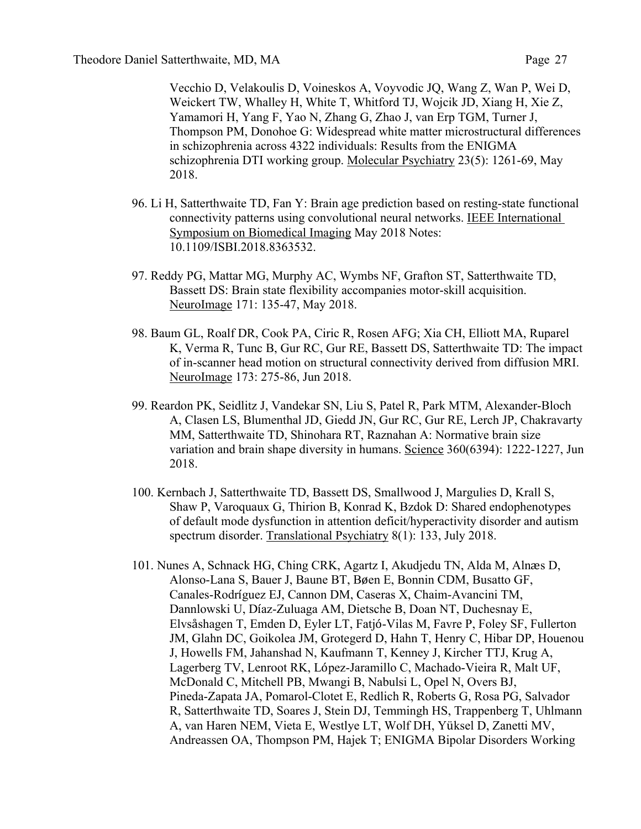Vecchio D, Velakoulis D, Voineskos A, Voyvodic JQ, Wang Z, Wan P, Wei D, Weickert TW, Whalley H, White T, Whitford TJ, Wojcik JD, Xiang H, Xie Z, Yamamori H, Yang F, Yao N, Zhang G, Zhao J, van Erp TGM, Turner J, Thompson PM, Donohoe G: Widespread white matter microstructural differences in schizophrenia across 4322 individuals: Results from the ENIGMA schizophrenia DTI working group. Molecular Psychiatry 23(5): 1261-69, May 2018.

- 96. Li H, Satterthwaite TD, Fan Y: Brain age prediction based on resting-state functional connectivity patterns using convolutional neural networks. IEEE International Symposium on Biomedical Imaging May 2018 Notes: 10.1109/ISBI.2018.8363532.
- 97. Reddy PG, Mattar MG, Murphy AC, Wymbs NF, Grafton ST, Satterthwaite TD, Bassett DS: Brain state flexibility accompanies motor-skill acquisition. NeuroImage 171: 135-47, May 2018.
- 98. Baum GL, Roalf DR, Cook PA, Ciric R, Rosen AFG; Xia CH, Elliott MA, Ruparel K, Verma R, Tunc B, Gur RC, Gur RE, Bassett DS, Satterthwaite TD: The impact of in-scanner head motion on structural connectivity derived from diffusion MRI. NeuroImage 173: 275-86, Jun 2018.
- 99. Reardon PK, Seidlitz J, Vandekar SN, Liu S, Patel R, Park MTM, Alexander-Bloch A, Clasen LS, Blumenthal JD, Giedd JN, Gur RC, Gur RE, Lerch JP, Chakravarty MM, Satterthwaite TD, Shinohara RT, Raznahan A: Normative brain size variation and brain shape diversity in humans. Science 360(6394): 1222-1227, Jun 2018.
- 100. Kernbach J, Satterthwaite TD, Bassett DS, Smallwood J, Margulies D, Krall S, Shaw P, Varoquaux G, Thirion B, Konrad K, Bzdok D: Shared endophenotypes of default mode dysfunction in attention deficit/hyperactivity disorder and autism spectrum disorder. Translational Psychiatry 8(1): 133, July 2018.
- 101. Nunes A, Schnack HG, Ching CRK, Agartz I, Akudjedu TN, Alda M, Alnæs D, Alonso-Lana S, Bauer J, Baune BT, Bøen E, Bonnin CDM, Busatto GF, Canales-Rodríguez EJ, Cannon DM, Caseras X, Chaim-Avancini TM, Dannlowski U, Díaz-Zuluaga AM, Dietsche B, Doan NT, Duchesnay E, Elvsåshagen T, Emden D, Eyler LT, Fatjó-Vilas M, Favre P, Foley SF, Fullerton JM, Glahn DC, Goikolea JM, Grotegerd D, Hahn T, Henry C, Hibar DP, Houenou J, Howells FM, Jahanshad N, Kaufmann T, Kenney J, Kircher TTJ, Krug A, Lagerberg TV, Lenroot RK, López-Jaramillo C, Machado-Vieira R, Malt UF, McDonald C, Mitchell PB, Mwangi B, Nabulsi L, Opel N, Overs BJ, Pineda-Zapata JA, Pomarol-Clotet E, Redlich R, Roberts G, Rosa PG, Salvador R, Satterthwaite TD, Soares J, Stein DJ, Temmingh HS, Trappenberg T, Uhlmann A, van Haren NEM, Vieta E, Westlye LT, Wolf DH, Yüksel D, Zanetti MV, Andreassen OA, Thompson PM, Hajek T; ENIGMA Bipolar Disorders Working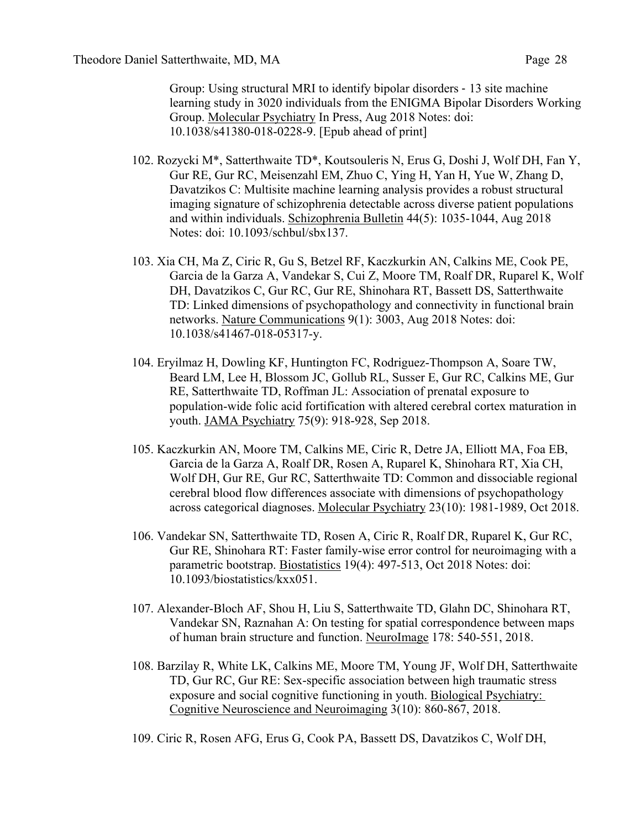Group: Using structural MRI to identify bipolar disorders - 13 site machine learning study in 3020 individuals from the ENIGMA Bipolar Disorders Working Group. Molecular Psychiatry In Press, Aug 2018 Notes: doi: 10.1038/s41380-018-0228-9. [Epub ahead of print]

- 102. Rozycki M\*, Satterthwaite TD\*, Koutsouleris N, Erus G, Doshi J, Wolf DH, Fan Y, Gur RE, Gur RC, Meisenzahl EM, Zhuo C, Ying H, Yan H, Yue W, Zhang D, Davatzikos C: Multisite machine learning analysis provides a robust structural imaging signature of schizophrenia detectable across diverse patient populations and within individuals. Schizophrenia Bulletin 44(5): 1035-1044, Aug 2018 Notes: doi: 10.1093/schbul/sbx137.
- 103. Xia CH, Ma Z, Ciric R, Gu S, Betzel RF, Kaczkurkin AN, Calkins ME, Cook PE, Garcia de la Garza A, Vandekar S, Cui Z, Moore TM, Roalf DR, Ruparel K, Wolf DH, Davatzikos C, Gur RC, Gur RE, Shinohara RT, Bassett DS, Satterthwaite TD: Linked dimensions of psychopathology and connectivity in functional brain networks. Nature Communications 9(1): 3003, Aug 2018 Notes: doi: 10.1038/s41467-018-05317-y.
- 104. Eryilmaz H, Dowling KF, Huntington FC, Rodriguez-Thompson A, Soare TW, Beard LM, Lee H, Blossom JC, Gollub RL, Susser E, Gur RC, Calkins ME, Gur RE, Satterthwaite TD, Roffman JL: Association of prenatal exposure to population-wide folic acid fortification with altered cerebral cortex maturation in youth. JAMA Psychiatry 75(9): 918-928, Sep 2018.
- 105. Kaczkurkin AN, Moore TM, Calkins ME, Ciric R, Detre JA, Elliott MA, Foa EB, Garcia de la Garza A, Roalf DR, Rosen A, Ruparel K, Shinohara RT, Xia CH, Wolf DH, Gur RE, Gur RC, Satterthwaite TD: Common and dissociable regional cerebral blood flow differences associate with dimensions of psychopathology across categorical diagnoses. Molecular Psychiatry 23(10): 1981-1989, Oct 2018.
- 106. Vandekar SN, Satterthwaite TD, Rosen A, Ciric R, Roalf DR, Ruparel K, Gur RC, Gur RE, Shinohara RT: Faster family-wise error control for neuroimaging with a parametric bootstrap. Biostatistics 19(4): 497-513, Oct 2018 Notes: doi: 10.1093/biostatistics/kxx051.
- 107. Alexander-Bloch AF, Shou H, Liu S, Satterthwaite TD, Glahn DC, Shinohara RT, Vandekar SN, Raznahan A: On testing for spatial correspondence between maps of human brain structure and function. NeuroImage 178: 540-551, 2018.
- 108. Barzilay R, White LK, Calkins ME, Moore TM, Young JF, Wolf DH, Satterthwaite TD, Gur RC, Gur RE: Sex-specific association between high traumatic stress exposure and social cognitive functioning in youth. Biological Psychiatry: Cognitive Neuroscience and Neuroimaging 3(10): 860-867, 2018.
- 109. Ciric R, Rosen AFG, Erus G, Cook PA, Bassett DS, Davatzikos C, Wolf DH,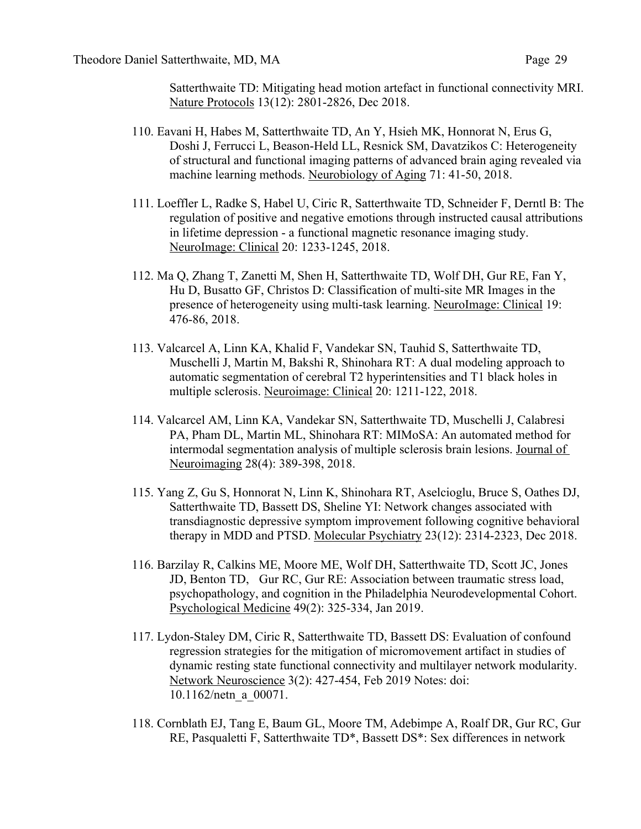Satterthwaite TD: Mitigating head motion artefact in functional connectivity MRI. Nature Protocols 13(12): 2801-2826, Dec 2018.

- 110. Eavani H, Habes M, Satterthwaite TD, An Y, Hsieh MK, Honnorat N, Erus G, Doshi J, Ferrucci L, Beason-Held LL, Resnick SM, Davatzikos C: Heterogeneity of structural and functional imaging patterns of advanced brain aging revealed via machine learning methods. Neurobiology of Aging 71: 41-50, 2018.
- 111. Loeffler L, Radke S, Habel U, Ciric R, Satterthwaite TD, Schneider F, Derntl B: The regulation of positive and negative emotions through instructed causal attributions in lifetime depression - a functional magnetic resonance imaging study. NeuroImage: Clinical 20: 1233-1245, 2018.
- 112. Ma Q, Zhang T, Zanetti M, Shen H, Satterthwaite TD, Wolf DH, Gur RE, Fan Y, Hu D, Busatto GF, Christos D: Classification of multi-site MR Images in the presence of heterogeneity using multi-task learning. NeuroImage: Clinical 19: 476-86, 2018.
- 113. Valcarcel A, Linn KA, Khalid F, Vandekar SN, Tauhid S, Satterthwaite TD, Muschelli J, Martin M, Bakshi R, Shinohara RT: A dual modeling approach to automatic segmentation of cerebral T2 hyperintensities and T1 black holes in multiple sclerosis. Neuroimage: Clinical 20: 1211-122, 2018.
- 114. Valcarcel AM, Linn KA, Vandekar SN, Satterthwaite TD, Muschelli J, Calabresi PA, Pham DL, Martin ML, Shinohara RT: MIMoSA: An automated method for intermodal segmentation analysis of multiple sclerosis brain lesions. Journal of Neuroimaging 28(4): 389-398, 2018.
- 115. Yang Z, Gu S, Honnorat N, Linn K, Shinohara RT, Aselcioglu, Bruce S, Oathes DJ, Satterthwaite TD, Bassett DS, Sheline YI: Network changes associated with transdiagnostic depressive symptom improvement following cognitive behavioral therapy in MDD and PTSD. Molecular Psychiatry 23(12): 2314-2323, Dec 2018.
- 116. Barzilay R, Calkins ME, Moore ME, Wolf DH, Satterthwaite TD, Scott JC, Jones JD, Benton TD, Gur RC, Gur RE: Association between traumatic stress load, psychopathology, and cognition in the Philadelphia Neurodevelopmental Cohort. Psychological Medicine 49(2): 325-334, Jan 2019.
- 117. Lydon-Staley DM, Ciric R, Satterthwaite TD, Bassett DS: Evaluation of confound regression strategies for the mitigation of micromovement artifact in studies of dynamic resting state functional connectivity and multilayer network modularity. Network Neuroscience 3(2): 427-454, Feb 2019 Notes: doi: 10.1162/netn\_a\_00071.
- 118. Cornblath EJ, Tang E, Baum GL, Moore TM, Adebimpe A, Roalf DR, Gur RC, Gur RE, Pasqualetti F, Satterthwaite TD\*, Bassett DS\*: Sex differences in network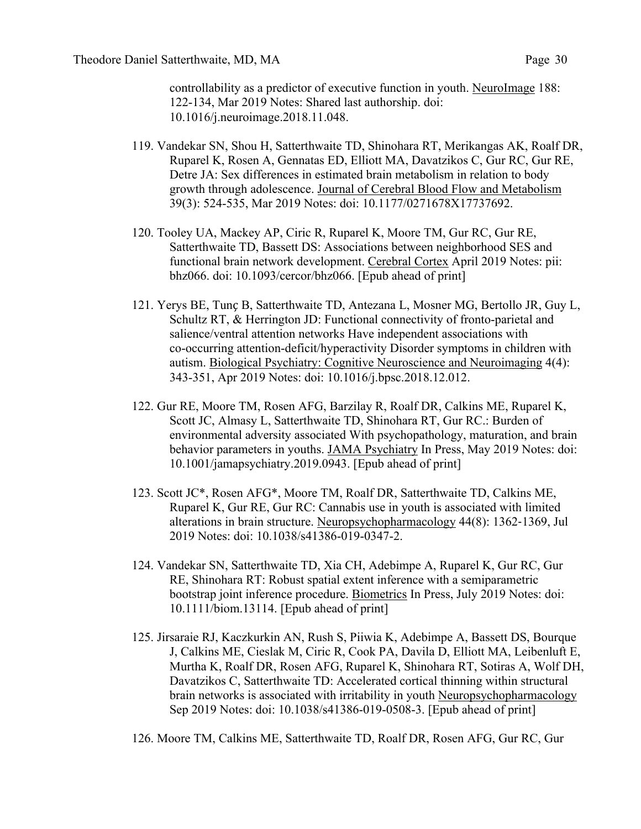controllability as a predictor of executive function in youth. NeuroImage 188: 122-134, Mar 2019 Notes: Shared last authorship. doi: 10.1016/j.neuroimage.2018.11.048.

- 119. Vandekar SN, Shou H, Satterthwaite TD, Shinohara RT, Merikangas AK, Roalf DR, Ruparel K, Rosen A, Gennatas ED, Elliott MA, Davatzikos C, Gur RC, Gur RE, Detre JA: Sex differences in estimated brain metabolism in relation to body growth through adolescence. Journal of Cerebral Blood Flow and Metabolism 39(3): 524-535, Mar 2019 Notes: doi: 10.1177/0271678X17737692.
- 120. Tooley UA, Mackey AP, Ciric R, Ruparel K, Moore TM, Gur RC, Gur RE, Satterthwaite TD, Bassett DS: Associations between neighborhood SES and functional brain network development. Cerebral Cortex April 2019 Notes: pii: bhz066. doi: 10.1093/cercor/bhz066. [Epub ahead of print]
- 121. Yerys BE, Tunç B, Satterthwaite TD, Antezana L, Mosner MG, Bertollo JR, Guy L, Schultz RT, & Herrington JD: Functional connectivity of fronto-parietal and salience/ventral attention networks Have independent associations with co-occurring attention-deficit/hyperactivity Disorder symptoms in children with autism. Biological Psychiatry: Cognitive Neuroscience and Neuroimaging 4(4): 343-351, Apr 2019 Notes: doi: 10.1016/j.bpsc.2018.12.012.
- 122. Gur RE, Moore TM, Rosen AFG, Barzilay R, Roalf DR, Calkins ME, Ruparel K, Scott JC, Almasy L, Satterthwaite TD, Shinohara RT, Gur RC.: Burden of environmental adversity associated With psychopathology, maturation, and brain behavior parameters in youths. JAMA Psychiatry In Press, May 2019 Notes: doi: 10.1001/jamapsychiatry.2019.0943. [Epub ahead of print]
- 123. Scott JC\*, Rosen AFG\*, Moore TM, Roalf DR, Satterthwaite TD, Calkins ME, Ruparel K, Gur RE, Gur RC: Cannabis use in youth is associated with limited alterations in brain structure. Neuropsychopharmacology 44(8): 1362-1369, Jul 2019 Notes: doi: 10.1038/s41386-019-0347-2.
- 124. Vandekar SN, Satterthwaite TD, Xia CH, Adebimpe A, Ruparel K, Gur RC, Gur RE, Shinohara RT: Robust spatial extent inference with a semiparametric bootstrap joint inference procedure. Biometrics In Press, July 2019 Notes: doi: 10.1111/biom.13114. [Epub ahead of print]
- 125. Jirsaraie RJ, Kaczkurkin AN, Rush S, Piiwia K, Adebimpe A, Bassett DS, Bourque J, Calkins ME, Cieslak M, Ciric R, Cook PA, Davila D, Elliott MA, Leibenluft E, Murtha K, Roalf DR, Rosen AFG, Ruparel K, Shinohara RT, Sotiras A, Wolf DH, Davatzikos C, Satterthwaite TD: Accelerated cortical thinning within structural brain networks is associated with irritability in youth Neuropsychopharmacology Sep 2019 Notes: doi: 10.1038/s41386-019-0508-3. [Epub ahead of print]
- 126. Moore TM, Calkins ME, Satterthwaite TD, Roalf DR, Rosen AFG, Gur RC, Gur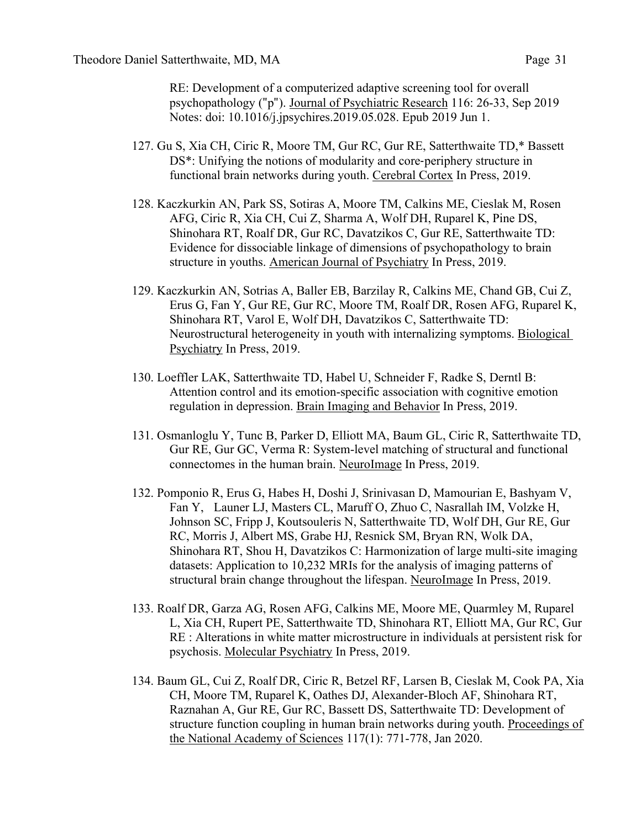RE: Development of a computerized adaptive screening tool for overall psychopathology ("p"). Journal of Psychiatric Research 116: 26-33, Sep 2019 Notes: doi: 10.1016/j.jpsychires.2019.05.028. Epub 2019 Jun 1.

- 127. Gu S, Xia CH, Ciric R, Moore TM, Gur RC, Gur RE, Satterthwaite TD,\* Bassett DS\*: Unifying the notions of modularity and core-periphery structure in functional brain networks during youth. Cerebral Cortex In Press, 2019.
- 128. Kaczkurkin AN, Park SS, Sotiras A, Moore TM, Calkins ME, Cieslak M, Rosen AFG, Ciric R, Xia CH, Cui Z, Sharma A, Wolf DH, Ruparel K, Pine DS, Shinohara RT, Roalf DR, Gur RC, Davatzikos C, Gur RE, Satterthwaite TD: Evidence for dissociable linkage of dimensions of psychopathology to brain structure in youths. American Journal of Psychiatry In Press, 2019.
- 129. Kaczkurkin AN, Sotrias A, Baller EB, Barzilay R, Calkins ME, Chand GB, Cui Z, Erus G, Fan Y, Gur RE, Gur RC, Moore TM, Roalf DR, Rosen AFG, Ruparel K, Shinohara RT, Varol E, Wolf DH, Davatzikos C, Satterthwaite TD: Neurostructural heterogeneity in youth with internalizing symptoms. Biological Psychiatry In Press, 2019.
- 130. Loeffler LAK, Satterthwaite TD, Habel U, Schneider F, Radke S, Derntl B: Attention control and its emotion-specific association with cognitive emotion regulation in depression. Brain Imaging and Behavior In Press, 2019.
- 131. Osmanloglu Y, Tunc B, Parker D, Elliott MA, Baum GL, Ciric R, Satterthwaite TD, Gur RE, Gur GC, Verma R: System-level matching of structural and functional connectomes in the human brain. NeuroImage In Press, 2019.
- 132. Pomponio R, Erus G, Habes H, Doshi J, Srinivasan D, Mamourian E, Bashyam V, Fan Y, Launer LJ, Masters CL, Maruff O, Zhuo C, Nasrallah IM, Volzke H, Johnson SC, Fripp J, Koutsouleris N, Satterthwaite TD, Wolf DH, Gur RE, Gur RC, Morris J, Albert MS, Grabe HJ, Resnick SM, Bryan RN, Wolk DA, Shinohara RT, Shou H, Davatzikos C: Harmonization of large multi-site imaging datasets: Application to 10,232 MRIs for the analysis of imaging patterns of structural brain change throughout the lifespan. NeuroImage In Press, 2019.
- 133. Roalf DR, Garza AG, Rosen AFG, Calkins ME, Moore ME, Quarmley M, Ruparel L, Xia CH, Rupert PE, Satterthwaite TD, Shinohara RT, Elliott MA, Gur RC, Gur RE : Alterations in white matter microstructure in individuals at persistent risk for psychosis. Molecular Psychiatry In Press, 2019.
- 134. Baum GL, Cui Z, Roalf DR, Ciric R, Betzel RF, Larsen B, Cieslak M, Cook PA, Xia CH, Moore TM, Ruparel K, Oathes DJ, Alexander-Bloch AF, Shinohara RT, Raznahan A, Gur RE, Gur RC, Bassett DS, Satterthwaite TD: Development of structure function coupling in human brain networks during youth. Proceedings of the National Academy of Sciences 117(1): 771-778, Jan 2020.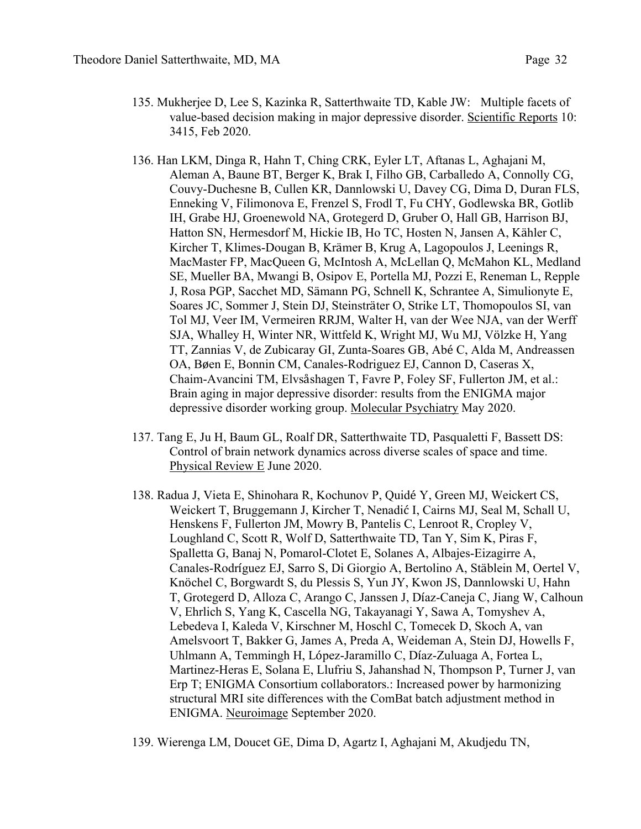- 135. Mukherjee D, Lee S, Kazinka R, Satterthwaite TD, Kable JW: Multiple facets of value-based decision making in major depressive disorder. Scientific Reports 10: 3415, Feb 2020.
- 136. Han LKM, Dinga R, Hahn T, Ching CRK, Eyler LT, Aftanas L, Aghajani M, Aleman A, Baune BT, Berger K, Brak I, Filho GB, Carballedo A, Connolly CG, Couvy-Duchesne B, Cullen KR, Dannlowski U, Davey CG, Dima D, Duran FLS, Enneking V, Filimonova E, Frenzel S, Frodl T, Fu CHY, Godlewska BR, Gotlib IH, Grabe HJ, Groenewold NA, Grotegerd D, Gruber O, Hall GB, Harrison BJ, Hatton SN, Hermesdorf M, Hickie IB, Ho TC, Hosten N, Jansen A, Kähler C, Kircher T, Klimes-Dougan B, Krämer B, Krug A, Lagopoulos J, Leenings R, MacMaster FP, MacQueen G, McIntosh A, McLellan Q, McMahon KL, Medland SE, Mueller BA, Mwangi B, Osipov E, Portella MJ, Pozzi E, Reneman L, Repple J, Rosa PGP, Sacchet MD, Sämann PG, Schnell K, Schrantee A, Simulionyte E, Soares JC, Sommer J, Stein DJ, Steinsträter O, Strike LT, Thomopoulos SI, van Tol MJ, Veer IM, Vermeiren RRJM, Walter H, van der Wee NJA, van der Werff SJA, Whalley H, Winter NR, Wittfeld K, Wright MJ, Wu MJ, Völzke H, Yang TT, Zannias V, de Zubicaray GI, Zunta-Soares GB, Abé C, Alda M, Andreassen OA, Bøen E, Bonnin CM, Canales-Rodriguez EJ, Cannon D, Caseras X, Chaim-Avancini TM, Elvsåshagen T, Favre P, Foley SF, Fullerton JM, et al.: Brain aging in major depressive disorder: results from the ENIGMA major depressive disorder working group. Molecular Psychiatry May 2020.
- 137. Tang E, Ju H, Baum GL, Roalf DR, Satterthwaite TD, Pasqualetti F, Bassett DS: Control of brain network dynamics across diverse scales of space and time. Physical Review E June 2020.
- 138. Radua J, Vieta E, Shinohara R, Kochunov P, Quidé Y, Green MJ, Weickert CS, Weickert T, Bruggemann J, Kircher T, Nenadić I, Cairns MJ, Seal M, Schall U, Henskens F, Fullerton JM, Mowry B, Pantelis C, Lenroot R, Cropley V, Loughland C, Scott R, Wolf D, Satterthwaite TD, Tan Y, Sim K, Piras F, Spalletta G, Banaj N, Pomarol-Clotet E, Solanes A, Albajes-Eizagirre A, Canales-Rodríguez EJ, Sarro S, Di Giorgio A, Bertolino A, Stäblein M, Oertel V, Knöchel C, Borgwardt S, du Plessis S, Yun JY, Kwon JS, Dannlowski U, Hahn T, Grotegerd D, Alloza C, Arango C, Janssen J, Díaz-Caneja C, Jiang W, Calhoun V, Ehrlich S, Yang K, Cascella NG, Takayanagi Y, Sawa A, Tomyshev A, Lebedeva I, Kaleda V, Kirschner M, Hoschl C, Tomecek D, Skoch A, van Amelsvoort T, Bakker G, James A, Preda A, Weideman A, Stein DJ, Howells F, Uhlmann A, Temmingh H, López-Jaramillo C, Díaz-Zuluaga A, Fortea L, Martinez-Heras E, Solana E, Llufriu S, Jahanshad N, Thompson P, Turner J, van Erp T; ENIGMA Consortium collaborators.: Increased power by harmonizing structural MRI site differences with the ComBat batch adjustment method in ENIGMA. Neuroimage September 2020.
- 139. Wierenga LM, Doucet GE, Dima D, Agartz I, Aghajani M, Akudjedu TN,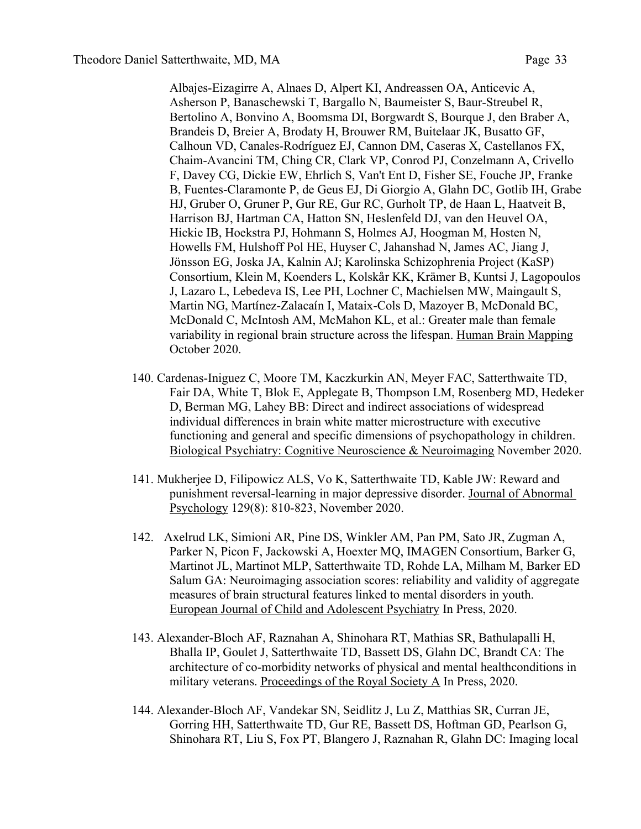Albajes-Eizagirre A, Alnaes D, Alpert KI, Andreassen OA, Anticevic A, Asherson P, Banaschewski T, Bargallo N, Baumeister S, Baur-Streubel R, Bertolino A, Bonvino A, Boomsma DI, Borgwardt S, Bourque J, den Braber A, Brandeis D, Breier A, Brodaty H, Brouwer RM, Buitelaar JK, Busatto GF, Calhoun VD, Canales-Rodríguez EJ, Cannon DM, Caseras X, Castellanos FX, Chaim-Avancini TM, Ching CR, Clark VP, Conrod PJ, Conzelmann A, Crivello F, Davey CG, Dickie EW, Ehrlich S, Van't Ent D, Fisher SE, Fouche JP, Franke B, Fuentes-Claramonte P, de Geus EJ, Di Giorgio A, Glahn DC, Gotlib IH, Grabe HJ, Gruber O, Gruner P, Gur RE, Gur RC, Gurholt TP, de Haan L, Haatveit B, Harrison BJ, Hartman CA, Hatton SN, Heslenfeld DJ, van den Heuvel OA, Hickie IB, Hoekstra PJ, Hohmann S, Holmes AJ, Hoogman M, Hosten N, Howells FM, Hulshoff Pol HE, Huyser C, Jahanshad N, James AC, Jiang J, Jönsson EG, Joska JA, Kalnin AJ; Karolinska Schizophrenia Project (KaSP) Consortium, Klein M, Koenders L, Kolskår KK, Krämer B, Kuntsi J, Lagopoulos J, Lazaro L, Lebedeva IS, Lee PH, Lochner C, Machielsen MW, Maingault S, Martin NG, Martínez-Zalacaín I, Mataix-Cols D, Mazoyer B, McDonald BC, McDonald C, McIntosh AM, McMahon KL, et al.: Greater male than female variability in regional brain structure across the lifespan. Human Brain Mapping October 2020.

- 140. Cardenas-Iniguez C, Moore TM, Kaczkurkin AN, Meyer FAC, Satterthwaite TD, Fair DA, White T, Blok E, Applegate B, Thompson LM, Rosenberg MD, Hedeker D, Berman MG, Lahey BB: Direct and indirect associations of widespread individual differences in brain white matter microstructure with executive functioning and general and specific dimensions of psychopathology in children. Biological Psychiatry: Cognitive Neuroscience & Neuroimaging November 2020.
- 141. Mukherjee D, Filipowicz ALS, Vo K, Satterthwaite TD, Kable JW: Reward and punishment reversal-learning in major depressive disorder. Journal of Abnormal Psychology 129(8): 810-823, November 2020.
- 142. Axelrud LK, Simioni AR, Pine DS, Winkler AM, Pan PM, Sato JR, Zugman A, Parker N, Picon F, Jackowski A, Hoexter MQ, IMAGEN Consortium, Barker G, Martinot JL, Martinot MLP, Satterthwaite TD, Rohde LA, Milham M, Barker ED Salum GA: Neuroimaging association scores: reliability and validity of aggregate measures of brain structural features linked to mental disorders in youth. European Journal of Child and Adolescent Psychiatry In Press, 2020.
- 143. Alexander-Bloch AF, Raznahan A, Shinohara RT, Mathias SR, Bathulapalli H, Bhalla IP, Goulet J, Satterthwaite TD, Bassett DS, Glahn DC, Brandt CA: The architecture of co-morbidity networks of physical and mental healthconditions in military veterans. Proceedings of the Royal Society A In Press, 2020.
- 144. Alexander-Bloch AF, Vandekar SN, Seidlitz J, Lu Z, Matthias SR, Curran JE, Gorring HH, Satterthwaite TD, Gur RE, Bassett DS, Hoftman GD, Pearlson G, Shinohara RT, Liu S, Fox PT, Blangero J, Raznahan R, Glahn DC: Imaging local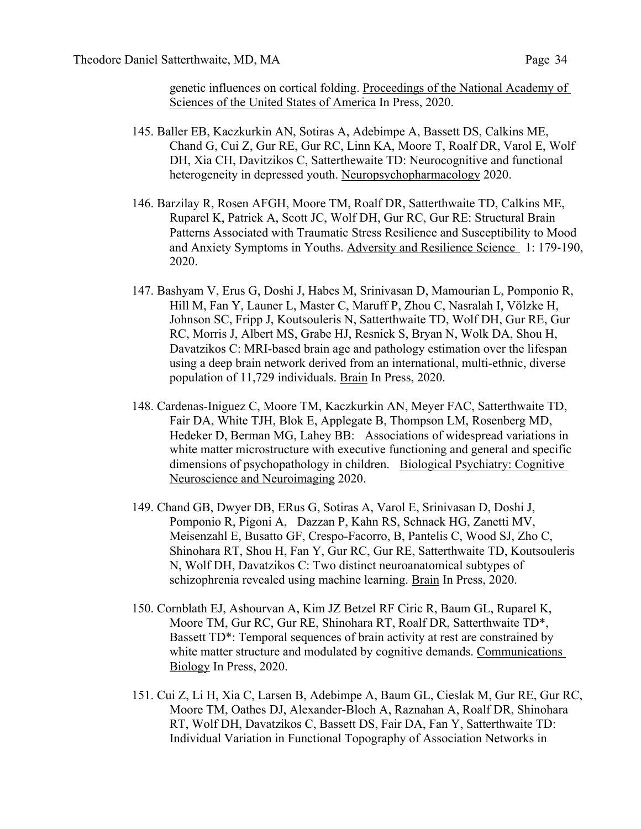genetic influences on cortical folding. Proceedings of the National Academy of Sciences of the United States of America In Press, 2020.

- 145. Baller EB, Kaczkurkin AN, Sotiras A, Adebimpe A, Bassett DS, Calkins ME, Chand G, Cui Z, Gur RE, Gur RC, Linn KA, Moore T, Roalf DR, Varol E, Wolf DH, Xia CH, Davitzikos C, Satterthewaite TD: Neurocognitive and functional heterogeneity in depressed youth. Neuropsychopharmacology 2020.
- 146. Barzilay R, Rosen AFGH, Moore TM, Roalf DR, Satterthwaite TD, Calkins ME, Ruparel K, Patrick A, Scott JC, Wolf DH, Gur RC, Gur RE: Structural Brain Patterns Associated with Traumatic Stress Resilience and Susceptibility to Mood and Anxiety Symptoms in Youths. Adversity and Resilience Science 1: 179-190, 2020.
- 147. Bashyam V, Erus G, Doshi J, Habes M, Srinivasan D, Mamourian L, Pomponio R, Hill M, Fan Y, Launer L, Master C, Maruff P, Zhou C, Nasralah I, Völzke H, Johnson SC, Fripp J, Koutsouleris N, Satterthwaite TD, Wolf DH, Gur RE, Gur RC, Morris J, Albert MS, Grabe HJ, Resnick S, Bryan N, Wolk DA, Shou H, Davatzikos C: MRI-based brain age and pathology estimation over the lifespan using a deep brain network derived from an international, multi-ethnic, diverse population of 11,729 individuals. Brain In Press, 2020.
- 148. Cardenas-Iniguez C, Moore TM, Kaczkurkin AN, Meyer FAC, Satterthwaite TD, Fair DA, White TJH, Blok E, Applegate B, Thompson LM, Rosenberg MD, Hedeker D, Berman MG, Lahey BB: Associations of widespread variations in white matter microstructure with executive functioning and general and specific dimensions of psychopathology in children. Biological Psychiatry: Cognitive Neuroscience and Neuroimaging 2020.
- 149. Chand GB, Dwyer DB, ERus G, Sotiras A, Varol E, Srinivasan D, Doshi J, Pomponio R, Pigoni A, Dazzan P, Kahn RS, Schnack HG, Zanetti MV, Meisenzahl E, Busatto GF, Crespo-Facorro, B, Pantelis C, Wood SJ, Zho C, Shinohara RT, Shou H, Fan Y, Gur RC, Gur RE, Satterthwaite TD, Koutsouleris N, Wolf DH, Davatzikos C: Two distinct neuroanatomical subtypes of schizophrenia revealed using machine learning. Brain In Press, 2020.
- 150. Cornblath EJ, Ashourvan A, Kim JZ Betzel RF Ciric R, Baum GL, Ruparel K, Moore TM, Gur RC, Gur RE, Shinohara RT, Roalf DR, Satterthwaite TD\*, Bassett TD\*: Temporal sequences of brain activity at rest are constrained by white matter structure and modulated by cognitive demands. Communications Biology In Press, 2020.
- 151. Cui Z, Li H, Xia C, Larsen B, Adebimpe A, Baum GL, Cieslak M, Gur RE, Gur RC, Moore TM, Oathes DJ, Alexander-Bloch A, Raznahan A, Roalf DR, Shinohara RT, Wolf DH, Davatzikos C, Bassett DS, Fair DA, Fan Y, Satterthwaite TD: Individual Variation in Functional Topography of Association Networks in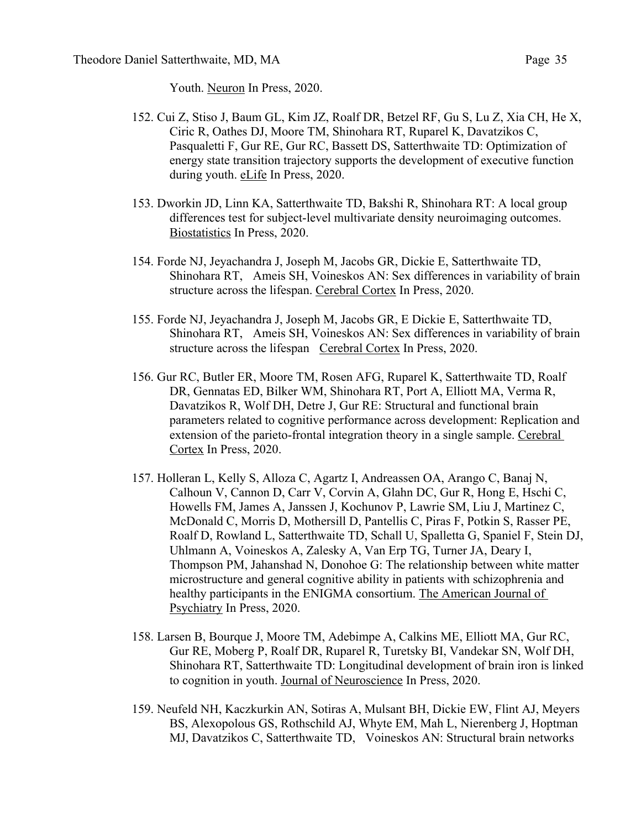Youth. Neuron In Press, 2020.

- 152. Cui Z, Stiso J, Baum GL, Kim JZ, Roalf DR, Betzel RF, Gu S, Lu Z, Xia CH, He X, Ciric R, Oathes DJ, Moore TM, Shinohara RT, Ruparel K, Davatzikos C, Pasqualetti F, Gur RE, Gur RC, Bassett DS, Satterthwaite TD: Optimization of energy state transition trajectory supports the development of executive function during youth. eLife In Press, 2020.
- 153. Dworkin JD, Linn KA, Satterthwaite TD, Bakshi R, Shinohara RT: A local group differences test for subject-level multivariate density neuroimaging outcomes. Biostatistics In Press, 2020.
- 154. Forde NJ, Jeyachandra J, Joseph M, Jacobs GR, Dickie E, Satterthwaite TD, Shinohara RT, Ameis SH, Voineskos AN: Sex differences in variability of brain structure across the lifespan. Cerebral Cortex In Press, 2020.
- 155. Forde NJ, Jeyachandra J, Joseph M, Jacobs GR, E Dickie E, Satterthwaite TD, Shinohara RT, Ameis SH, Voineskos AN: Sex differences in variability of brain structure across the lifespan Cerebral Cortex In Press, 2020.
- 156. Gur RC, Butler ER, Moore TM, Rosen AFG, Ruparel K, Satterthwaite TD, Roalf DR, Gennatas ED, Bilker WM, Shinohara RT, Port A, Elliott MA, Verma R, Davatzikos R, Wolf DH, Detre J, Gur RE: Structural and functional brain parameters related to cognitive performance across development: Replication and extension of the parieto-frontal integration theory in a single sample. Cerebral Cortex In Press, 2020.
- 157. Holleran L, Kelly S, Alloza C, Agartz I, Andreassen OA, Arango C, Banaj N, Calhoun V, Cannon D, Carr V, Corvin A, Glahn DC, Gur R, Hong E, Hschi C, Howells FM, James A, Janssen J, Kochunov P, Lawrie SM, Liu J, Martinez C, McDonald C, Morris D, Mothersill D, Pantellis C, Piras F, Potkin S, Rasser PE, Roalf D, Rowland L, Satterthwaite TD, Schall U, Spalletta G, Spaniel F, Stein DJ, Uhlmann A, Voineskos A, Zalesky A, Van Erp TG, Turner JA, Deary I, Thompson PM, Jahanshad N, Donohoe G: The relationship between white matter microstructure and general cognitive ability in patients with schizophrenia and healthy participants in the ENIGMA consortium. The American Journal of Psychiatry In Press, 2020.
- 158. Larsen B, Bourque J, Moore TM, Adebimpe A, Calkins ME, Elliott MA, Gur RC, Gur RE, Moberg P, Roalf DR, Ruparel R, Turetsky BI, Vandekar SN, Wolf DH, Shinohara RT, Satterthwaite TD: Longitudinal development of brain iron is linked to cognition in youth. Journal of Neuroscience In Press, 2020.
- 159. Neufeld NH, Kaczkurkin AN, Sotiras A, Mulsant BH, Dickie EW, Flint AJ, Meyers BS, Alexopolous GS, Rothschild AJ, Whyte EM, Mah L, Nierenberg J, Hoptman MJ, Davatzikos C, Satterthwaite TD, Voineskos AN: Structural brain networks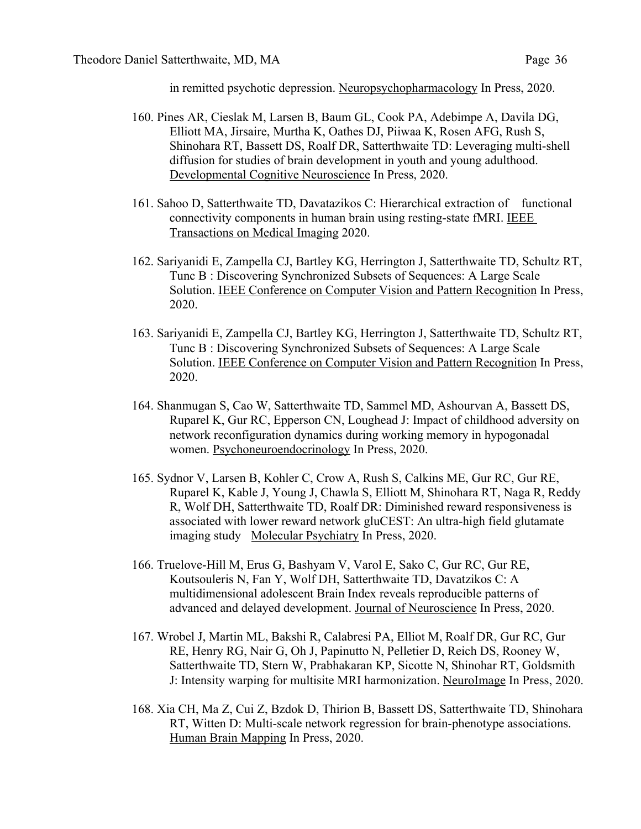in remitted psychotic depression. Neuropsychopharmacology In Press, 2020.

- 160. Pines AR, Cieslak M, Larsen B, Baum GL, Cook PA, Adebimpe A, Davila DG, Elliott MA, Jirsaire, Murtha K, Oathes DJ, Piiwaa K, Rosen AFG, Rush S, Shinohara RT, Bassett DS, Roalf DR, Satterthwaite TD: Leveraging multi-shell diffusion for studies of brain development in youth and young adulthood. Developmental Cognitive Neuroscience In Press, 2020.
- 161. Sahoo D, Satterthwaite TD, Davatazikos C: Hierarchical extraction of functional connectivity components in human brain using resting-state fMRI. IEEE Transactions on Medical Imaging 2020.
- 162. Sariyanidi E, Zampella CJ, Bartley KG, Herrington J, Satterthwaite TD, Schultz RT, Tunc B : Discovering Synchronized Subsets of Sequences: A Large Scale Solution. IEEE Conference on Computer Vision and Pattern Recognition In Press, 2020.
- 163. Sariyanidi E, Zampella CJ, Bartley KG, Herrington J, Satterthwaite TD, Schultz RT, Tunc B : Discovering Synchronized Subsets of Sequences: A Large Scale Solution. IEEE Conference on Computer Vision and Pattern Recognition In Press, 2020.
- 164. Shanmugan S, Cao W, Satterthwaite TD, Sammel MD, Ashourvan A, Bassett DS, Ruparel K, Gur RC, Epperson CN, Loughead J: Impact of childhood adversity on network reconfiguration dynamics during working memory in hypogonadal women. Psychoneuroendocrinology In Press, 2020.
- 165. Sydnor V, Larsen B, Kohler C, Crow A, Rush S, Calkins ME, Gur RC, Gur RE, Ruparel K, Kable J, Young J, Chawla S, Elliott M, Shinohara RT, Naga R, Reddy R, Wolf DH, Satterthwaite TD, Roalf DR: Diminished reward responsiveness is associated with lower reward network gluCEST: An ultra-high field glutamate imaging study Molecular Psychiatry In Press, 2020.
- 166. Truelove-Hill M, Erus G, Bashyam V, Varol E, Sako C, Gur RC, Gur RE, Koutsouleris N, Fan Y, Wolf DH, Satterthwaite TD, Davatzikos C: A multidimensional adolescent Brain Index reveals reproducible patterns of advanced and delayed development. Journal of Neuroscience In Press, 2020.
- 167. Wrobel J, Martin ML, Bakshi R, Calabresi PA, Elliot M, Roalf DR, Gur RC, Gur RE, Henry RG, Nair G, Oh J, Papinutto N, Pelletier D, Reich DS, Rooney W, Satterthwaite TD, Stern W, Prabhakaran KP, Sicotte N, Shinohar RT, Goldsmith J: Intensity warping for multisite MRI harmonization. NeuroImage In Press, 2020.
- 168. Xia CH, Ma Z, Cui Z, Bzdok D, Thirion B, Bassett DS, Satterthwaite TD, Shinohara RT, Witten D: Multi-scale network regression for brain-phenotype associations. Human Brain Mapping In Press, 2020.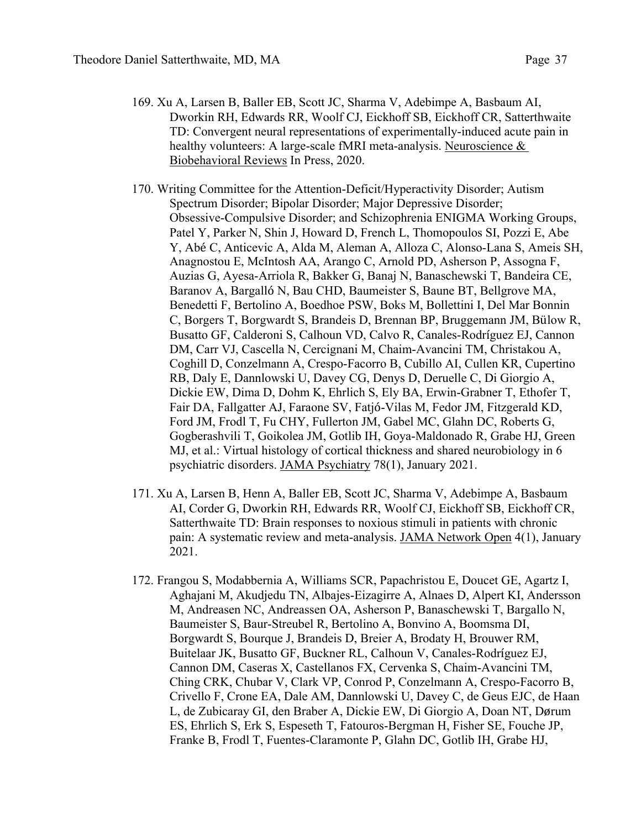- 169. Xu A, Larsen B, Baller EB, Scott JC, Sharma V, Adebimpe A, Basbaum AI, Dworkin RH, Edwards RR, Woolf CJ, Eickhoff SB, Eickhoff CR, Satterthwaite TD: Convergent neural representations of experimentally-induced acute pain in healthy volunteers: A large-scale fMRI meta-analysis. Neuroscience & Biobehavioral Reviews In Press, 2020.
- 170. Writing Committee for the Attention-Deficit/Hyperactivity Disorder; Autism Spectrum Disorder; Bipolar Disorder; Major Depressive Disorder; Obsessive-Compulsive Disorder; and Schizophrenia ENIGMA Working Groups, Patel Y, Parker N, Shin J, Howard D, French L, Thomopoulos SI, Pozzi E, Abe Y, Abé C, Anticevic A, Alda M, Aleman A, Alloza C, Alonso-Lana S, Ameis SH, Anagnostou E, McIntosh AA, Arango C, Arnold PD, Asherson P, Assogna F, Auzias G, Ayesa-Arriola R, Bakker G, Banaj N, Banaschewski T, Bandeira CE, Baranov A, Bargalló N, Bau CHD, Baumeister S, Baune BT, Bellgrove MA, Benedetti F, Bertolino A, Boedhoe PSW, Boks M, Bollettini I, Del Mar Bonnin C, Borgers T, Borgwardt S, Brandeis D, Brennan BP, Bruggemann JM, Bülow R, Busatto GF, Calderoni S, Calhoun VD, Calvo R, Canales-Rodríguez EJ, Cannon DM, Carr VJ, Cascella N, Cercignani M, Chaim-Avancini TM, Christakou A, Coghill D, Conzelmann A, Crespo-Facorro B, Cubillo AI, Cullen KR, Cupertino RB, Daly E, Dannlowski U, Davey CG, Denys D, Deruelle C, Di Giorgio A, Dickie EW, Dima D, Dohm K, Ehrlich S, Ely BA, Erwin-Grabner T, Ethofer T, Fair DA, Fallgatter AJ, Faraone SV, Fatjó-Vilas M, Fedor JM, Fitzgerald KD, Ford JM, Frodl T, Fu CHY, Fullerton JM, Gabel MC, Glahn DC, Roberts G, Gogberashvili T, Goikolea JM, Gotlib IH, Goya-Maldonado R, Grabe HJ, Green MJ, et al.: Virtual histology of cortical thickness and shared neurobiology in 6 psychiatric disorders. JAMA Psychiatry 78(1), January 2021.
- 171. Xu A, Larsen B, Henn A, Baller EB, Scott JC, Sharma V, Adebimpe A, Basbaum AI, Corder G, Dworkin RH, Edwards RR, Woolf CJ, Eickhoff SB, Eickhoff CR, Satterthwaite TD: Brain responses to noxious stimuli in patients with chronic pain: A systematic review and meta-analysis. JAMA Network Open 4(1), January 2021.
- 172. Frangou S, Modabbernia A, Williams SCR, Papachristou E, Doucet GE, Agartz I, Aghajani M, Akudjedu TN, Albajes-Eizagirre A, Alnaes D, Alpert KI, Andersson M, Andreasen NC, Andreassen OA, Asherson P, Banaschewski T, Bargallo N, Baumeister S, Baur-Streubel R, Bertolino A, Bonvino A, Boomsma DI, Borgwardt S, Bourque J, Brandeis D, Breier A, Brodaty H, Brouwer RM, Buitelaar JK, Busatto GF, Buckner RL, Calhoun V, Canales-Rodríguez EJ, Cannon DM, Caseras X, Castellanos FX, Cervenka S, Chaim-Avancini TM, Ching CRK, Chubar V, Clark VP, Conrod P, Conzelmann A, Crespo-Facorro B, Crivello F, Crone EA, Dale AM, Dannlowski U, Davey C, de Geus EJC, de Haan L, de Zubicaray GI, den Braber A, Dickie EW, Di Giorgio A, Doan NT, Dørum ES, Ehrlich S, Erk S, Espeseth T, Fatouros-Bergman H, Fisher SE, Fouche JP, Franke B, Frodl T, Fuentes-Claramonte P, Glahn DC, Gotlib IH, Grabe HJ,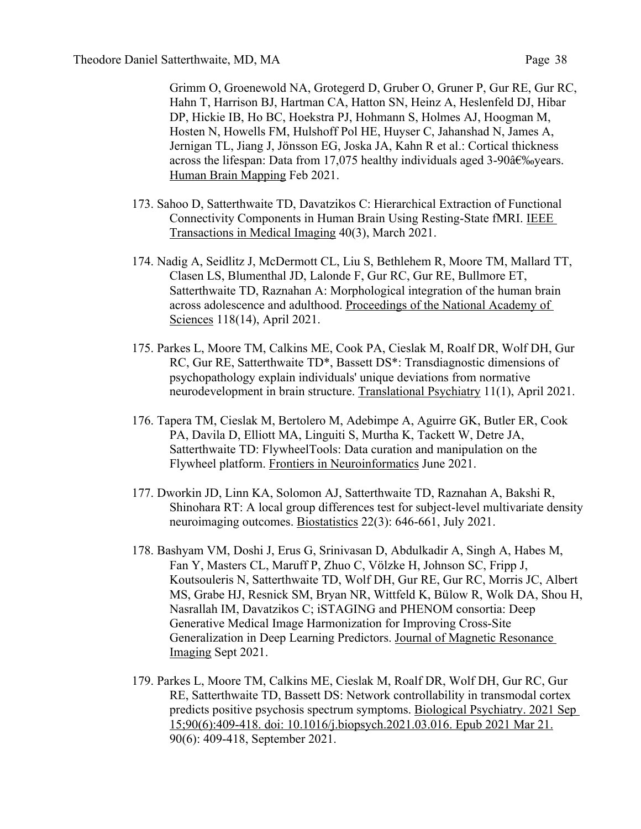Grimm O, Groenewold NA, Grotegerd D, Gruber O, Gruner P, Gur RE, Gur RC, Hahn T, Harrison BJ, Hartman CA, Hatton SN, Heinz A, Heslenfeld DJ, Hibar DP, Hickie IB, Ho BC, Hoekstra PJ, Hohmann S, Holmes AJ, Hoogman M, Hosten N, Howells FM, Hulshoff Pol HE, Huyser C, Jahanshad N, James A, Jernigan TL, Jiang J, Jönsson EG, Joska JA, Kahn R et al.: Cortical thickness across the lifespan: Data from 17,075 healthy individuals aged 3-90 $\hat{a} \in \mathcal{S}$  sypess. Human Brain Mapping Feb 2021.

- 173. Sahoo D, Satterthwaite TD, Davatzikos C: Hierarchical Extraction of Functional Connectivity Components in Human Brain Using Resting-State fMRI. IEEE Transactions in Medical Imaging 40(3), March 2021.
- 174. Nadig A, Seidlitz J, McDermott CL, Liu S, Bethlehem R, Moore TM, Mallard TT, Clasen LS, Blumenthal JD, Lalonde F, Gur RC, Gur RE, Bullmore ET, Satterthwaite TD, Raznahan A: Morphological integration of the human brain across adolescence and adulthood. Proceedings of the National Academy of Sciences 118(14), April 2021.
- 175. Parkes L, Moore TM, Calkins ME, Cook PA, Cieslak M, Roalf DR, Wolf DH, Gur RC, Gur RE, Satterthwaite TD\*, Bassett DS\*: Transdiagnostic dimensions of psychopathology explain individuals' unique deviations from normative neurodevelopment in brain structure. Translational Psychiatry 11(1), April 2021.
- 176. Tapera TM, Cieslak M, Bertolero M, Adebimpe A, Aguirre GK, Butler ER, Cook PA, Davila D, Elliott MA, Linguiti S, Murtha K, Tackett W, Detre JA, Satterthwaite TD: FlywheelTools: Data curation and manipulation on the Flywheel platform. Frontiers in Neuroinformatics June 2021.
- 177. Dworkin JD, Linn KA, Solomon AJ, Satterthwaite TD, Raznahan A, Bakshi R, Shinohara RT: A local group differences test for subject-level multivariate density neuroimaging outcomes. Biostatistics 22(3): 646-661, July 2021.
- 178. Bashyam VM, Doshi J, Erus G, Srinivasan D, Abdulkadir A, Singh A, Habes M, Fan Y, Masters CL, Maruff P, Zhuo C, Völzke H, Johnson SC, Fripp J, Koutsouleris N, Satterthwaite TD, Wolf DH, Gur RE, Gur RC, Morris JC, Albert MS, Grabe HJ, Resnick SM, Bryan NR, Wittfeld K, Bülow R, Wolk DA, Shou H, Nasrallah IM, Davatzikos C; iSTAGING and PHENOM consortia: Deep Generative Medical Image Harmonization for Improving Cross-Site Generalization in Deep Learning Predictors. Journal of Magnetic Resonance Imaging Sept 2021.
- 179. Parkes L, Moore TM, Calkins ME, Cieslak M, Roalf DR, Wolf DH, Gur RC, Gur RE, Satterthwaite TD, Bassett DS: Network controllability in transmodal cortex predicts positive psychosis spectrum symptoms. Biological Psychiatry. 2021 Sep 15;90(6):409-418. doi: 10.1016/j.biopsych.2021.03.016. Epub 2021 Mar 21. 90(6): 409-418, September 2021.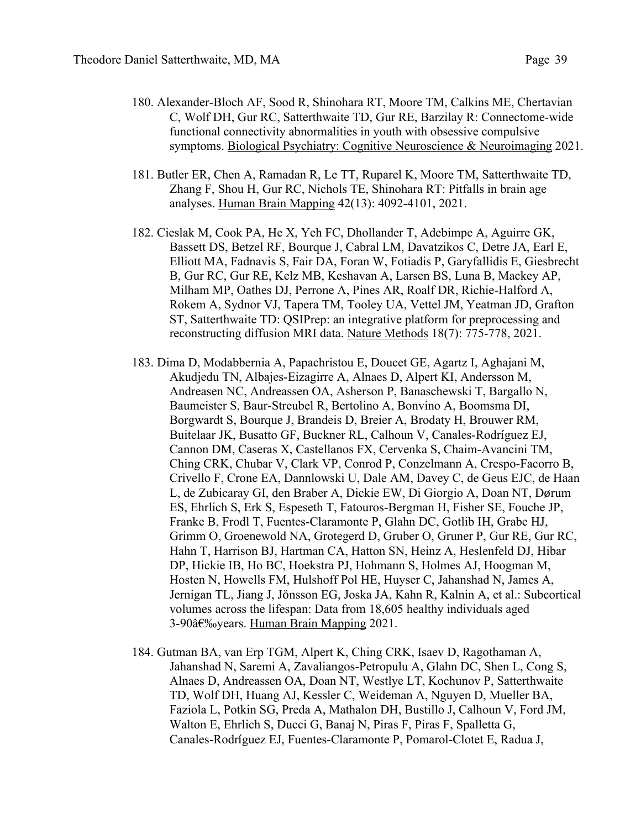- 180. Alexander-Bloch AF, Sood R, Shinohara RT, Moore TM, Calkins ME, Chertavian C, Wolf DH, Gur RC, Satterthwaite TD, Gur RE, Barzilay R: Connectome-wide functional connectivity abnormalities in youth with obsessive compulsive symptoms. Biological Psychiatry: Cognitive Neuroscience & Neuroimaging 2021.
- 181. Butler ER, Chen A, Ramadan R, Le TT, Ruparel K, Moore TM, Satterthwaite TD, Zhang F, Shou H, Gur RC, Nichols TE, Shinohara RT: Pitfalls in brain age analyses. Human Brain Mapping 42(13): 4092-4101, 2021.
- 182. Cieslak M, Cook PA, He X, Yeh FC, Dhollander T, Adebimpe A, Aguirre GK, Bassett DS, Betzel RF, Bourque J, Cabral LM, Davatzikos C, Detre JA, Earl E, Elliott MA, Fadnavis S, Fair DA, Foran W, Fotiadis P, Garyfallidis E, Giesbrecht B, Gur RC, Gur RE, Kelz MB, Keshavan A, Larsen BS, Luna B, Mackey AP, Milham MP, Oathes DJ, Perrone A, Pines AR, Roalf DR, Richie-Halford A, Rokem A, Sydnor VJ, Tapera TM, Tooley UA, Vettel JM, Yeatman JD, Grafton ST, Satterthwaite TD: QSIPrep: an integrative platform for preprocessing and reconstructing diffusion MRI data. Nature Methods 18(7): 775-778, 2021.
- 183. Dima D, Modabbernia A, Papachristou E, Doucet GE, Agartz I, Aghajani M, Akudjedu TN, Albajes-Eizagirre A, Alnaes D, Alpert KI, Andersson M, Andreasen NC, Andreassen OA, Asherson P, Banaschewski T, Bargallo N, Baumeister S, Baur-Streubel R, Bertolino A, Bonvino A, Boomsma DI, Borgwardt S, Bourque J, Brandeis D, Breier A, Brodaty H, Brouwer RM, Buitelaar JK, Busatto GF, Buckner RL, Calhoun V, Canales-Rodríguez EJ, Cannon DM, Caseras X, Castellanos FX, Cervenka S, Chaim-Avancini TM, Ching CRK, Chubar V, Clark VP, Conrod P, Conzelmann A, Crespo-Facorro B, Crivello F, Crone EA, Dannlowski U, Dale AM, Davey C, de Geus EJC, de Haan L, de Zubicaray GI, den Braber A, Dickie EW, Di Giorgio A, Doan NT, Dørum ES, Ehrlich S, Erk S, Espeseth T, Fatouros-Bergman H, Fisher SE, Fouche JP, Franke B, Frodl T, Fuentes-Claramonte P, Glahn DC, Gotlib IH, Grabe HJ, Grimm O, Groenewold NA, Grotegerd D, Gruber O, Gruner P, Gur RE, Gur RC, Hahn T, Harrison BJ, Hartman CA, Hatton SN, Heinz A, Heslenfeld DJ, Hibar DP, Hickie IB, Ho BC, Hoekstra PJ, Hohmann S, Holmes AJ, Hoogman M, Hosten N, Howells FM, Hulshoff Pol HE, Huyser C, Jahanshad N, James A, Jernigan TL, Jiang J, Jönsson EG, Joska JA, Kahn R, Kalnin A, et al.: Subcortical volumes across the lifespan: Data from 18,605 healthy individuals aged 3-90 years. Human Brain Mapping 2021.
- 184. Gutman BA, van Erp TGM, Alpert K, Ching CRK, Isaev D, Ragothaman A, Jahanshad N, Saremi A, Zavaliangos-Petropulu A, Glahn DC, Shen L, Cong S, Alnaes D, Andreassen OA, Doan NT, Westlye LT, Kochunov P, Satterthwaite TD, Wolf DH, Huang AJ, Kessler C, Weideman A, Nguyen D, Mueller BA, Faziola L, Potkin SG, Preda A, Mathalon DH, Bustillo J, Calhoun V, Ford JM, Walton E, Ehrlich S, Ducci G, Banaj N, Piras F, Piras F, Spalletta G, Canales-Rodríguez EJ, Fuentes-Claramonte P, Pomarol-Clotet E, Radua J,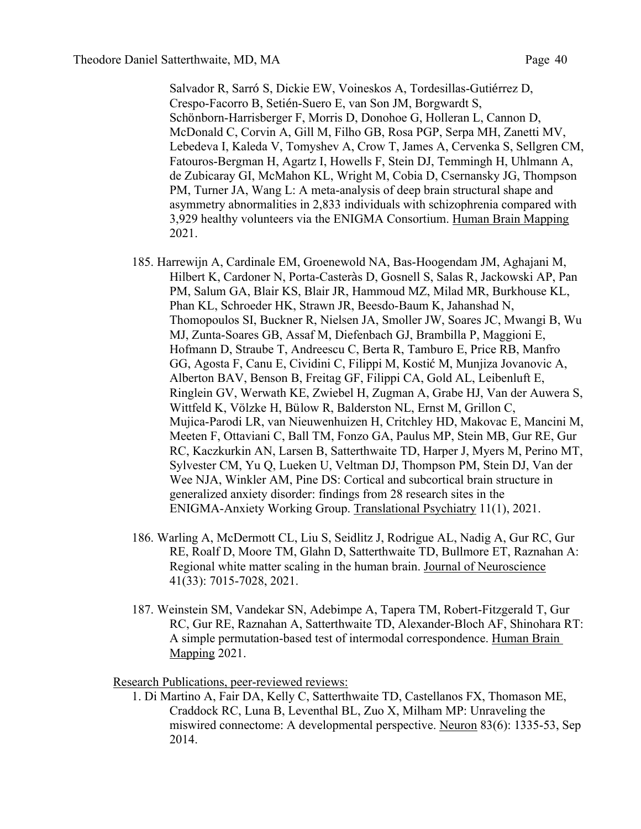Salvador R, Sarró S, Dickie EW, Voineskos A, Tordesillas-Gutiérrez D, Crespo-Facorro B, Setién-Suero E, van Son JM, Borgwardt S, Schönborn-Harrisberger F, Morris D, Donohoe G, Holleran L, Cannon D, McDonald C, Corvin A, Gill M, Filho GB, Rosa PGP, Serpa MH, Zanetti MV, Lebedeva I, Kaleda V, Tomyshev A, Crow T, James A, Cervenka S, Sellgren CM, Fatouros-Bergman H, Agartz I, Howells F, Stein DJ, Temmingh H, Uhlmann A, de Zubicaray GI, McMahon KL, Wright M, Cobia D, Csernansky JG, Thompson PM, Turner JA, Wang L: A meta-analysis of deep brain structural shape and asymmetry abnormalities in 2,833 individuals with schizophrenia compared with 3,929 healthy volunteers via the ENIGMA Consortium. Human Brain Mapping 2021.

- 185. Harrewijn A, Cardinale EM, Groenewold NA, Bas-Hoogendam JM, Aghajani M, Hilbert K, Cardoner N, Porta-Casteràs D, Gosnell S, Salas R, Jackowski AP, Pan PM, Salum GA, Blair KS, Blair JR, Hammoud MZ, Milad MR, Burkhouse KL, Phan KL, Schroeder HK, Strawn JR, Beesdo-Baum K, Jahanshad N, Thomopoulos SI, Buckner R, Nielsen JA, Smoller JW, Soares JC, Mwangi B, Wu MJ, Zunta-Soares GB, Assaf M, Diefenbach GJ, Brambilla P, Maggioni E, Hofmann D, Straube T, Andreescu C, Berta R, Tamburo E, Price RB, Manfro GG, Agosta F, Canu E, Cividini C, Filippi M, Kostić M, Munjiza Jovanovic A, Alberton BAV, Benson B, Freitag GF, Filippi CA, Gold AL, Leibenluft E, Ringlein GV, Werwath KE, Zwiebel H, Zugman A, Grabe HJ, Van der Auwera S, Wittfeld K, Völzke H, Bülow R, Balderston NL, Ernst M, Grillon C, Mujica-Parodi LR, van Nieuwenhuizen H, Critchley HD, Makovac E, Mancini M, Meeten F, Ottaviani C, Ball TM, Fonzo GA, Paulus MP, Stein MB, Gur RE, Gur RC, Kaczkurkin AN, Larsen B, Satterthwaite TD, Harper J, Myers M, Perino MT, Sylvester CM, Yu Q, Lueken U, Veltman DJ, Thompson PM, Stein DJ, Van der Wee NJA, Winkler AM, Pine DS: Cortical and subcortical brain structure in generalized anxiety disorder: findings from 28 research sites in the ENIGMA-Anxiety Working Group. Translational Psychiatry 11(1), 2021.
- 186. Warling A, McDermott CL, Liu S, Seidlitz J, Rodrigue AL, Nadig A, Gur RC, Gur RE, Roalf D, Moore TM, Glahn D, Satterthwaite TD, Bullmore ET, Raznahan A: Regional white matter scaling in the human brain. Journal of Neuroscience 41(33): 7015-7028, 2021.
- 187. Weinstein SM, Vandekar SN, Adebimpe A, Tapera TM, Robert-Fitzgerald T, Gur RC, Gur RE, Raznahan A, Satterthwaite TD, Alexander-Bloch AF, Shinohara RT: A simple permutation-based test of intermodal correspondence. Human Brain Mapping 2021.

Research Publications, peer-reviewed reviews:

1. Di Martino A, Fair DA, Kelly C, Satterthwaite TD, Castellanos FX, Thomason ME, Craddock RC, Luna B, Leventhal BL, Zuo X, Milham MP: Unraveling the miswired connectome: A developmental perspective. Neuron 83(6): 1335-53, Sep 2014.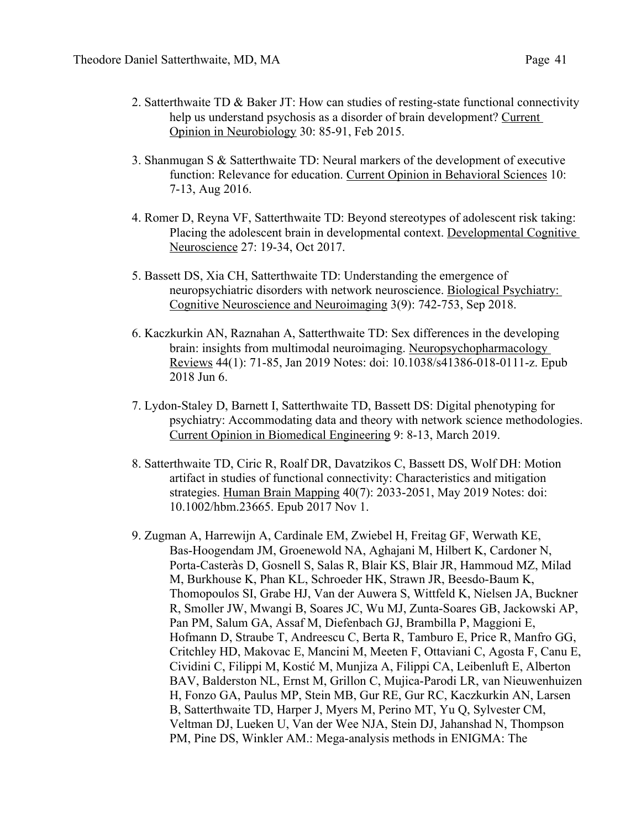- 2. Satterthwaite TD  $\&$  Baker JT: How can studies of resting-state functional connectivity help us understand psychosis as a disorder of brain development? Current Opinion in Neurobiology 30: 85-91, Feb 2015.
- 3. Shanmugan S & Satterthwaite TD: Neural markers of the development of executive function: Relevance for education. Current Opinion in Behavioral Sciences 10: 7-13, Aug 2016.
- 4. Romer D, Reyna VF, Satterthwaite TD: Beyond stereotypes of adolescent risk taking: Placing the adolescent brain in developmental context. Developmental Cognitive Neuroscience 27: 19-34, Oct 2017.
- 5. Bassett DS, Xia CH, Satterthwaite TD: Understanding the emergence of neuropsychiatric disorders with network neuroscience. Biological Psychiatry: Cognitive Neuroscience and Neuroimaging 3(9): 742-753, Sep 2018.
- 6. Kaczkurkin AN, Raznahan A, Satterthwaite TD: Sex differences in the developing brain: insights from multimodal neuroimaging. Neuropsychopharmacology Reviews 44(1): 71-85, Jan 2019 Notes: doi: 10.1038/s41386-018-0111-z. Epub 2018 Jun 6.
- 7. Lydon-Staley D, Barnett I, Satterthwaite TD, Bassett DS: Digital phenotyping for psychiatry: Accommodating data and theory with network science methodologies. Current Opinion in Biomedical Engineering 9: 8-13, March 2019.
- 8. Satterthwaite TD, Ciric R, Roalf DR, Davatzikos C, Bassett DS, Wolf DH: Motion artifact in studies of functional connectivity: Characteristics and mitigation strategies. Human Brain Mapping 40(7): 2033-2051, May 2019 Notes: doi: 10.1002/hbm.23665. Epub 2017 Nov 1.
- 9. Zugman A, Harrewijn A, Cardinale EM, Zwiebel H, Freitag GF, Werwath KE, Bas-Hoogendam JM, Groenewold NA, Aghajani M, Hilbert K, Cardoner N, Porta-Casteràs D, Gosnell S, Salas R, Blair KS, Blair JR, Hammoud MZ, Milad M, Burkhouse K, Phan KL, Schroeder HK, Strawn JR, Beesdo-Baum K, Thomopoulos SI, Grabe HJ, Van der Auwera S, Wittfeld K, Nielsen JA, Buckner R, Smoller JW, Mwangi B, Soares JC, Wu MJ, Zunta-Soares GB, Jackowski AP, Pan PM, Salum GA, Assaf M, Diefenbach GJ, Brambilla P, Maggioni E, Hofmann D, Straube T, Andreescu C, Berta R, Tamburo E, Price R, Manfro GG, Critchley HD, Makovac E, Mancini M, Meeten F, Ottaviani C, Agosta F, Canu E, Cividini C, Filippi M, Kostić M, Munjiza A, Filippi CA, Leibenluft E, Alberton BAV, Balderston NL, Ernst M, Grillon C, Mujica-Parodi LR, van Nieuwenhuizen H, Fonzo GA, Paulus MP, Stein MB, Gur RE, Gur RC, Kaczkurkin AN, Larsen B, Satterthwaite TD, Harper J, Myers M, Perino MT, Yu Q, Sylvester CM, Veltman DJ, Lueken U, Van der Wee NJA, Stein DJ, Jahanshad N, Thompson PM, Pine DS, Winkler AM.: Mega-analysis methods in ENIGMA: The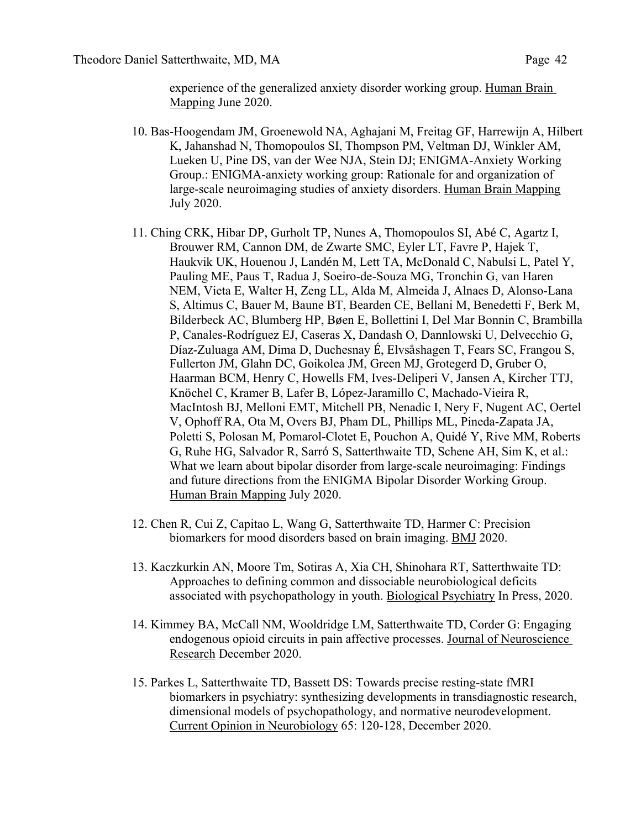experience of the generalized anxiety disorder working group. Human Brain Mapping June 2020.

- 10. Bas-Hoogendam JM, Groenewold NA, Aghajani M, Freitag GF, Harrewijn A, Hilbert K, Jahanshad N, Thomopoulos SI, Thompson PM, Veltman DJ, Winkler AM, Lueken U, Pine DS, van der Wee NJA, Stein DJ; ENIGMA-Anxiety Working Group.: ENIGMA-anxiety working group: Rationale for and organization of large-scale neuroimaging studies of anxiety disorders. Human Brain Mapping July 2020.
- 11. Ching CRK, Hibar DP, Gurholt TP, Nunes A, Thomopoulos SI, Abé C, Agartz I, Brouwer RM, Cannon DM, de Zwarte SMC, Eyler LT, Favre P, Hajek T, Haukvik UK, Houenou J, Landén M, Lett TA, McDonald C, Nabulsi L, Patel Y, Pauling ME, Paus T, Radua J, Soeiro-de-Souza MG, Tronchin G, van Haren NEM, Vieta E, Walter H, Zeng LL, Alda M, Almeida J, Alnaes D, Alonso-Lana S, Altimus C, Bauer M, Baune BT, Bearden CE, Bellani M, Benedetti F, Berk M, Bilderbeck AC, Blumberg HP, Bøen E, Bollettini I, Del Mar Bonnin C, Brambilla P, Canales-Rodríguez EJ, Caseras X, Dandash O, Dannlowski U, Delvecchio G, Díaz-Zuluaga AM, Dima D, Duchesnay É, Elvsåshagen T, Fears SC, Frangou S, Fullerton JM, Glahn DC, Goikolea JM, Green MJ, Grotegerd D, Gruber O, Haarman BCM, Henry C, Howells FM, Ives-Deliperi V, Jansen A, Kircher TTJ, Knöchel C, Kramer B, Lafer B, López-Jaramillo C, Machado-Vieira R, MacIntosh BJ, Melloni EMT, Mitchell PB, Nenadic I, Nery F, Nugent AC, Oertel V, Ophoff RA, Ota M, Overs BJ, Pham DL, Phillips ML, Pineda-Zapata JA, Poletti S, Polosan M, Pomarol-Clotet E, Pouchon A, Quidé Y, Rive MM, Roberts G, Ruhe HG, Salvador R, Sarró S, Satterthwaite TD, Schene AH, Sim K, et al.: What we learn about bipolar disorder from large-scale neuroimaging: Findings and future directions from the ENIGMA Bipolar Disorder Working Group. Human Brain Mapping July 2020.
- 12. Chen R, Cui Z, Capitao L, Wang G, Satterthwaite TD, Harmer C: Precision biomarkers for mood disorders based on brain imaging. BMJ 2020.
- 13. Kaczkurkin AN, Moore Tm, Sotiras A, Xia CH, Shinohara RT, Satterthwaite TD: Approaches to defining common and dissociable neurobiological deficits associated with psychopathology in youth. Biological Psychiatry In Press, 2020.
- 14. Kimmey BA, McCall NM, Wooldridge LM, Satterthwaite TD, Corder G: Engaging endogenous opioid circuits in pain affective processes. Journal of Neuroscience Research December 2020.
- 15. Parkes L, Satterthwaite TD, Bassett DS: Towards precise resting-state fMRI biomarkers in psychiatry: synthesizing developments in transdiagnostic research, dimensional models of psychopathology, and normative neurodevelopment. Current Opinion in Neurobiology 65: 120-128, December 2020.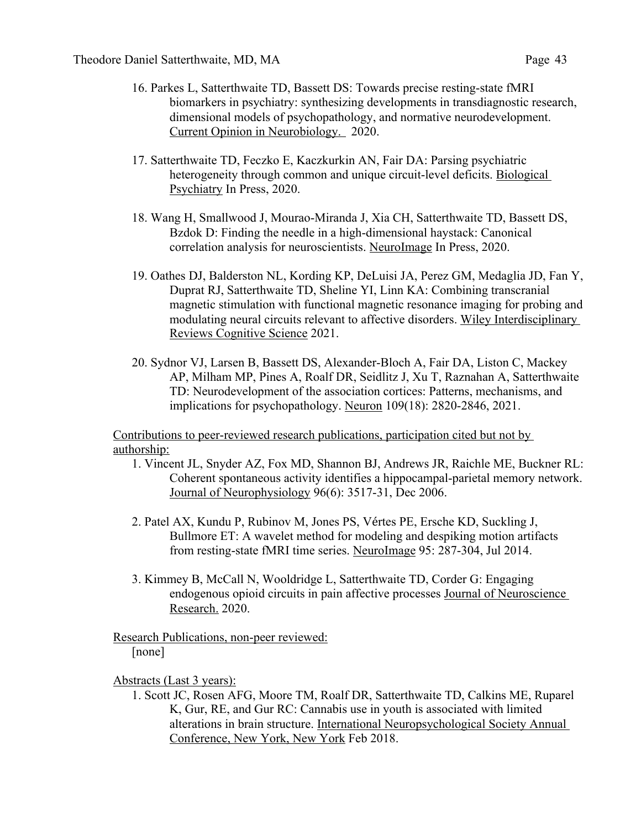- 16. Parkes L, Satterthwaite TD, Bassett DS: Towards precise resting-state fMRI biomarkers in psychiatry: synthesizing developments in transdiagnostic research, dimensional models of psychopathology, and normative neurodevelopment. Current Opinion in Neurobiology. 2020.
- 17. Satterthwaite TD, Feczko E, Kaczkurkin AN, Fair DA: Parsing psychiatric heterogeneity through common and unique circuit-level deficits. Biological Psychiatry In Press, 2020.
- 18. Wang H, Smallwood J, Mourao-Miranda J, Xia CH, Satterthwaite TD, Bassett DS, Bzdok D: Finding the needle in a high-dimensional haystack: Canonical correlation analysis for neuroscientists. NeuroImage In Press, 2020.
- 19. Oathes DJ, Balderston NL, Kording KP, DeLuisi JA, Perez GM, Medaglia JD, Fan Y, Duprat RJ, Satterthwaite TD, Sheline YI, Linn KA: Combining transcranial magnetic stimulation with functional magnetic resonance imaging for probing and modulating neural circuits relevant to affective disorders. Wiley Interdisciplinary Reviews Cognitive Science 2021.
- 20. Sydnor VJ, Larsen B, Bassett DS, Alexander-Bloch A, Fair DA, Liston C, Mackey AP, Milham MP, Pines A, Roalf DR, Seidlitz J, Xu T, Raznahan A, Satterthwaite TD: Neurodevelopment of the association cortices: Patterns, mechanisms, and implications for psychopathology. Neuron 109(18): 2820-2846, 2021.

Contributions to peer-reviewed research publications, participation cited but not by authorship:

- 1. Vincent JL, Snyder AZ, Fox MD, Shannon BJ, Andrews JR, Raichle ME, Buckner RL: Coherent spontaneous activity identifies a hippocampal-parietal memory network. Journal of Neurophysiology 96(6): 3517-31, Dec 2006.
- 2. Patel AX, Kundu P, Rubinov M, Jones PS, Vértes PE, Ersche KD, Suckling J, Bullmore ET: A wavelet method for modeling and despiking motion artifacts from resting-state fMRI time series. NeuroImage 95: 287-304, Jul 2014.
- 3. Kimmey B, McCall N, Wooldridge L, Satterthwaite TD, Corder G: Engaging endogenous opioid circuits in pain affective processes Journal of Neuroscience Research. 2020.

#### Research Publications, non-peer reviewed: [none]

### Abstracts (Last 3 years):

1. Scott JC, Rosen AFG, Moore TM, Roalf DR, Satterthwaite TD, Calkins ME, Ruparel K, Gur, RE, and Gur RC: Cannabis use in youth is associated with limited alterations in brain structure. International Neuropsychological Society Annual Conference, New York, New York Feb 2018.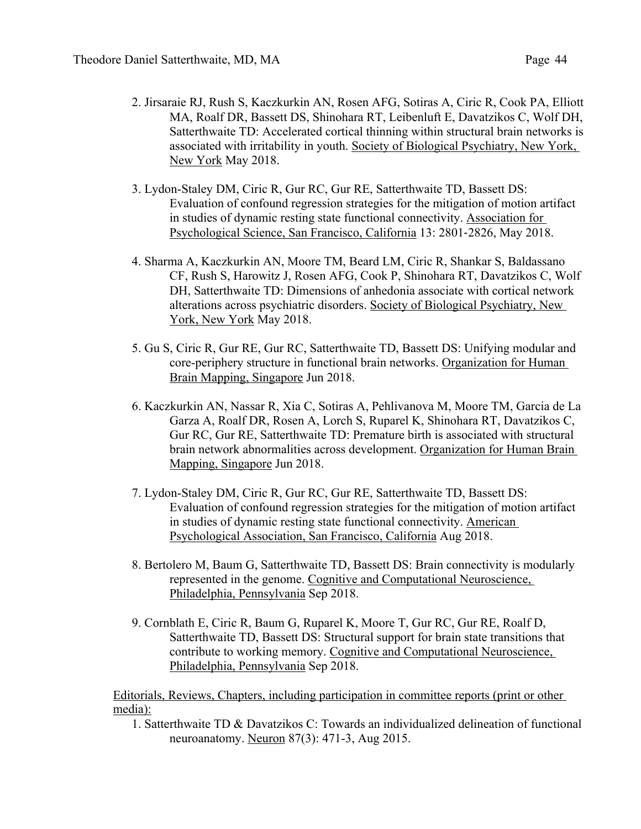- 2. Jirsaraie RJ, Rush S, Kaczkurkin AN, Rosen AFG, Sotiras A, Ciric R, Cook PA, Elliott MA, Roalf DR, Bassett DS, Shinohara RT, Leibenluft E, Davatzikos C, Wolf DH, Satterthwaite TD: Accelerated cortical thinning within structural brain networks is associated with irritability in youth. Society of Biological Psychiatry, New York, New York May 2018.
- 3. Lydon-Staley DM, Ciric R, Gur RC, Gur RE, Satterthwaite TD, Bassett DS: Evaluation of confound regression strategies for the mitigation of motion artifact in studies of dynamic resting state functional connectivity. Association for Psychological Science, San Francisco, California 13: 2801-2826, May 2018.
- 4. Sharma A, Kaczkurkin AN, Moore TM, Beard LM, Ciric R, Shankar S, Baldassano CF, Rush S, Harowitz J, Rosen AFG, Cook P, Shinohara RT, Davatzikos C, Wolf DH, Satterthwaite TD: Dimensions of anhedonia associate with cortical network alterations across psychiatric disorders. Society of Biological Psychiatry, New York, New York May 2018.
- 5. Gu S, Ciric R, Gur RE, Gur RC, Satterthwaite TD, Bassett DS: Unifying modular and core-periphery structure in functional brain networks. Organization for Human Brain Mapping, Singapore Jun 2018.
- 6. Kaczkurkin AN, Nassar R, Xia C, Sotiras A, Pehlivanova M, Moore TM, Garcia de La Garza A, Roalf DR, Rosen A, Lorch S, Ruparel K, Shinohara RT, Davatzikos C, Gur RC, Gur RE, Satterthwaite TD: Premature birth is associated with structural brain network abnormalities across development. Organization for Human Brain Mapping, Singapore Jun 2018.
- 7. Lydon-Staley DM, Ciric R, Gur RC, Gur RE, Satterthwaite TD, Bassett DS: Evaluation of confound regression strategies for the mitigation of motion artifact in studies of dynamic resting state functional connectivity. American Psychological Association, San Francisco, California Aug 2018.
- 8. Bertolero M, Baum G, Satterthwaite TD, Bassett DS: Brain connectivity is modularly represented in the genome. Cognitive and Computational Neuroscience, Philadelphia, Pennsylvania Sep 2018.
- 9. Cornblath E, Ciric R, Baum G, Ruparel K, Moore T, Gur RC, Gur RE, Roalf D, Satterthwaite TD, Bassett DS: Structural support for brain state transitions that contribute to working memory. Cognitive and Computational Neuroscience, Philadelphia, Pennsylvania Sep 2018.

Editorials, Reviews, Chapters, including participation in committee reports (print or other media):

1. Satterthwaite TD & Davatzikos C: Towards an individualized delineation of functional neuroanatomy. Neuron 87(3): 471-3, Aug 2015.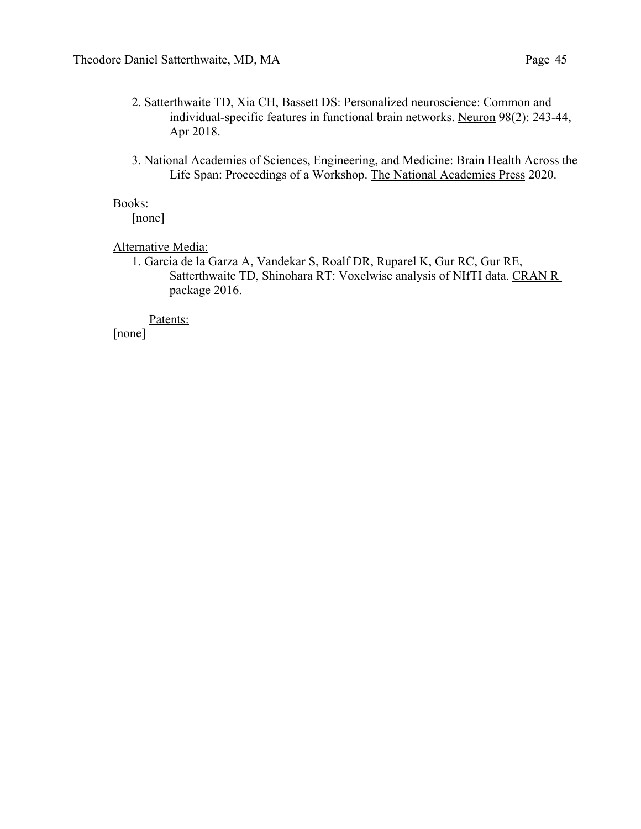- 2. Satterthwaite TD, Xia CH, Bassett DS: Personalized neuroscience: Common and individual-specific features in functional brain networks. Neuron 98(2): 243-44, Apr 2018.
- 3. National Academies of Sciences, Engineering, and Medicine: Brain Health Across the Life Span: Proceedings of a Workshop. The National Academies Press 2020.

#### Books:

[none]

Alternative Media:

1. Garcia de la Garza A, Vandekar S, Roalf DR, Ruparel K, Gur RC, Gur RE, Satterthwaite TD, Shinohara RT: Voxelwise analysis of NIfTI data. CRAN R package 2016.

Patents:

[none]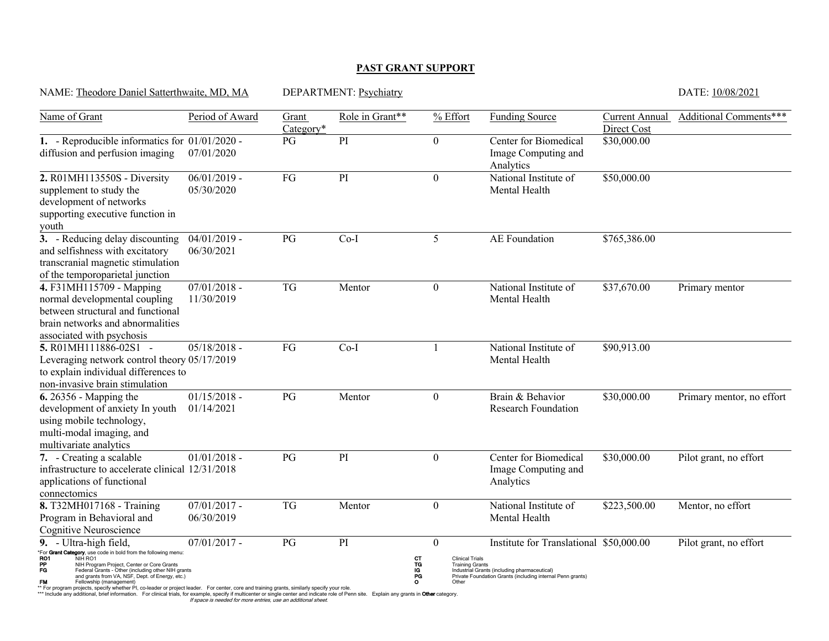#### **PAST GRANT SUPPORT**

| NAME: Theodore Daniel Satterthwaite, MD, MA                                                                                                                                                                                                                                                                                                              |                                                                                                            | DEPARTMENT: Psychiatry | DATE: 10/08/2021 |                                                                                                          |                                                                                                                                                       |                               |                           |
|----------------------------------------------------------------------------------------------------------------------------------------------------------------------------------------------------------------------------------------------------------------------------------------------------------------------------------------------------------|------------------------------------------------------------------------------------------------------------|------------------------|------------------|----------------------------------------------------------------------------------------------------------|-------------------------------------------------------------------------------------------------------------------------------------------------------|-------------------------------|---------------------------|
| Name of Grant                                                                                                                                                                                                                                                                                                                                            | Period of Award                                                                                            | Grant<br>Category*     | Role in Grant**  | % Effort                                                                                                 | <b>Funding Source</b>                                                                                                                                 | Current Annual<br>Direct Cost | Additional Comments***    |
| 1. - Reproducible informatics for 01/01/2020 -<br>diffusion and perfusion imaging                                                                                                                                                                                                                                                                        | 07/01/2020                                                                                                 | PG                     | PI               | $\boldsymbol{0}$                                                                                         | Center for Biomedical<br>Image Computing and<br>Analytics                                                                                             | \$30,000.00                   |                           |
| 2. R01MH113550S - Diversity<br>supplement to study the<br>development of networks<br>supporting executive function in<br>youth                                                                                                                                                                                                                           | $06/01/2019$ -<br>05/30/2020                                                                               | FG                     | PI               | $\theta$                                                                                                 | National Institute of<br>Mental Health                                                                                                                | \$50,000.00                   |                           |
| 3. - Reducing delay discounting<br>and selfishness with excitatory<br>transcranial magnetic stimulation<br>of the temporoparietal junction                                                                                                                                                                                                               | $04/01/2019$ -<br>06/30/2021                                                                               | PG                     | $Co-I$           | 5                                                                                                        | AE Foundation                                                                                                                                         | \$765,386.00                  |                           |
| 4. F31MH115709 - Mapping<br>normal developmental coupling<br>between structural and functional<br>brain networks and abnormalities<br>associated with psychosis                                                                                                                                                                                          | $07/01/2018$ -<br>11/30/2019                                                                               | <b>TG</b>              | Mentor           | $\boldsymbol{0}$                                                                                         | National Institute of<br>Mental Health                                                                                                                | \$37,670.00                   | Primary mentor            |
| 5. R01MH111886-02S1 -<br>Leveraging network control theory 05/17/2019<br>to explain individual differences to<br>non-invasive brain stimulation                                                                                                                                                                                                          | $05/18/2018$ -                                                                                             | $FG$                   | $Co-I$           |                                                                                                          | National Institute of<br>Mental Health                                                                                                                | \$90,913.00                   |                           |
| 6.26356 - Mapping the<br>development of anxiety In youth<br>using mobile technology,<br>multi-modal imaging, and<br>multivariate analytics                                                                                                                                                                                                               | $01/15/2018$ -<br>01/14/2021                                                                               | PG                     | Mentor           | $\theta$                                                                                                 | Brain & Behavior<br><b>Research Foundation</b>                                                                                                        | \$30,000.00                   | Primary mentor, no effort |
| 7. - Creating a scalable<br>infrastructure to accelerate clinical 12/31/2018<br>applications of functional<br>connectomics                                                                                                                                                                                                                               | $01/01/2018$ -                                                                                             | PG                     | PI               | $\mathbf{0}$                                                                                             | Center for Biomedical<br>Image Computing and<br>Analytics                                                                                             | \$30,000.00                   | Pilot grant, no effort    |
| 8. T32MH017168 - Training<br>Program in Behavioral and<br>Cognitive Neuroscience                                                                                                                                                                                                                                                                         | $07/01/2017$ -<br>06/30/2019                                                                               | <b>TG</b>              | Mentor           | $\mathbf{0}$                                                                                             | National Institute of<br>Mental Health                                                                                                                | \$223,500.00                  | Mentor, no effort         |
| 9. - Ultra-high field,<br>*For Grant Category, use code in bold from the following menu:<br>RO1<br>NIH RO1<br>NIH Program Project, Center or Core Grants<br>Federal Grants - Other (including other NIH grants<br>PP<br>FG<br>and grants from VA, NSF, Dept. of Energy, etc.)<br><b>FM</b><br>Fellowship (management)<br>projects specify whather DL co. | $07/01/2017$ -<br>der er project leader. Eer center, cere and training grapts, similarly specify your role | PG                     | PI               | $\theta$<br>CT<br>TG<br>IG<br><b>Clinical Trials</b><br><b>Training Grants</b><br>PG<br>$\circ$<br>Other | Institute for Translational \$50,000.00<br>Industrial Grants (including pharmaceutical)<br>Private Foundation Grants (including internal Penn grants) |                               | Pilot grant, no effort    |

\*\* For program projects, specify whether PI, co-leader or project leader. For center, core and training grants, similarly specify your role.<br>\*\*\* Include any additional, brief information. For clinical trials, for example,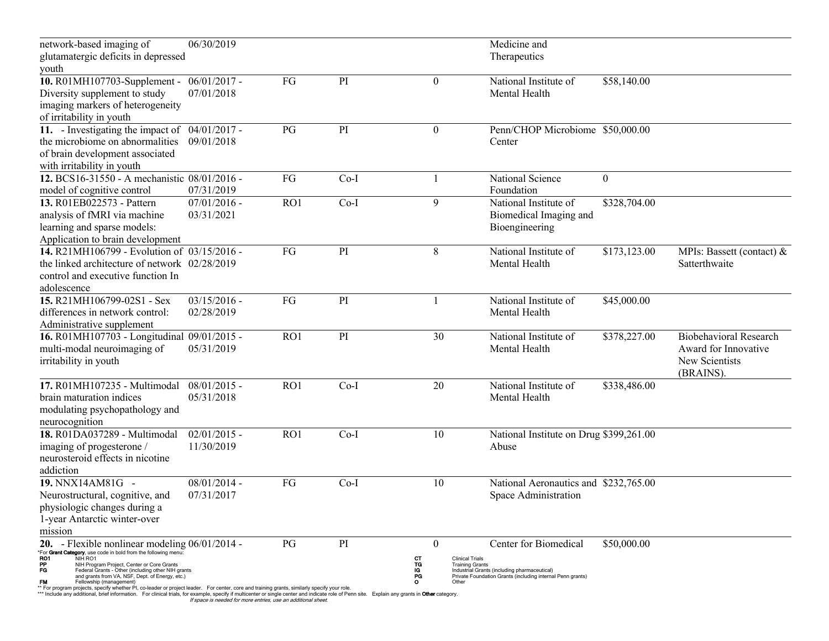| network-based imaging of                                                                                                                                                                                                                                                                                                                      | 06/30/2019     |     |        |                                    | Medicine and                                               |              |                               |
|-----------------------------------------------------------------------------------------------------------------------------------------------------------------------------------------------------------------------------------------------------------------------------------------------------------------------------------------------|----------------|-----|--------|------------------------------------|------------------------------------------------------------|--------------|-------------------------------|
| glutamatergic deficits in depressed                                                                                                                                                                                                                                                                                                           |                |     |        |                                    | Therapeutics                                               |              |                               |
| youth                                                                                                                                                                                                                                                                                                                                         |                |     |        |                                    |                                                            |              |                               |
| 10. R01MH107703-Supplement -                                                                                                                                                                                                                                                                                                                  | $06/01/2017$ - | FG  | PI     | $\boldsymbol{0}$                   | National Institute of                                      | \$58,140.00  |                               |
| Diversity supplement to study                                                                                                                                                                                                                                                                                                                 | 07/01/2018     |     |        |                                    | Mental Health                                              |              |                               |
| imaging markers of heterogeneity                                                                                                                                                                                                                                                                                                              |                |     |        |                                    |                                                            |              |                               |
| of irritability in youth                                                                                                                                                                                                                                                                                                                      |                |     |        |                                    |                                                            |              |                               |
| 11. - Investigating the impact of                                                                                                                                                                                                                                                                                                             | $04/01/2017$ - | PG  | PI     | $\mathbf{0}$                       | Penn/CHOP Microbiome \$50,000.00                           |              |                               |
| the microbiome on abnormalities                                                                                                                                                                                                                                                                                                               | 09/01/2018     |     |        |                                    | Center                                                     |              |                               |
| of brain development associated                                                                                                                                                                                                                                                                                                               |                |     |        |                                    |                                                            |              |                               |
| with irritability in youth                                                                                                                                                                                                                                                                                                                    |                |     |        |                                    |                                                            |              |                               |
| 12. BCS16-31550 - A mechanistic 08/01/2016 -                                                                                                                                                                                                                                                                                                  |                | FG  | $Co-I$ | 1                                  | National Science                                           | $\mathbf{0}$ |                               |
| model of cognitive control                                                                                                                                                                                                                                                                                                                    | 07/31/2019     |     |        |                                    | Foundation                                                 |              |                               |
| 13. R01EB022573 - Pattern                                                                                                                                                                                                                                                                                                                     | $07/01/2016$ - | RO1 | $Co-I$ | 9                                  | National Institute of                                      | \$328,704.00 |                               |
| analysis of fMRI via machine                                                                                                                                                                                                                                                                                                                  | 03/31/2021     |     |        |                                    | Biomedical Imaging and                                     |              |                               |
| learning and sparse models:                                                                                                                                                                                                                                                                                                                   |                |     |        |                                    | Bioengineering                                             |              |                               |
| Application to brain development                                                                                                                                                                                                                                                                                                              |                |     |        |                                    |                                                            |              |                               |
| 14. R21MH106799 - Evolution of 03/15/2016 -                                                                                                                                                                                                                                                                                                   |                | FG  | PI     | 8                                  | National Institute of                                      | \$173,123.00 | MPIs: Bassett (contact) &     |
| the linked architecture of network 02/28/2019                                                                                                                                                                                                                                                                                                 |                |     |        |                                    | Mental Health                                              |              | Satterthwaite                 |
| control and executive function In                                                                                                                                                                                                                                                                                                             |                |     |        |                                    |                                                            |              |                               |
| adolescence                                                                                                                                                                                                                                                                                                                                   |                |     |        |                                    |                                                            |              |                               |
| 15. R21MH106799-02S1 - Sex                                                                                                                                                                                                                                                                                                                    | $03/15/2016$ - | FG  | PI     |                                    | National Institute of                                      | \$45,000.00  |                               |
| differences in network control:                                                                                                                                                                                                                                                                                                               | 02/28/2019     |     |        |                                    | Mental Health                                              |              |                               |
| Administrative supplement                                                                                                                                                                                                                                                                                                                     |                |     |        |                                    |                                                            |              |                               |
| 16. R01MH107703 - Longitudinal 09/01/2015 -                                                                                                                                                                                                                                                                                                   |                | RO1 | PI     | 30                                 | National Institute of                                      | \$378,227.00 | <b>Biobehavioral Research</b> |
| multi-modal neuroimaging of                                                                                                                                                                                                                                                                                                                   | 05/31/2019     |     |        |                                    | Mental Health                                              |              | Award for Innovative          |
| irritability in youth                                                                                                                                                                                                                                                                                                                         |                |     |        |                                    |                                                            |              | New Scientists                |
|                                                                                                                                                                                                                                                                                                                                               |                |     |        |                                    |                                                            |              | (BRAINS).                     |
| 17. R01MH107235 - Multimodal                                                                                                                                                                                                                                                                                                                  | $08/01/2015$ - | RO1 | $Co-I$ | 20                                 | National Institute of                                      | \$338,486.00 |                               |
| brain maturation indices                                                                                                                                                                                                                                                                                                                      | 05/31/2018     |     |        |                                    | Mental Health                                              |              |                               |
| modulating psychopathology and                                                                                                                                                                                                                                                                                                                |                |     |        |                                    |                                                            |              |                               |
| neurocognition                                                                                                                                                                                                                                                                                                                                |                |     |        |                                    |                                                            |              |                               |
| 18. R01DA037289 - Multimodal                                                                                                                                                                                                                                                                                                                  | $02/01/2015$ - | RO1 | $Co-I$ | 10                                 | National Institute on Drug \$399,261.00                    |              |                               |
| imaging of progesterone /                                                                                                                                                                                                                                                                                                                     | 11/30/2019     |     |        |                                    | Abuse                                                      |              |                               |
| neurosteroid effects in nicotine                                                                                                                                                                                                                                                                                                              |                |     |        |                                    |                                                            |              |                               |
| addiction                                                                                                                                                                                                                                                                                                                                     |                |     |        |                                    |                                                            |              |                               |
| 19. NNX14AM81G -                                                                                                                                                                                                                                                                                                                              | $08/01/2014$ - | FG  | $Co-I$ | 10                                 | National Aeronautics and \$232,765.00                      |              |                               |
| Neurostructural, cognitive, and                                                                                                                                                                                                                                                                                                               | 07/31/2017     |     |        |                                    | Space Administration                                       |              |                               |
| physiologic changes during a                                                                                                                                                                                                                                                                                                                  |                |     |        |                                    |                                                            |              |                               |
| 1-year Antarctic winter-over                                                                                                                                                                                                                                                                                                                  |                |     |        |                                    |                                                            |              |                               |
| mission                                                                                                                                                                                                                                                                                                                                       |                |     |        |                                    |                                                            |              |                               |
| 20. - Flexible nonlinear modeling $06/01/2014$ -<br>"For Grant Category, use code in bold from the following menu:                                                                                                                                                                                                                            |                | PG  | PI     | $\theta$                           | Center for Biomedical                                      | \$50,000.00  |                               |
| RO1<br>NIH RO1                                                                                                                                                                                                                                                                                                                                |                |     |        | <b>Clinical Trials</b><br>CТ       |                                                            |              |                               |
| PP<br>NIH Program Project, Center or Core Grants<br>FG<br>Federal Grants - Other (including other NIH grants                                                                                                                                                                                                                                  |                |     |        | TG<br><b>Training Grants</b><br>lG | Industrial Grants (including pharmaceutical)               |              |                               |
| and grants from VA, NSF, Dept. of Energy, etc.)<br><b>FM</b><br>Fellowship (management)                                                                                                                                                                                                                                                       |                |     |        | PG<br>$\circ$<br>Other             | Private Foundation Grants (including internal Penn grants) |              |                               |
| ** For program projects, specify whether PI, co-leader or project leader. For center, core and training grants, similarly specify your role.<br>*** Include any additional, brief information. For clinical trials, for example, specify if multicenter or single center and indicate role of Penn site. Explain any grants in Other category |                |     |        |                                    |                                                            |              |                               |

de any additional, brief information. For clinical trials, for example, specify if multicenter or single center and indicate role of Penn site. Explain any grants in **Other** category.<br>In any additional, brief information. If space is needed for more entries, use an additional sheet.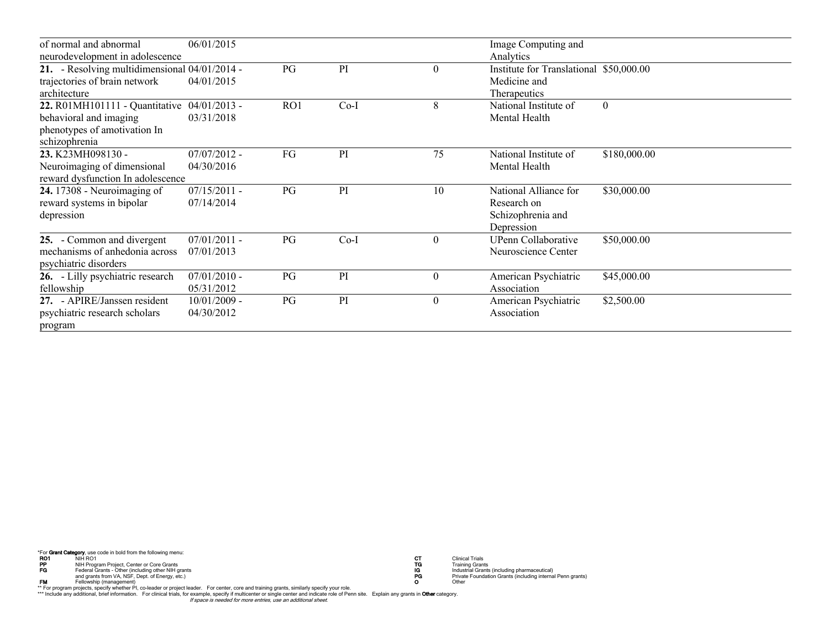| of normal and abnormal                        | 06/01/2015     |     |        |          | Image Computing and                     |              |
|-----------------------------------------------|----------------|-----|--------|----------|-----------------------------------------|--------------|
| neurodevelopment in adolescence               |                |     |        |          | Analytics                               |              |
| 21. - Resolving multidimensional 04/01/2014 - |                | PG  | PI     | $\theta$ | Institute for Translational \$50,000.00 |              |
| trajectories of brain network                 | 04/01/2015     |     |        |          | Medicine and                            |              |
| architecture                                  |                |     |        |          | Therapeutics                            |              |
| 22. R01MH101111 - Quantitative 04/01/2013 -   |                | RO1 | $Co-I$ | 8        | National Institute of                   | $\mathbf{0}$ |
| behavioral and imaging                        | 03/31/2018     |     |        |          | Mental Health                           |              |
| phenotypes of amotivation In                  |                |     |        |          |                                         |              |
| schizophrenia                                 |                |     |        |          |                                         |              |
| 23. K23MH098130 -                             | $07/07/2012 -$ | FG  | PI     | 75       | National Institute of                   | \$180,000.00 |
| Neuroimaging of dimensional                   | 04/30/2016     |     |        |          | Mental Health                           |              |
| reward dysfunction In adolescence             |                |     |        |          |                                         |              |
| 24. 17308 - Neuroimaging of                   | $07/15/2011$ - | PG  | PI     | 10       | National Alliance for                   | \$30,000.00  |
| reward systems in bipolar                     | 07/14/2014     |     |        |          | Research on                             |              |
| depression                                    |                |     |        |          | Schizophrenia and                       |              |
|                                               |                |     |        |          | Depression                              |              |
| 25. - Common and divergent                    | $07/01/2011$ - | PG  | $Co-I$ | $\theta$ | UPenn Collaborative                     | \$50,000.00  |
| mechanisms of anhedonia across                | 07/01/2013     |     |        |          | Neuroscience Center                     |              |
| psychiatric disorders                         |                |     |        |          |                                         |              |
| 26. - Lilly psychiatric research              | $07/01/2010$ - | PG  | PI     | $\theta$ | American Psychiatric                    | \$45,000.00  |
| fellowship                                    | 05/31/2012     |     |        |          | Association                             |              |
| 27. - APIRE/Janssen resident                  | $10/01/2009$ - | PG  | PI     | $\theta$ | American Psychiatric                    | \$2,500.00   |
| psychiatric research scholars                 | 04/30/2012     |     |        |          | Association                             |              |
| program                                       |                |     |        |          |                                         |              |

"For **Grant Category**, use code in bold from the following menu:<br> **RO1** NH RO1 NH RO T Clinical Trails<br>
Fraching Grants For Chinagement of Creating other NH grants<br>
Fraching Grants of Trailing Grants<br>
Fraching Grants for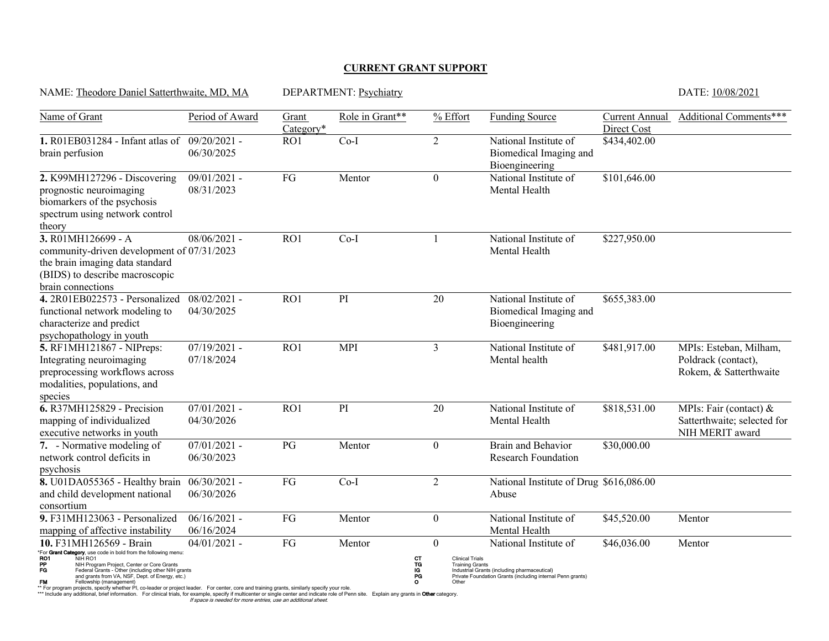#### **CURRENT GRANT SUPPORT**

| NAME: Theodore Daniel Satterthwaite, MD, MA                                                                                                                                                                                                                                                                                                                |                                                                                                            |                    | DEPARTMENT: Psychiatry |                                                                                                                |                                                                                                                                     |                               | DATE: 10/08/2021                                                         |
|------------------------------------------------------------------------------------------------------------------------------------------------------------------------------------------------------------------------------------------------------------------------------------------------------------------------------------------------------------|------------------------------------------------------------------------------------------------------------|--------------------|------------------------|----------------------------------------------------------------------------------------------------------------|-------------------------------------------------------------------------------------------------------------------------------------|-------------------------------|--------------------------------------------------------------------------|
| Name of Grant                                                                                                                                                                                                                                                                                                                                              | Period of Award                                                                                            | Grant<br>Category* | Role in Grant**        | % Effort                                                                                                       | <b>Funding Source</b>                                                                                                               | Current Annual<br>Direct Cost | Additional Comments***                                                   |
| 1. R01EB031284 - Infant atlas of<br>brain perfusion                                                                                                                                                                                                                                                                                                        | $09/20/2021$ -<br>06/30/2025                                                                               | RO1                | $Co-I$                 | $\overline{2}$                                                                                                 | National Institute of<br>Biomedical Imaging and<br>Bioengineering                                                                   | \$434,402.00                  |                                                                          |
| 2. K99MH127296 - Discovering<br>prognostic neuroimaging<br>biomarkers of the psychosis<br>spectrum using network control<br>theory                                                                                                                                                                                                                         | $09/01/2021$ -<br>08/31/2023                                                                               | FG                 | Mentor                 | $\theta$                                                                                                       | National Institute of<br>Mental Health                                                                                              | \$101,646.00                  |                                                                          |
| $3.$ R01MH126699 - A<br>community-driven development of 07/31/2023<br>the brain imaging data standard<br>(BIDS) to describe macroscopic<br>brain connections                                                                                                                                                                                               | $08/06/2021$ -                                                                                             | RO1                | $Co-I$                 |                                                                                                                | National Institute of<br>Mental Health                                                                                              | \$227,950.00                  |                                                                          |
| 4.2R01EB022573 - Personalized<br>functional network modeling to<br>characterize and predict<br>psychopathology in youth                                                                                                                                                                                                                                    | $08/02/2021$ -<br>04/30/2025                                                                               | RO1                | PI                     | 20                                                                                                             | National Institute of<br>Biomedical Imaging and<br>Bioengineering                                                                   | \$655,383.00                  |                                                                          |
| 5. RF1MH121867 - NIPreps:<br>Integrating neuroimaging<br>preprocessing workflows across<br>modalities, populations, and<br>species                                                                                                                                                                                                                         | $07/19/2021 -$<br>07/18/2024                                                                               | RO1                | <b>MPI</b>             | 3                                                                                                              | National Institute of<br>Mental health                                                                                              | \$481,917.00                  | MPIs: Esteban, Milham,<br>Poldrack (contact),<br>Rokem, & Satterthwaite  |
| 6. R37MH125829 - Precision<br>mapping of individualized<br>executive networks in youth                                                                                                                                                                                                                                                                     | $07/01/2021$ -<br>04/30/2026                                                                               | RO1                | PI                     | 20                                                                                                             | National Institute of<br>Mental Health                                                                                              | \$818,531.00                  | MPIs: Fair (contact) &<br>Satterthwaite; selected for<br>NIH MERIT award |
| $\overline{7.}$ - Normative modeling of<br>network control deficits in<br>psychosis                                                                                                                                                                                                                                                                        | $07/01/2021$ -<br>06/30/2023                                                                               | PG                 | Mentor                 | $\theta$                                                                                                       | <b>Brain and Behavior</b><br><b>Research Foundation</b>                                                                             | \$30,000.00                   |                                                                          |
| 8. U01DA055365 - Healthy brain<br>and child development national<br>consortium                                                                                                                                                                                                                                                                             | $06/30/2021$ -<br>06/30/2026                                                                               | FG                 | $Co-I$                 | $\overline{2}$                                                                                                 | National Institute of Drug \$616,086.00<br>Abuse                                                                                    |                               |                                                                          |
| 9. F31MH123063 - Personalized<br>mapping of affective instability                                                                                                                                                                                                                                                                                          | $06/16/2021$ -<br>06/16/2024                                                                               | FG                 | Mentor                 | $\mathbf{0}$                                                                                                   | National Institute of<br>Mental Health                                                                                              | \$45,520.00                   | Mentor                                                                   |
| 10. F31MH126569 - Brain<br>*For Crant Category, use code in bold from the following menu:<br>RO1<br>NIH RO1<br>PP<br>FG<br>NIH Program Project, Center or Core Grants<br>Federal Grants - Other (including other NIH grants<br>and grants from VA, NSF, Dept. of Energy, etc.)<br><b>FM</b><br>Fellowship (management)<br>projects specify whather DI colu | $04/01/2021$ -<br>der er project leader. Eer center, cere and training grapts, similarly specify your role | FG                 | Mentor                 | $\mathbf{0}$<br><b>CT<br/>PG</b><br>PG<br><b>Clinical Trials</b><br><b>Training Grants</b><br>$\circ$<br>Other | National Institute of<br>Industrial Grants (including pharmaceutical)<br>Private Foundation Grants (including internal Penn grants) | \$46,036.00                   | Mentor                                                                   |

\*\* For program projects, specify whether PI, co-leader or project leader. For center, core and training grants, similarly specify your role.<br>\*\*\* Include any additional, brief information. For clinical trials, for example,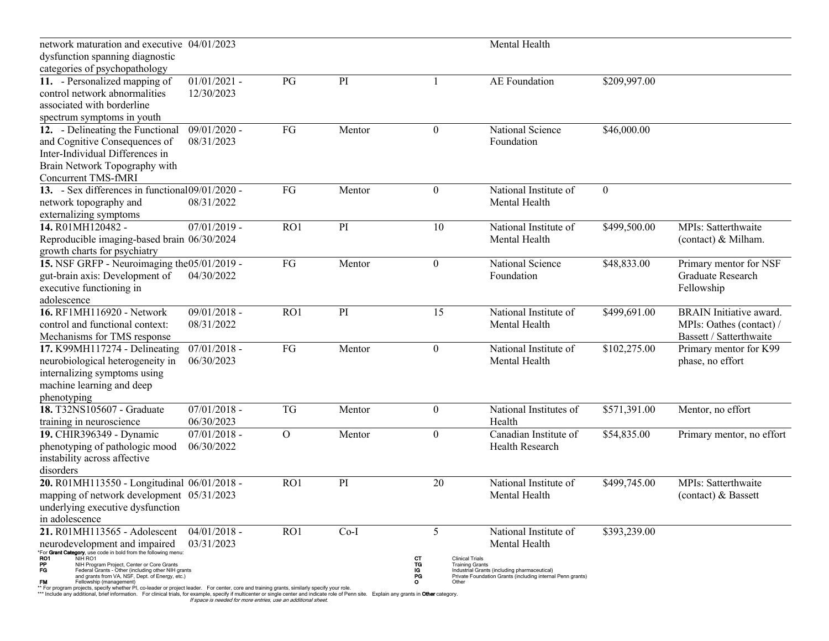| network maturation and executive 04/01/2023                                                                                                                                      |                |              |        |                                                              | Mental Health                                                                                              |                |                                |
|----------------------------------------------------------------------------------------------------------------------------------------------------------------------------------|----------------|--------------|--------|--------------------------------------------------------------|------------------------------------------------------------------------------------------------------------|----------------|--------------------------------|
| dysfunction spanning diagnostic                                                                                                                                                  |                |              |        |                                                              |                                                                                                            |                |                                |
| categories of psychopathology                                                                                                                                                    |                |              |        |                                                              |                                                                                                            |                |                                |
| 11. - Personalized mapping of                                                                                                                                                    | $01/01/2021$ - | PG           | PI     |                                                              | <b>AE</b> Foundation                                                                                       | \$209,997.00   |                                |
| control network abnormalities                                                                                                                                                    | 12/30/2023     |              |        |                                                              |                                                                                                            |                |                                |
| associated with borderline                                                                                                                                                       |                |              |        |                                                              |                                                                                                            |                |                                |
| spectrum symptoms in youth                                                                                                                                                       |                |              |        |                                                              |                                                                                                            |                |                                |
| 12. - Delineating the Functional                                                                                                                                                 | $09/01/2020$ - | ${\rm FG}$   | Mentor | $\boldsymbol{0}$                                             | National Science                                                                                           | \$46,000.00    |                                |
| and Cognitive Consequences of                                                                                                                                                    | 08/31/2023     |              |        |                                                              | Foundation                                                                                                 |                |                                |
| Inter-Individual Differences in                                                                                                                                                  |                |              |        |                                                              |                                                                                                            |                |                                |
| Brain Network Topography with                                                                                                                                                    |                |              |        |                                                              |                                                                                                            |                |                                |
| <b>Concurrent TMS-fMRI</b>                                                                                                                                                       |                |              |        |                                                              |                                                                                                            |                |                                |
| 13. - Sex differences in functional09/01/2020 -                                                                                                                                  |                | FG           | Mentor | $\boldsymbol{0}$                                             | National Institute of                                                                                      | $\overline{0}$ |                                |
| network topography and                                                                                                                                                           | 08/31/2022     |              |        |                                                              | Mental Health                                                                                              |                |                                |
| externalizing symptoms                                                                                                                                                           |                |              |        |                                                              |                                                                                                            |                |                                |
| 14. R01MH120482 -                                                                                                                                                                | $07/01/2019$ - | RO1          | PI     | 10                                                           | National Institute of                                                                                      | \$499,500.00   | MPIs: Satterthwaite            |
| Reproducible imaging-based brain 06/30/2024                                                                                                                                      |                |              |        |                                                              | Mental Health                                                                                              |                | (contact) & Milham.            |
| growth charts for psychiatry                                                                                                                                                     |                |              |        |                                                              |                                                                                                            |                |                                |
| 15. NSF GRFP - Neuroimaging the 05/01/2019 -                                                                                                                                     |                | FG           | Mentor | $\boldsymbol{0}$                                             | National Science                                                                                           | \$48,833.00    | Primary mentor for NSF         |
| gut-brain axis: Development of                                                                                                                                                   | 04/30/2022     |              |        |                                                              | Foundation                                                                                                 |                | Graduate Research              |
| executive functioning in                                                                                                                                                         |                |              |        |                                                              |                                                                                                            |                | Fellowship                     |
| adolescence                                                                                                                                                                      |                |              |        |                                                              |                                                                                                            |                |                                |
| 16. RF1MH116920 - Network                                                                                                                                                        | $09/01/2018$ - | RO1          | PI     | 15                                                           | National Institute of                                                                                      | \$499,691.00   | <b>BRAIN</b> Initiative award. |
| control and functional context:                                                                                                                                                  | 08/31/2022     |              |        |                                                              | Mental Health                                                                                              |                | MPIs: Oathes (contact) /       |
| Mechanisms for TMS response                                                                                                                                                      |                |              |        |                                                              |                                                                                                            |                | Bassett / Satterthwaite        |
| 17. K99MH117274 - Delineating                                                                                                                                                    | $07/01/2018$ - | FG           | Mentor | $\boldsymbol{0}$                                             | National Institute of                                                                                      | \$102,275.00   | Primary mentor for K99         |
| neurobiological heterogeneity in                                                                                                                                                 | 06/30/2023     |              |        |                                                              | Mental Health                                                                                              |                | phase, no effort               |
| internalizing symptoms using                                                                                                                                                     |                |              |        |                                                              |                                                                                                            |                |                                |
| machine learning and deep                                                                                                                                                        |                |              |        |                                                              |                                                                                                            |                |                                |
| phenotyping                                                                                                                                                                      |                |              |        |                                                              |                                                                                                            |                |                                |
| 18. T32NS105607 - Graduate                                                                                                                                                       | $07/01/2018$ - | <b>TG</b>    | Mentor | $\boldsymbol{0}$                                             | National Institutes of                                                                                     | \$571,391.00   | Mentor, no effort              |
| training in neuroscience                                                                                                                                                         | 06/30/2023     |              |        |                                                              | Health                                                                                                     |                |                                |
| 19. CHIR396349 - Dynamic                                                                                                                                                         | $07/01/2018$ - | $\mathbf{O}$ | Mentor | $\bf{0}$                                                     | Canadian Institute of                                                                                      | \$54,835.00    | Primary mentor, no effort      |
| phenotyping of pathologic mood                                                                                                                                                   | 06/30/2022     |              |        |                                                              | Health Research                                                                                            |                |                                |
| instability across affective                                                                                                                                                     |                |              |        |                                                              |                                                                                                            |                |                                |
| disorders                                                                                                                                                                        |                |              |        |                                                              |                                                                                                            |                |                                |
| 20. R01MH113550 - Longitudinal 06/01/2018 -                                                                                                                                      |                | RO1          | PI     | 20                                                           | National Institute of                                                                                      | \$499,745.00   | MPIs: Satterthwaite            |
| mapping of network development 05/31/2023                                                                                                                                        |                |              |        |                                                              | Mental Health                                                                                              |                | (contact) & Bassett            |
| underlying executive dysfunction                                                                                                                                                 |                |              |        |                                                              |                                                                                                            |                |                                |
| in adolescence                                                                                                                                                                   |                |              |        |                                                              |                                                                                                            |                |                                |
| 21. R01MH113565 - Adolescent                                                                                                                                                     | $04/01/2018$ - | RO1          | $Co-I$ | 5                                                            | National Institute of                                                                                      | \$393,239.00   |                                |
| neurodevelopment and impaired                                                                                                                                                    | 03/31/2023     |              |        |                                                              | Mental Health                                                                                              |                |                                |
| For Grant Category, use code in bold from the following menu:                                                                                                                    |                |              |        |                                                              |                                                                                                            |                |                                |
| RO1<br>NIH RO1<br>PP<br>NIH Program Project, Center or Core Grants                                                                                                               |                |              |        | CТ<br><b>Clinical Trials</b><br>TG<br><b>Training Grants</b> |                                                                                                            |                |                                |
| FG<br>Federal Grants - Other (including other NIH grants<br>and grants from VA, NSF, Dept. of Energy, etc.)                                                                      |                |              |        | IG<br>PG<br>O                                                | Industrial Grants (including pharmaceutical)<br>Private Foundation Grants (including internal Penn grants) |                |                                |
| <b>FM</b><br>Fellowship (management)<br>For program projects, specify whether PI, co-leader or project leader. For center, core and training grants, similarly specify your role |                |              |        | Other                                                        |                                                                                                            |                |                                |

\*\* For program projects, specify whether PI, co-leader or project leader. For center, core and training grants, similarly specify your role.<br>\*\*\* Include any additional, brief information. For clinical trials, for example,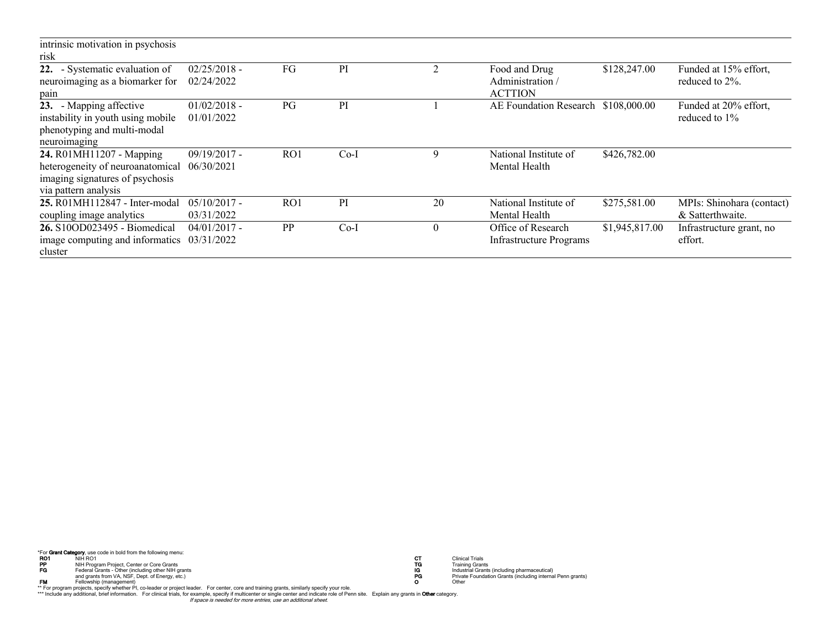| intrinsic motivation in psychosis |                |           |        |    |                                |                |                           |
|-----------------------------------|----------------|-----------|--------|----|--------------------------------|----------------|---------------------------|
| risk                              |                |           |        |    |                                |                |                           |
| 22. - Systematic evaluation of    | $02/25/2018 -$ | FG        | PI     | Τ. | Food and Drug                  | \$128,247.00   | Funded at 15% effort,     |
| neuroimaging as a biomarker for   | 02/24/2022     |           |        |    | Administration /               |                | reduced to 2\%.           |
| pain                              |                |           |        |    | <b>ACTTION</b>                 |                |                           |
| 23. - Mapping affective           | $01/02/2018$ - | PG        | PI     |    | AE Foundation Research         | \$108,000.00   | Funded at 20% effort,     |
| instability in youth using mobile | 01/01/2022     |           |        |    |                                |                | reduced to $1\%$          |
| phenotyping and multi-modal       |                |           |        |    |                                |                |                           |
| neuroimaging                      |                |           |        |    |                                |                |                           |
| 24. R01MH11207 - Mapping          | $09/19/2017$ - | RO1       | $Co-I$ | q  | National Institute of          | \$426,782.00   |                           |
| heterogeneity of neuroanatomical  | 06/30/2021     |           |        |    | Mental Health                  |                |                           |
| imaging signatures of psychosis   |                |           |        |    |                                |                |                           |
| via pattern analysis              |                |           |        |    |                                |                |                           |
| 25. R01MH112847 - Inter-modal     | $05/10/2017$ - | RO1       | PI     | 20 | National Institute of          | \$275,581.00   | MPIs: Shinohara (contact) |
| coupling image analytics          | 03/31/2022     |           |        |    | Mental Health                  |                | & Satterthwaite.          |
| 26. S10OD023495 - Biomedical      | $04/01/2017$ - | <b>PP</b> | $Co-I$ | 0  | Office of Research             | \$1,945,817.00 | Infrastructure grant, no  |
| image computing and informatics   | 03/31/2022     |           |        |    | <b>Infrastructure Programs</b> |                | effort.                   |
| cluster                           |                |           |        |    |                                |                |                           |

"For **Grant Category**, use code in bold from the following menu:<br> **RO1** NH RO1 NH RO T Clinical Trails<br>
Fraching Grants For Chinagement of Creating other NH grants<br>
Fraching Grants of Trailing Grants<br>
Fraching Grants for